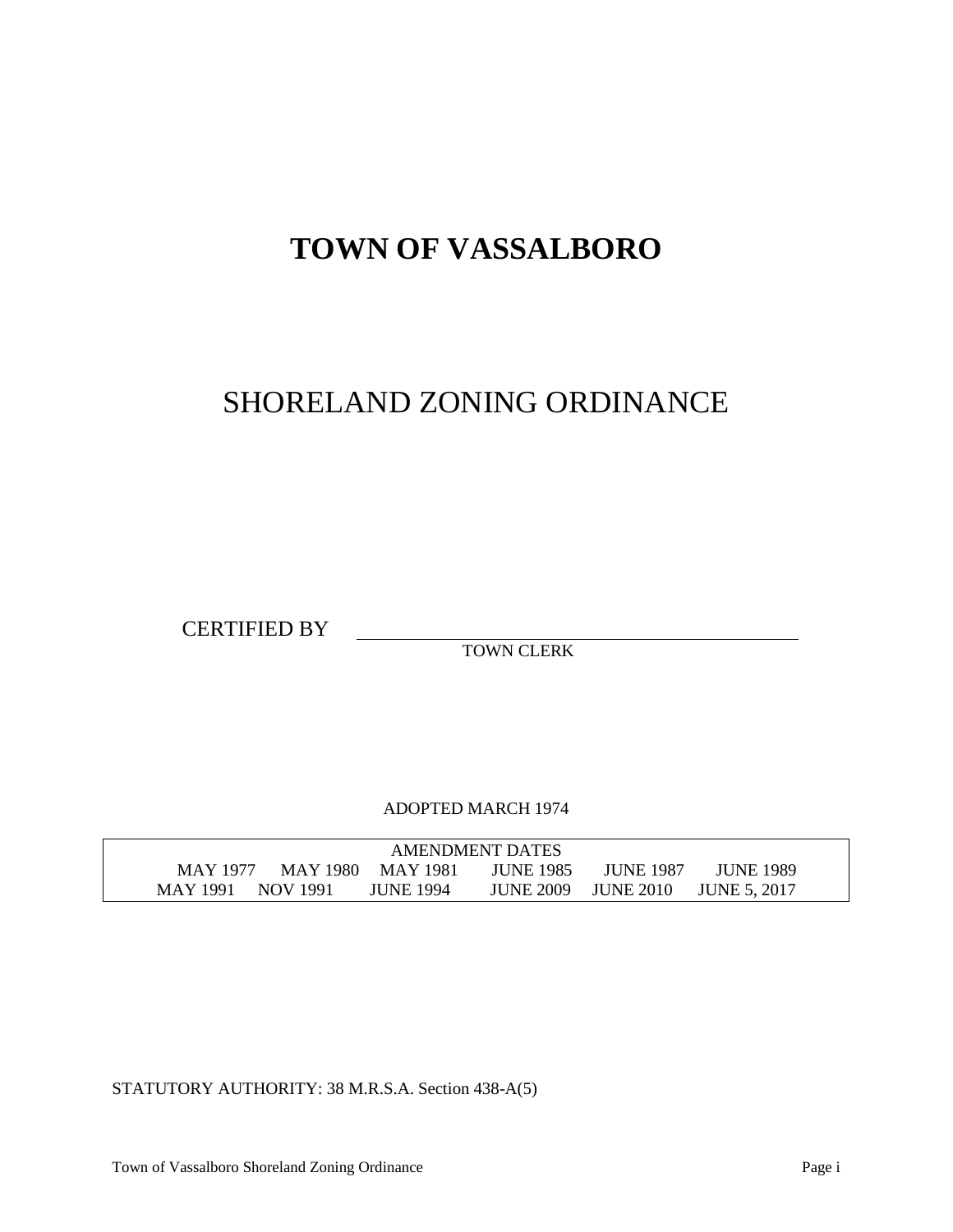# **TOWN OF VASSALBORO**

# SHORELAND ZONING ORDINANCE

CERTIFIED BY

TOWN CLERK

ADOPTED MARCH 1974

| AMENDMENT DATES |          |                  |                  |           |                        |  |
|-----------------|----------|------------------|------------------|-----------|------------------------|--|
| MAY 1977        | MAY 1980 | MAY 1981         | JUNE 1985        | JUNE 1987 | <b>JUNE 1989</b>       |  |
| MAY 1991        | NOV 1991 | <b>JUNE 1994</b> | <b>JUNE 2009</b> |           | JUNE 2010 JUNE 5, 2017 |  |

STATUTORY AUTHORITY: 38 M.R.S.A. Section 438-A(5)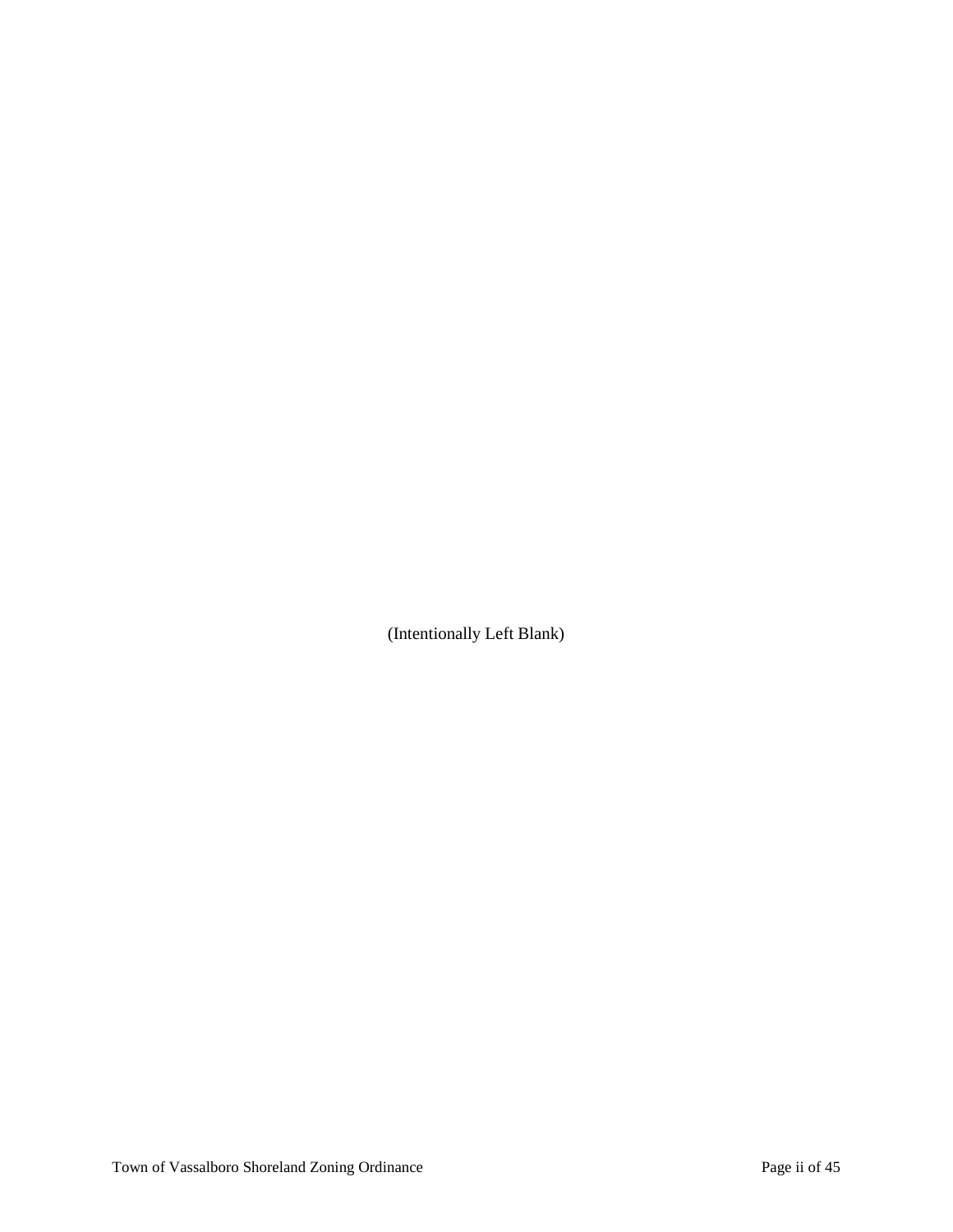(Intentionally Left Blank)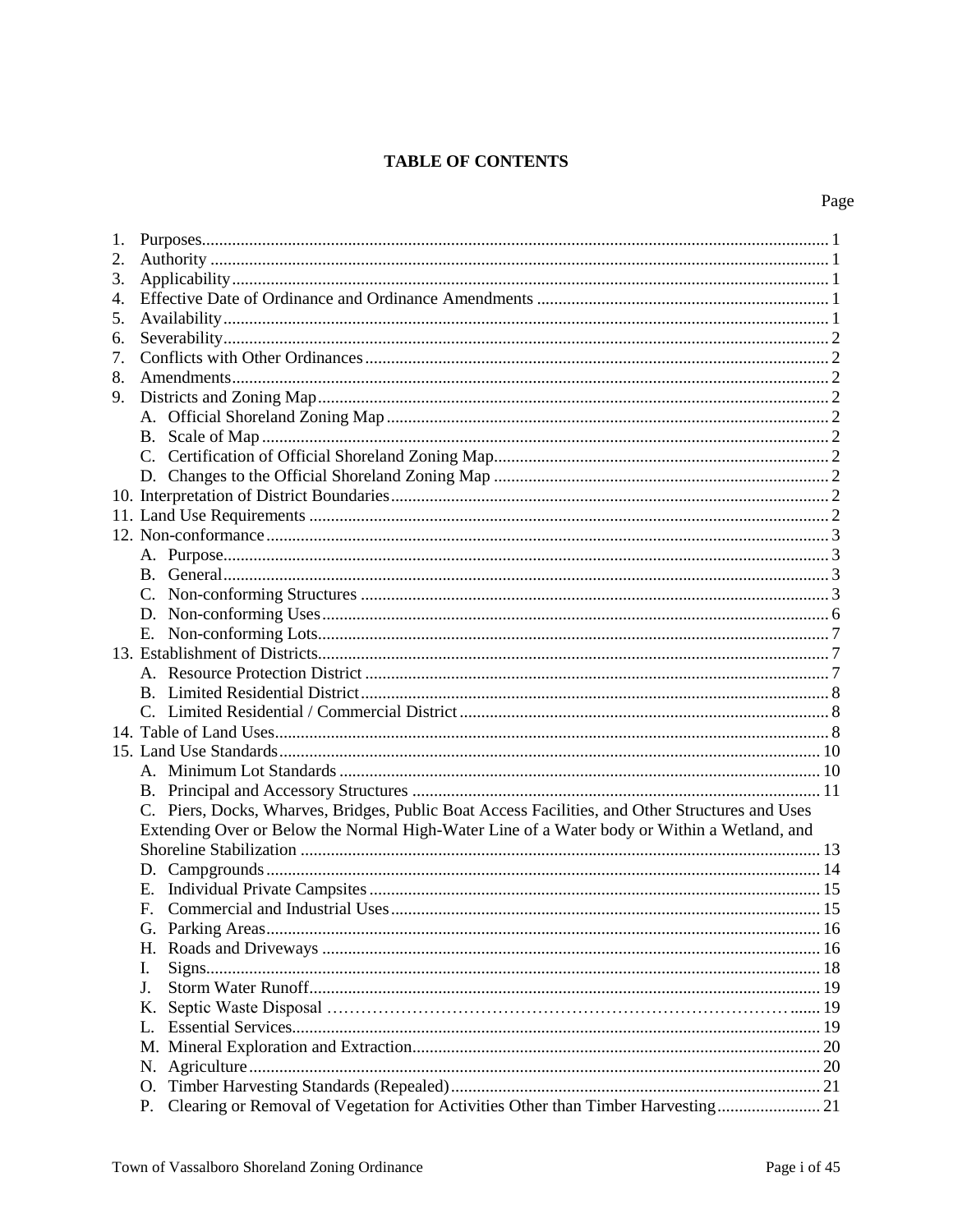# **TABLE OF CONTENTS**

# Page

| 1. |    |                                                                                                 |           |  |  |  |
|----|----|-------------------------------------------------------------------------------------------------|-----------|--|--|--|
| 2. |    |                                                                                                 |           |  |  |  |
| 3. |    |                                                                                                 |           |  |  |  |
| 4. |    |                                                                                                 |           |  |  |  |
| 5. |    |                                                                                                 |           |  |  |  |
| 6. |    |                                                                                                 |           |  |  |  |
| 7. |    |                                                                                                 |           |  |  |  |
| 8. |    |                                                                                                 |           |  |  |  |
| 9. |    |                                                                                                 |           |  |  |  |
|    |    |                                                                                                 |           |  |  |  |
|    |    |                                                                                                 |           |  |  |  |
|    |    |                                                                                                 |           |  |  |  |
|    |    |                                                                                                 |           |  |  |  |
|    |    |                                                                                                 |           |  |  |  |
|    |    |                                                                                                 |           |  |  |  |
|    |    |                                                                                                 |           |  |  |  |
|    |    |                                                                                                 |           |  |  |  |
|    |    |                                                                                                 |           |  |  |  |
|    |    |                                                                                                 |           |  |  |  |
|    |    |                                                                                                 |           |  |  |  |
|    |    |                                                                                                 |           |  |  |  |
|    |    |                                                                                                 |           |  |  |  |
|    |    |                                                                                                 |           |  |  |  |
|    |    |                                                                                                 |           |  |  |  |
|    |    |                                                                                                 |           |  |  |  |
|    |    |                                                                                                 |           |  |  |  |
|    |    |                                                                                                 |           |  |  |  |
|    |    |                                                                                                 |           |  |  |  |
|    |    |                                                                                                 |           |  |  |  |
|    |    |                                                                                                 |           |  |  |  |
|    |    | C. Piers, Docks, Wharves, Bridges, Public Boat Access Facilities, and Other Structures and Uses |           |  |  |  |
|    |    | Extending Over or Below the Normal High-Water Line of a Water body or Within a Wetland, and     |           |  |  |  |
|    |    |                                                                                                 |           |  |  |  |
|    |    |                                                                                                 |           |  |  |  |
|    | Е. |                                                                                                 |           |  |  |  |
|    |    |                                                                                                 |           |  |  |  |
|    |    |                                                                                                 |           |  |  |  |
|    | Н. |                                                                                                 |           |  |  |  |
|    | Ι. |                                                                                                 |           |  |  |  |
|    | J. |                                                                                                 |           |  |  |  |
|    | Κ. |                                                                                                 |           |  |  |  |
|    |    |                                                                                                 |           |  |  |  |
|    |    |                                                                                                 | <b>20</b> |  |  |  |
|    | N. |                                                                                                 |           |  |  |  |
|    | O. |                                                                                                 |           |  |  |  |
|    | Ρ. | Clearing or Removal of Vegetation for Activities Other than Timber Harvesting21                 |           |  |  |  |
|    |    |                                                                                                 |           |  |  |  |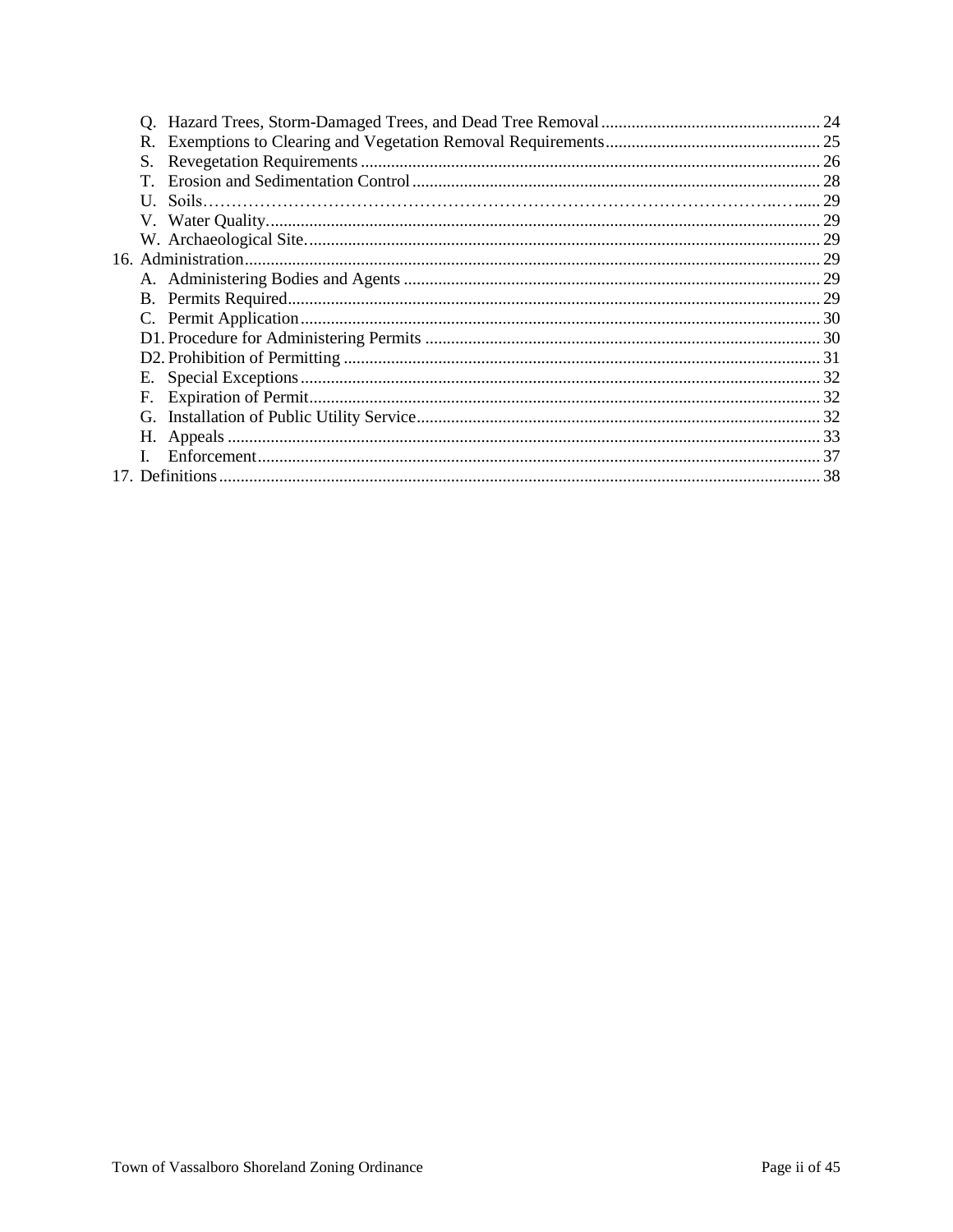| S. |  |
|----|--|
|    |  |
|    |  |
|    |  |
|    |  |
|    |  |
|    |  |
|    |  |
|    |  |
|    |  |
|    |  |
|    |  |
|    |  |
|    |  |
|    |  |
|    |  |
|    |  |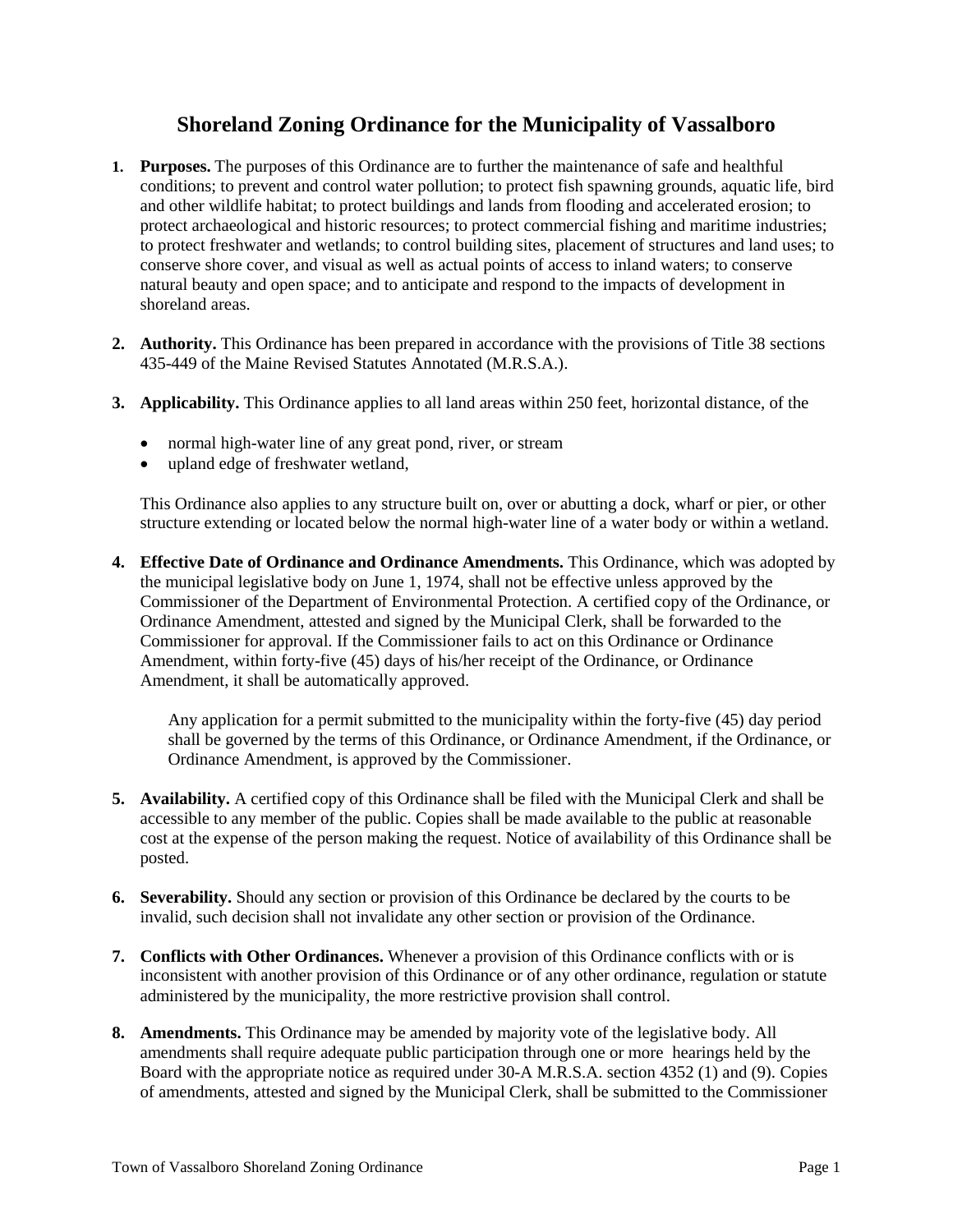# **Shoreland Zoning Ordinance for the Municipality of Vassalboro**

- **1. Purposes.** The purposes of this Ordinance are to further the maintenance of safe and healthful conditions; to prevent and control water pollution; to protect fish spawning grounds, aquatic life, bird and other wildlife habitat; to protect buildings and lands from flooding and accelerated erosion; to protect archaeological and historic resources; to protect commercial fishing and maritime industries; to protect freshwater and wetlands; to control building sites, placement of structures and land uses; to conserve shore cover, and visual as well as actual points of access to inland waters; to conserve natural beauty and open space; and to anticipate and respond to the impacts of development in shoreland areas.
- **2. Authority.** This Ordinance has been prepared in accordance with the provisions of Title 38 sections 435-449 of the Maine Revised Statutes Annotated (M.R.S.A.).
- **3. Applicability.** This Ordinance applies to all land areas within 250 feet, horizontal distance, of the
	- normal high-water line of any great pond, river, or stream
	- upland edge of freshwater wetland,

This Ordinance also applies to any structure built on, over or abutting a dock, wharf or pier, or other structure extending or located below the normal high-water line of a water body or within a wetland.

**4. Effective Date of Ordinance and Ordinance Amendments.** This Ordinance, which was adopted by the municipal legislative body on June 1, 1974, shall not be effective unless approved by the Commissioner of the Department of Environmental Protection. A certified copy of the Ordinance, or Ordinance Amendment, attested and signed by the Municipal Clerk, shall be forwarded to the Commissioner for approval. If the Commissioner fails to act on this Ordinance or Ordinance Amendment, within forty-five (45) days of his/her receipt of the Ordinance, or Ordinance Amendment, it shall be automatically approved.

Any application for a permit submitted to the municipality within the forty-five (45) day period shall be governed by the terms of this Ordinance, or Ordinance Amendment, if the Ordinance, or Ordinance Amendment, is approved by the Commissioner.

- **5. Availability.** A certified copy of this Ordinance shall be filed with the Municipal Clerk and shall be accessible to any member of the public. Copies shall be made available to the public at reasonable cost at the expense of the person making the request. Notice of availability of this Ordinance shall be posted.
- **6. Severability.** Should any section or provision of this Ordinance be declared by the courts to be invalid, such decision shall not invalidate any other section or provision of the Ordinance.
- **7. Conflicts with Other Ordinances.** Whenever a provision of this Ordinance conflicts with or is inconsistent with another provision of this Ordinance or of any other ordinance, regulation or statute administered by the municipality, the more restrictive provision shall control.
- **8. Amendments.** This Ordinance may be amended by majority vote of the legislative body. All amendments shall require adequate public participation through one or more hearings held by the Board with the appropriate notice as required under 30-A M.R.S.A. section 4352 (1) and (9). Copies of amendments, attested and signed by the Municipal Clerk, shall be submitted to the Commissioner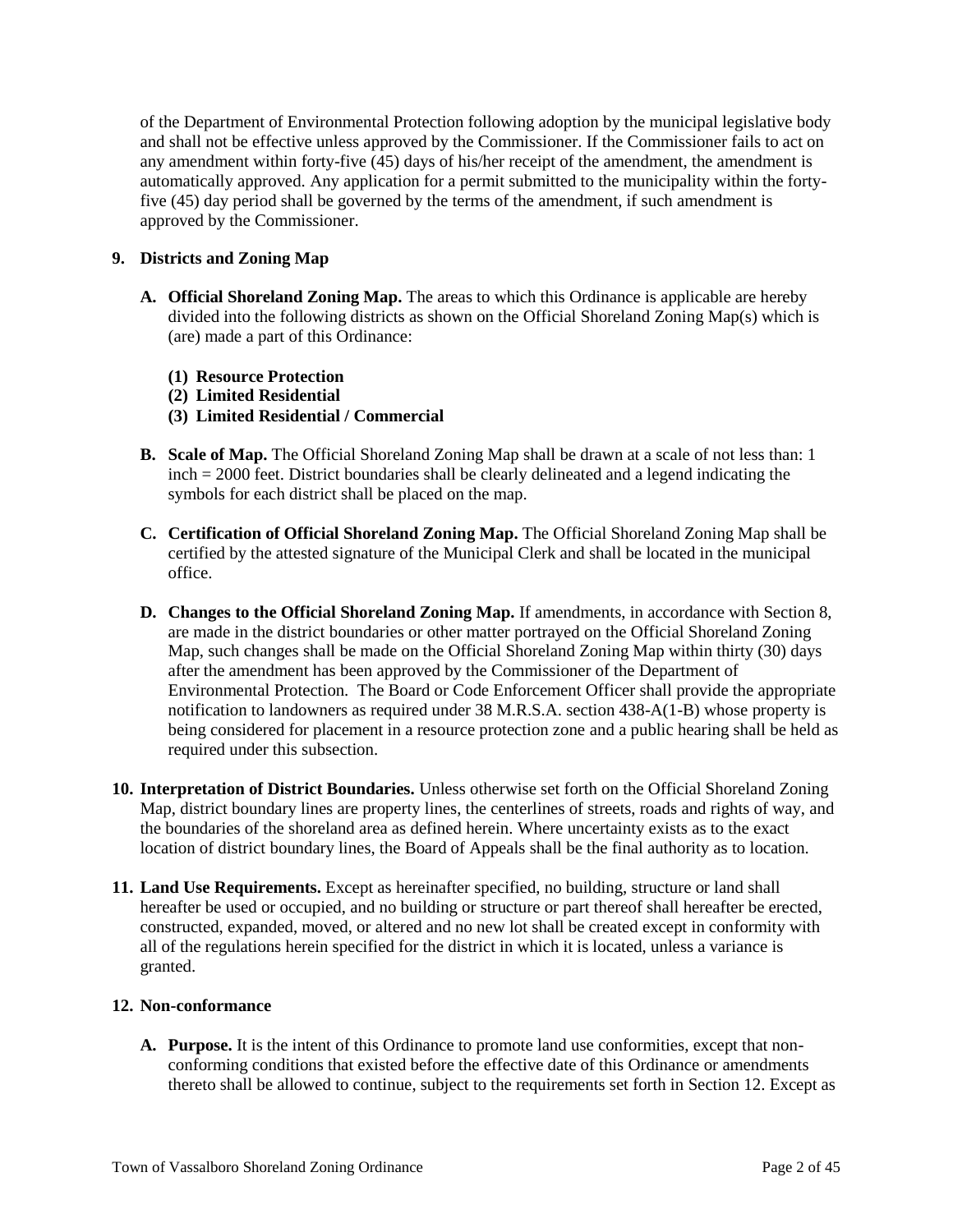of the Department of Environmental Protection following adoption by the municipal legislative body and shall not be effective unless approved by the Commissioner. If the Commissioner fails to act on any amendment within forty-five (45) days of his/her receipt of the amendment, the amendment is automatically approved. Any application for a permit submitted to the municipality within the fortyfive (45) day period shall be governed by the terms of the amendment, if such amendment is approved by the Commissioner.

# **9. Districts and Zoning Map**

- **A. Official Shoreland Zoning Map.** The areas to which this Ordinance is applicable are hereby divided into the following districts as shown on the Official Shoreland Zoning Map(s) which is (are) made a part of this Ordinance:
	- **(1) Resource Protection**
	- **(2) Limited Residential**
	- **(3) Limited Residential / Commercial**
- **B. Scale of Map.** The Official Shoreland Zoning Map shall be drawn at a scale of not less than: 1 inch = 2000 feet. District boundaries shall be clearly delineated and a legend indicating the symbols for each district shall be placed on the map.
- **C. Certification of Official Shoreland Zoning Map.** The Official Shoreland Zoning Map shall be certified by the attested signature of the Municipal Clerk and shall be located in the municipal office.
- **D. Changes to the Official Shoreland Zoning Map.** If amendments, in accordance with Section 8, are made in the district boundaries or other matter portrayed on the Official Shoreland Zoning Map, such changes shall be made on the Official Shoreland Zoning Map within thirty (30) days after the amendment has been approved by the Commissioner of the Department of Environmental Protection. The Board or Code Enforcement Officer shall provide the appropriate notification to landowners as required under 38 M.R.S.A. section 438-A(1-B) whose property is being considered for placement in a resource protection zone and a public hearing shall be held as required under this subsection.
- **10. Interpretation of District Boundaries.** Unless otherwise set forth on the Official Shoreland Zoning Map, district boundary lines are property lines, the centerlines of streets, roads and rights of way, and the boundaries of the shoreland area as defined herein. Where uncertainty exists as to the exact location of district boundary lines, the Board of Appeals shall be the final authority as to location.
- **11. Land Use Requirements.** Except as hereinafter specified, no building, structure or land shall hereafter be used or occupied, and no building or structure or part thereof shall hereafter be erected, constructed, expanded, moved, or altered and no new lot shall be created except in conformity with all of the regulations herein specified for the district in which it is located, unless a variance is granted.

# **12. Non-conformance**

**A. Purpose.** It is the intent of this Ordinance to promote land use conformities, except that nonconforming conditions that existed before the effective date of this Ordinance or amendments thereto shall be allowed to continue, subject to the requirements set forth in Section 12. Except as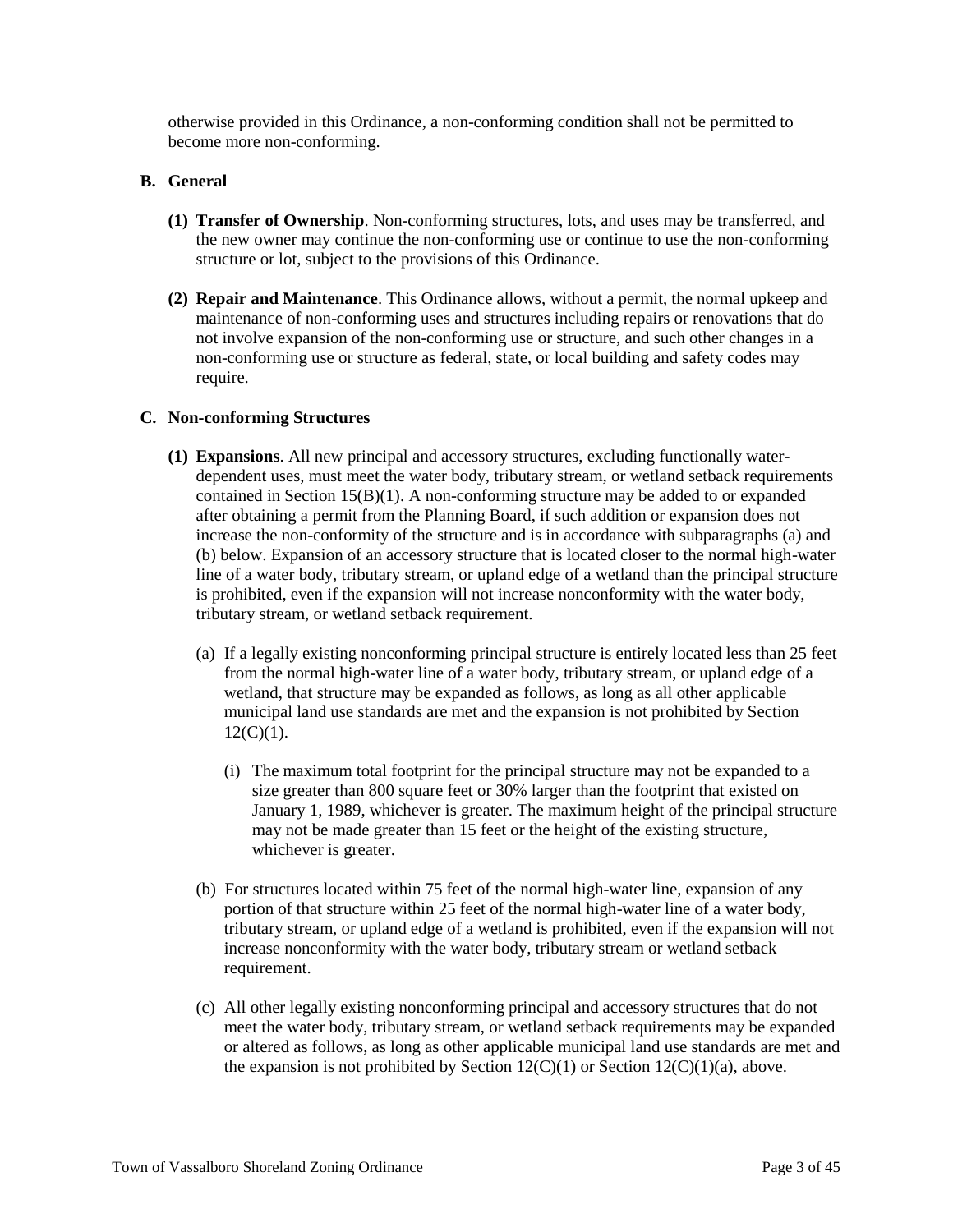otherwise provided in this Ordinance, a non-conforming condition shall not be permitted to become more non-conforming.

# **B. General**

- **(1) Transfer of Ownership**. Non-conforming structures, lots, and uses may be transferred, and the new owner may continue the non-conforming use or continue to use the non-conforming structure or lot, subject to the provisions of this Ordinance.
- **(2) Repair and Maintenance**. This Ordinance allows, without a permit, the normal upkeep and maintenance of non-conforming uses and structures including repairs or renovations that do not involve expansion of the non-conforming use or structure, and such other changes in a non-conforming use or structure as federal, state, or local building and safety codes may require.

# **C. Non-conforming Structures**

- **(1) Expansions**. All new principal and accessory structures, excluding functionally waterdependent uses, must meet the water body, tributary stream, or wetland setback requirements contained in Section 15(B)(1). A non-conforming structure may be added to or expanded after obtaining a permit from the Planning Board, if such addition or expansion does not increase the non-conformity of the structure and is in accordance with subparagraphs (a) and (b) below. Expansion of an accessory structure that is located closer to the normal high-water line of a water body, tributary stream, or upland edge of a wetland than the principal structure is prohibited, even if the expansion will not increase nonconformity with the water body, tributary stream, or wetland setback requirement.
	- (a) If a legally existing nonconforming principal structure is entirely located less than 25 feet from the normal high-water line of a water body, tributary stream, or upland edge of a wetland, that structure may be expanded as follows, as long as all other applicable municipal land use standards are met and the expansion is not prohibited by Section  $12(C)(1)$ .
		- (i) The maximum total footprint for the principal structure may not be expanded to a size greater than 800 square feet or 30% larger than the footprint that existed on January 1, 1989, whichever is greater. The maximum height of the principal structure may not be made greater than 15 feet or the height of the existing structure, whichever is greater.
	- (b) For structures located within 75 feet of the normal high-water line, expansion of any portion of that structure within 25 feet of the normal high-water line of a water body, tributary stream, or upland edge of a wetland is prohibited, even if the expansion will not increase nonconformity with the water body, tributary stream or wetland setback requirement.
	- (c) All other legally existing nonconforming principal and accessory structures that do not meet the water body, tributary stream, or wetland setback requirements may be expanded or altered as follows, as long as other applicable municipal land use standards are met and the expansion is not prohibited by Section  $12(C)(1)$  or Section  $12(C)(1)(a)$ , above.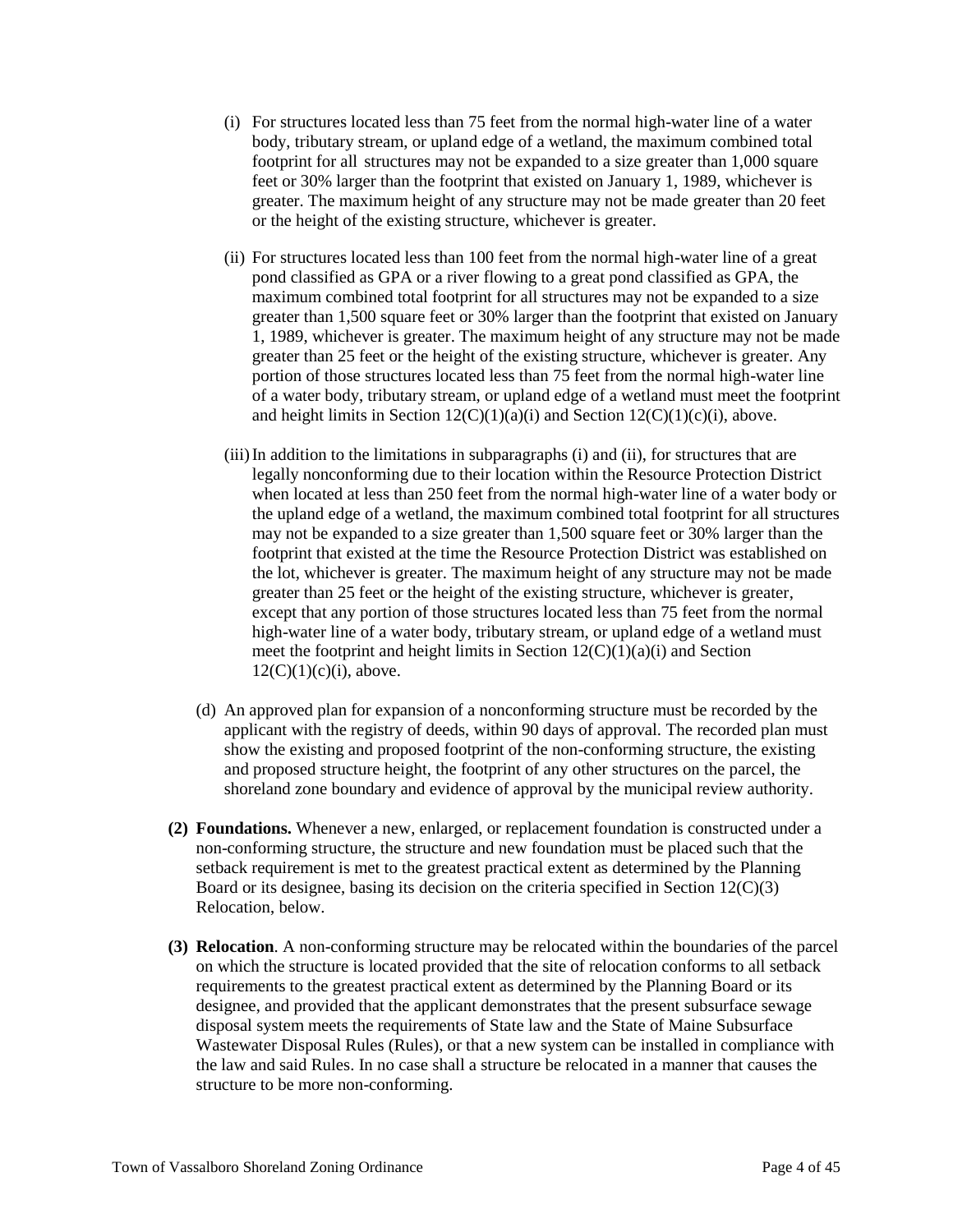- (i) For structures located less than 75 feet from the normal high-water line of a water body, tributary stream, or upland edge of a wetland, the maximum combined total footprint for all structures may not be expanded to a size greater than 1,000 square feet or 30% larger than the footprint that existed on January 1, 1989, whichever is greater. The maximum height of any structure may not be made greater than 20 feet or the height of the existing structure, whichever is greater.
- (ii) For structures located less than 100 feet from the normal high-water line of a great pond classified as GPA or a river flowing to a great pond classified as GPA, the maximum combined total footprint for all structures may not be expanded to a size greater than 1,500 square feet or 30% larger than the footprint that existed on January 1, 1989, whichever is greater. The maximum height of any structure may not be made greater than 25 feet or the height of the existing structure, whichever is greater. Any portion of those structures located less than 75 feet from the normal high-water line of a water body, tributary stream, or upland edge of a wetland must meet the footprint and height limits in Section  $12(C)(1)(a)(i)$  and Section  $12(C)(1)(c)(i)$ , above.
- (iii)In addition to the limitations in subparagraphs (i) and (ii), for structures that are legally nonconforming due to their location within the Resource Protection District when located at less than 250 feet from the normal high-water line of a water body or the upland edge of a wetland, the maximum combined total footprint for all structures may not be expanded to a size greater than 1,500 square feet or 30% larger than the footprint that existed at the time the Resource Protection District was established on the lot, whichever is greater. The maximum height of any structure may not be made greater than 25 feet or the height of the existing structure, whichever is greater, except that any portion of those structures located less than 75 feet from the normal high-water line of a water body, tributary stream, or upland edge of a wetland must meet the footprint and height limits in Section  $12(C)(1)(a)(i)$  and Section  $12(C)(1)(c)(i)$ , above.
- (d) An approved plan for expansion of a nonconforming structure must be recorded by the applicant with the registry of deeds, within 90 days of approval. The recorded plan must show the existing and proposed footprint of the non-conforming structure, the existing and proposed structure height, the footprint of any other structures on the parcel, the shoreland zone boundary and evidence of approval by the municipal review authority.
- **(2) Foundations.** Whenever a new, enlarged, or replacement foundation is constructed under a non-conforming structure, the structure and new foundation must be placed such that the setback requirement is met to the greatest practical extent as determined by the Planning Board or its designee, basing its decision on the criteria specified in Section 12(C)(3) Relocation, below.
- **(3) Relocation**. A non-conforming structure may be relocated within the boundaries of the parcel on which the structure is located provided that the site of relocation conforms to all setback requirements to the greatest practical extent as determined by the Planning Board or its designee, and provided that the applicant demonstrates that the present subsurface sewage disposal system meets the requirements of State law and the State of Maine Subsurface Wastewater Disposal Rules (Rules), or that a new system can be installed in compliance with the law and said Rules. In no case shall a structure be relocated in a manner that causes the structure to be more non-conforming.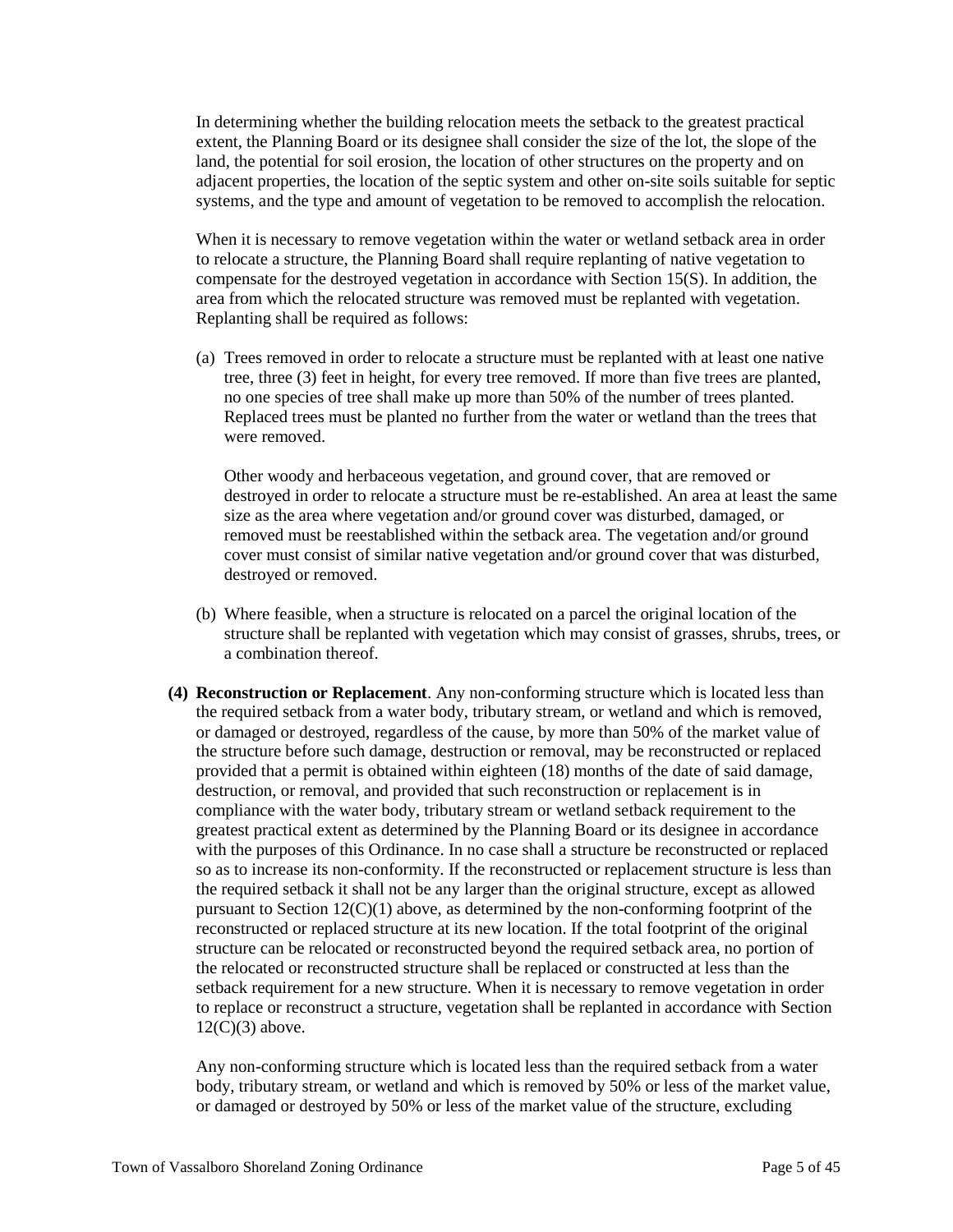In determining whether the building relocation meets the setback to the greatest practical extent, the Planning Board or its designee shall consider the size of the lot, the slope of the land, the potential for soil erosion, the location of other structures on the property and on adjacent properties, the location of the septic system and other on-site soils suitable for septic systems, and the type and amount of vegetation to be removed to accomplish the relocation.

When it is necessary to remove vegetation within the water or wetland setback area in order to relocate a structure, the Planning Board shall require replanting of native vegetation to compensate for the destroyed vegetation in accordance with Section 15(S). In addition, the area from which the relocated structure was removed must be replanted with vegetation. Replanting shall be required as follows:

(a) Trees removed in order to relocate a structure must be replanted with at least one native tree, three (3) feet in height, for every tree removed. If more than five trees are planted, no one species of tree shall make up more than 50% of the number of trees planted. Replaced trees must be planted no further from the water or wetland than the trees that were removed.

Other woody and herbaceous vegetation, and ground cover, that are removed or destroyed in order to relocate a structure must be re-established. An area at least the same size as the area where vegetation and/or ground cover was disturbed, damaged, or removed must be reestablished within the setback area. The vegetation and/or ground cover must consist of similar native vegetation and/or ground cover that was disturbed, destroyed or removed.

- (b) Where feasible, when a structure is relocated on a parcel the original location of the structure shall be replanted with vegetation which may consist of grasses, shrubs, trees, or a combination thereof.
- **(4) Reconstruction or Replacement**. Any non-conforming structure which is located less than the required setback from a water body, tributary stream, or wetland and which is removed, or damaged or destroyed, regardless of the cause, by more than 50% of the market value of the structure before such damage, destruction or removal, may be reconstructed or replaced provided that a permit is obtained within eighteen (18) months of the date of said damage, destruction, or removal, and provided that such reconstruction or replacement is in compliance with the water body, tributary stream or wetland setback requirement to the greatest practical extent as determined by the Planning Board or its designee in accordance with the purposes of this Ordinance. In no case shall a structure be reconstructed or replaced so as to increase its non-conformity. If the reconstructed or replacement structure is less than the required setback it shall not be any larger than the original structure, except as allowed pursuant to Section  $12(C)(1)$  above, as determined by the non-conforming footprint of the reconstructed or replaced structure at its new location. If the total footprint of the original structure can be relocated or reconstructed beyond the required setback area, no portion of the relocated or reconstructed structure shall be replaced or constructed at less than the setback requirement for a new structure. When it is necessary to remove vegetation in order to replace or reconstruct a structure, vegetation shall be replanted in accordance with Section  $12(C)(3)$  above.

Any non-conforming structure which is located less than the required setback from a water body, tributary stream, or wetland and which is removed by 50% or less of the market value, or damaged or destroyed by 50% or less of the market value of the structure, excluding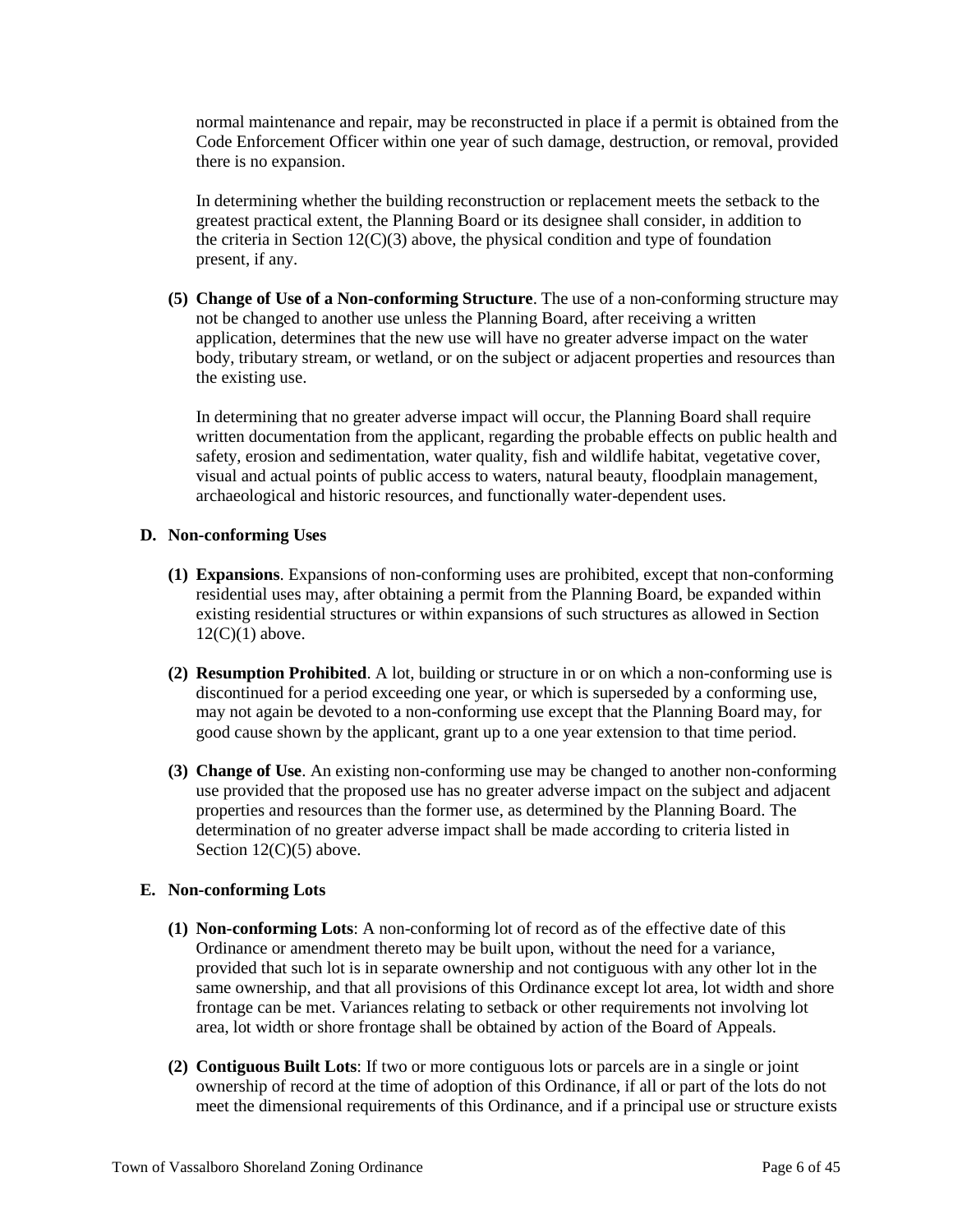normal maintenance and repair, may be reconstructed in place if a permit is obtained from the Code Enforcement Officer within one year of such damage, destruction, or removal, provided there is no expansion.

In determining whether the building reconstruction or replacement meets the setback to the greatest practical extent, the Planning Board or its designee shall consider, in addition to the criteria in Section 12(C)(3) above, the physical condition and type of foundation present, if any.

**(5) Change of Use of a Non-conforming Structure**. The use of a non-conforming structure may not be changed to another use unless the Planning Board, after receiving a written application, determines that the new use will have no greater adverse impact on the water body, tributary stream, or wetland, or on the subject or adjacent properties and resources than the existing use.

In determining that no greater adverse impact will occur, the Planning Board shall require written documentation from the applicant, regarding the probable effects on public health and safety, erosion and sedimentation, water quality, fish and wildlife habitat, vegetative cover, visual and actual points of public access to waters, natural beauty, floodplain management, archaeological and historic resources, and functionally water-dependent uses.

#### **D. Non-conforming Uses**

- **(1) Expansions**. Expansions of non-conforming uses are prohibited, except that non-conforming residential uses may, after obtaining a permit from the Planning Board, be expanded within existing residential structures or within expansions of such structures as allowed in Section  $12(C)(1)$  above.
- **(2) Resumption Prohibited**. A lot, building or structure in or on which a non-conforming use is discontinued for a period exceeding one year, or which is superseded by a conforming use, may not again be devoted to a non-conforming use except that the Planning Board may, for good cause shown by the applicant, grant up to a one year extension to that time period.
- **(3) Change of Use**. An existing non-conforming use may be changed to another non-conforming use provided that the proposed use has no greater adverse impact on the subject and adjacent properties and resources than the former use, as determined by the Planning Board. The determination of no greater adverse impact shall be made according to criteria listed in Section  $12(C)(5)$  above.

# **E. Non-conforming Lots**

- **(1) Non-conforming Lots**: A non-conforming lot of record as of the effective date of this Ordinance or amendment thereto may be built upon, without the need for a variance, provided that such lot is in separate ownership and not contiguous with any other lot in the same ownership, and that all provisions of this Ordinance except lot area, lot width and shore frontage can be met. Variances relating to setback or other requirements not involving lot area, lot width or shore frontage shall be obtained by action of the Board of Appeals.
- **(2) Contiguous Built Lots**: If two or more contiguous lots or parcels are in a single or joint ownership of record at the time of adoption of this Ordinance, if all or part of the lots do not meet the dimensional requirements of this Ordinance, and if a principal use or structure exists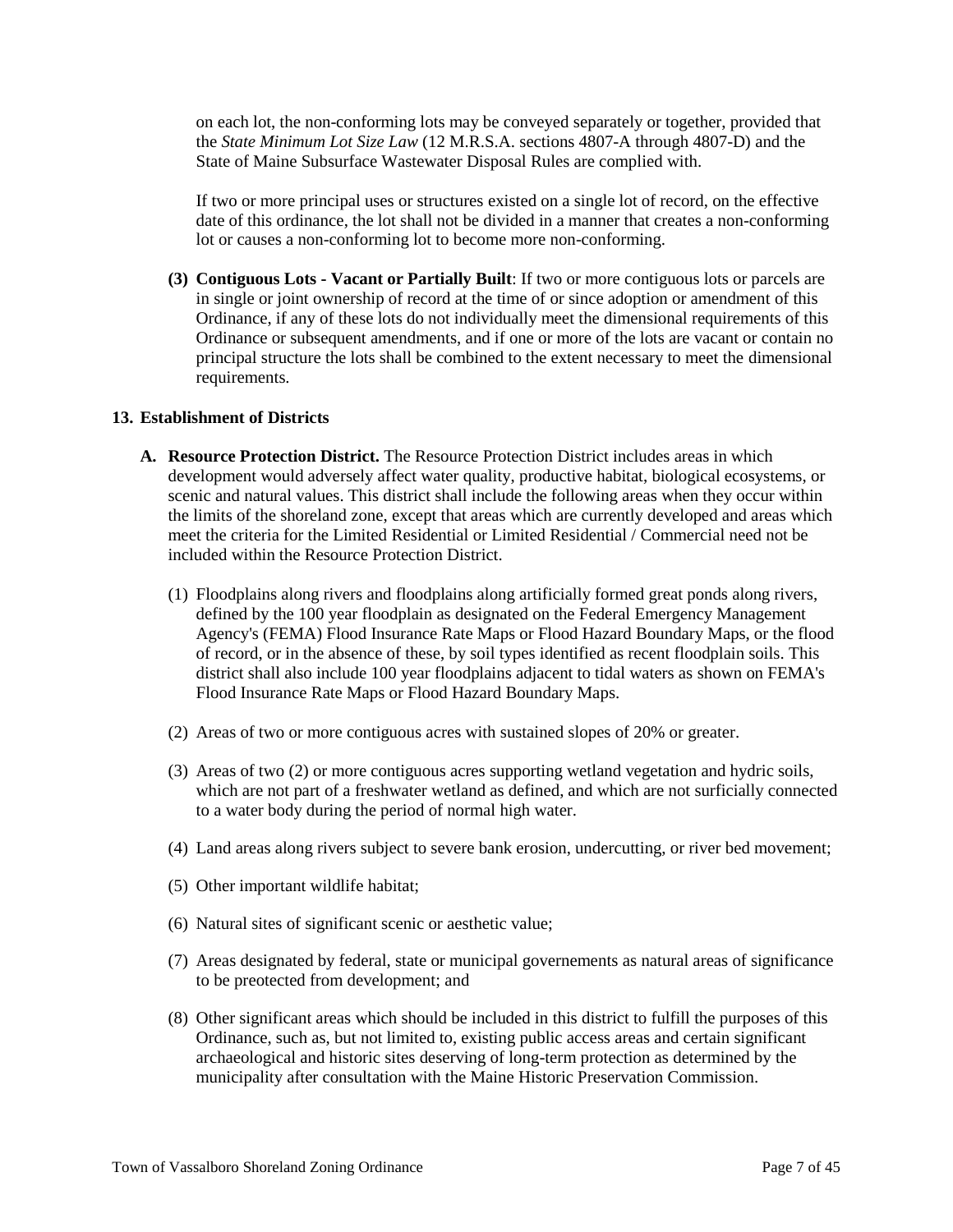on each lot, the non-conforming lots may be conveyed separately or together, provided that the *State Minimum Lot Size Law* (12 M.R.S.A. sections 4807-A through 4807-D) and the State of Maine Subsurface Wastewater Disposal Rules are complied with.

If two or more principal uses or structures existed on a single lot of record, on the effective date of this ordinance, the lot shall not be divided in a manner that creates a non-conforming lot or causes a non-conforming lot to become more non-conforming.

**(3) Contiguous Lots - Vacant or Partially Built**: If two or more contiguous lots or parcels are in single or joint ownership of record at the time of or since adoption or amendment of this Ordinance, if any of these lots do not individually meet the dimensional requirements of this Ordinance or subsequent amendments, and if one or more of the lots are vacant or contain no principal structure the lots shall be combined to the extent necessary to meet the dimensional requirements.

# **13. Establishment of Districts**

- **A. Resource Protection District.** The Resource Protection District includes areas in which development would adversely affect water quality, productive habitat, biological ecosystems, or scenic and natural values. This district shall include the following areas when they occur within the limits of the shoreland zone, except that areas which are currently developed and areas which meet the criteria for the Limited Residential or Limited Residential / Commercial need not be included within the Resource Protection District.
	- (1) Floodplains along rivers and floodplains along artificially formed great ponds along rivers, defined by the 100 year floodplain as designated on the Federal Emergency Management Agency's (FEMA) Flood Insurance Rate Maps or Flood Hazard Boundary Maps, or the flood of record, or in the absence of these, by soil types identified as recent floodplain soils. This district shall also include 100 year floodplains adjacent to tidal waters as shown on FEMA's Flood Insurance Rate Maps or Flood Hazard Boundary Maps.
	- (2) Areas of two or more contiguous acres with sustained slopes of 20% or greater.
	- (3) Areas of two (2) or more contiguous acres supporting wetland vegetation and hydric soils, which are not part of a freshwater wetland as defined, and which are not surficially connected to a water body during the period of normal high water.
	- (4) Land areas along rivers subject to severe bank erosion, undercutting, or river bed movement;
	- (5) Other important wildlife habitat;
	- (6) Natural sites of significant scenic or aesthetic value;
	- (7) Areas designated by federal, state or municipal governements as natural areas of significance to be preotected from development; and
	- (8) Other significant areas which should be included in this district to fulfill the purposes of this Ordinance, such as, but not limited to, existing public access areas and certain significant archaeological and historic sites deserving of long-term protection as determined by the municipality after consultation with the Maine Historic Preservation Commission.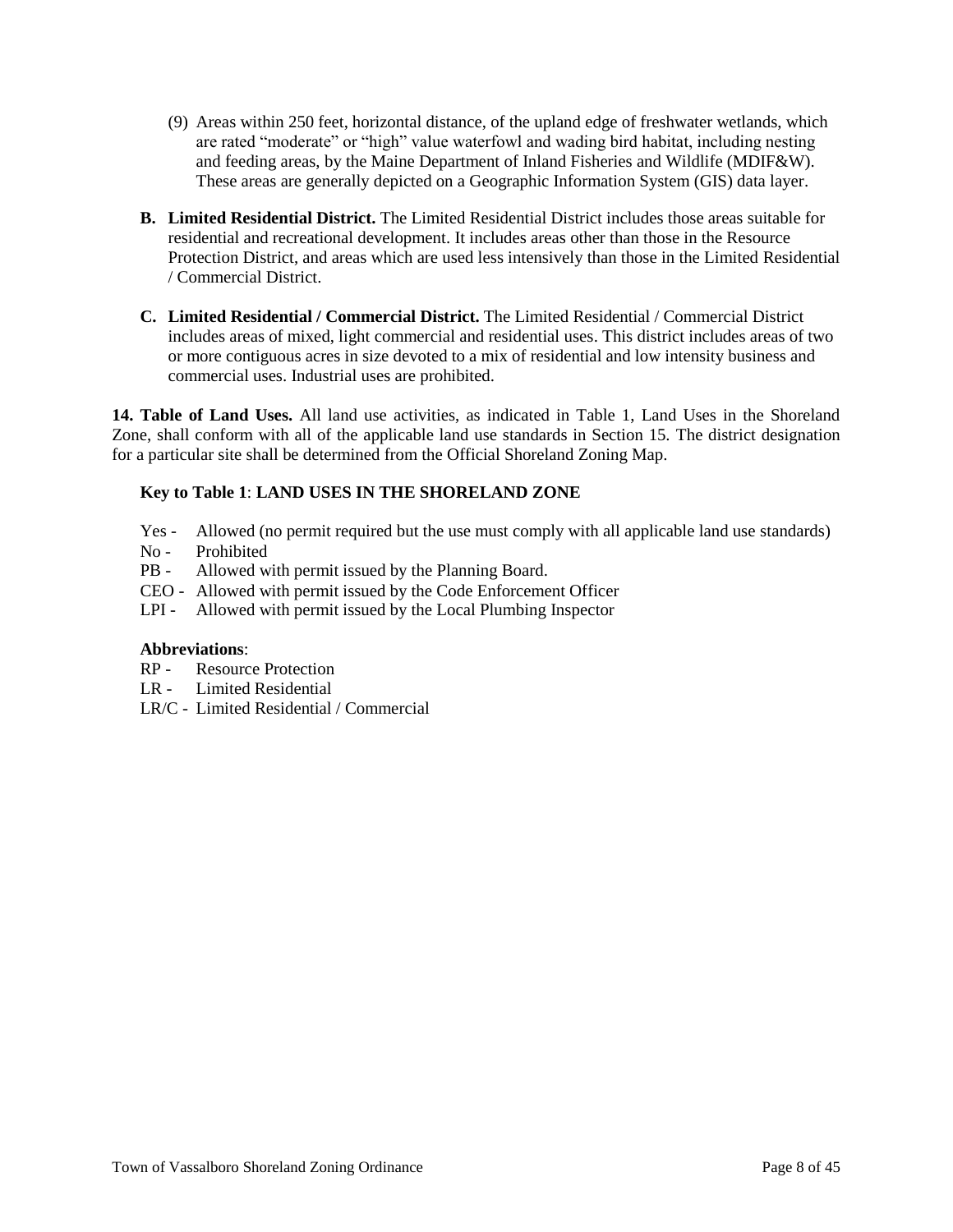- (9) Areas within 250 feet, horizontal distance, of the upland edge of freshwater wetlands, which are rated "moderate" or "high" value waterfowl and wading bird habitat, including nesting and feeding areas, by the Maine Department of Inland Fisheries and Wildlife (MDIF&W). These areas are generally depicted on a Geographic Information System (GIS) data layer.
- **B. Limited Residential District.** The Limited Residential District includes those areas suitable for residential and recreational development. It includes areas other than those in the Resource Protection District, and areas which are used less intensively than those in the Limited Residential / Commercial District.
- **C. Limited Residential / Commercial District.** The Limited Residential / Commercial District includes areas of mixed, light commercial and residential uses. This district includes areas of two or more contiguous acres in size devoted to a mix of residential and low intensity business and commercial uses. Industrial uses are prohibited.

**14. Table of Land Uses.** All land use activities, as indicated in Table 1, Land Uses in the Shoreland Zone, shall conform with all of the applicable land use standards in Section 15. The district designation for a particular site shall be determined from the Official Shoreland Zoning Map.

# **Key to Table 1**: **LAND USES IN THE SHORELAND ZONE**

- Yes Allowed (no permit required but the use must comply with all applicable land use standards)
- No Prohibited
- PB Allowed with permit issued by the Planning Board.
- CEO Allowed with permit issued by the Code Enforcement Officer
- LPI Allowed with permit issued by the Local Plumbing Inspector

#### **Abbreviations**:

- RP Resource Protection
- LR Limited Residential
- LR/C Limited Residential / Commercial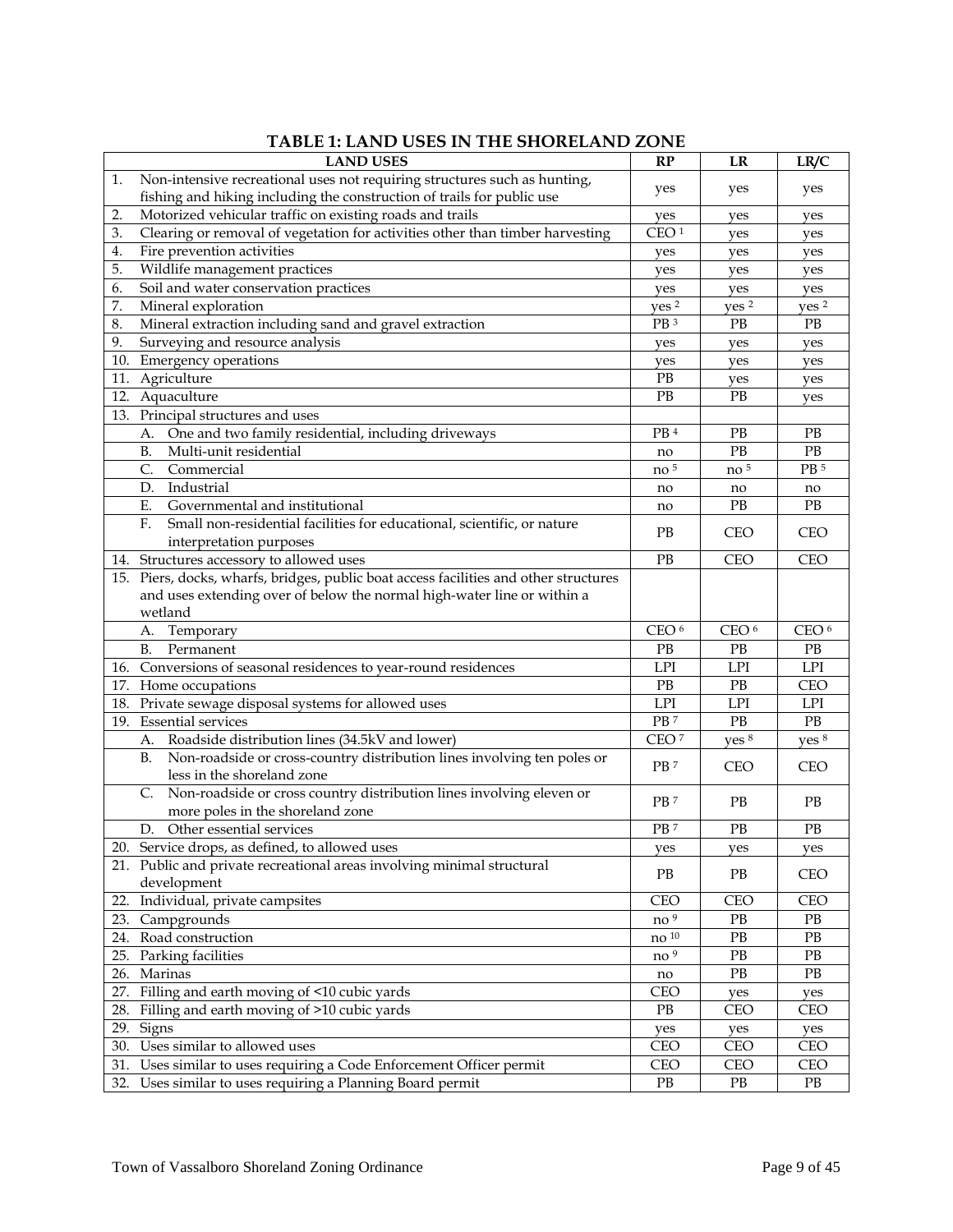|            | L I, LINTE COLO II , THE SHORELINTE                                                                                        |                    |                  |                  |
|------------|----------------------------------------------------------------------------------------------------------------------------|--------------------|------------------|------------------|
|            | <b>LAND USES</b>                                                                                                           | RP                 | LR               | LR/C             |
| 1.         | Non-intensive recreational uses not requiring structures such as hunting,                                                  | yes                | yes              | yes              |
|            | fishing and hiking including the construction of trails for public use                                                     |                    |                  |                  |
| 2.         | Motorized vehicular traffic on existing roads and trails                                                                   | yes                | yes              | yes              |
| 3.         | Clearing or removal of vegetation for activities other than timber harvesting                                              | CEO <sup>1</sup>   | yes              | yes              |
| 4.         | Fire prevention activities                                                                                                 | yes                | yes              | yes              |
| 5.         | Wildlife management practices                                                                                              | yes                | yes              | yes              |
| 6.         | Soil and water conservation practices                                                                                      | yes                | yes              | yes              |
| 7.         | Mineral exploration                                                                                                        | yes <sup>2</sup>   | yes <sup>2</sup> | yes <sup>2</sup> |
| 8.         | Mineral extraction including sand and gravel extraction                                                                    | PB <sup>3</sup>    | $\rm{PB}$        | $\rm{PB}$        |
| 9.         | Surveying and resource analysis                                                                                            | yes                | yes              | yes              |
|            | 10. Emergency operations                                                                                                   | yes                | yes              | yes              |
| 11.        | Agriculture                                                                                                                | PB                 | yes              | yes              |
| 12.        | Aquaculture                                                                                                                | PB                 | PB               | yes              |
|            | 13. Principal structures and uses                                                                                          |                    |                  |                  |
|            | One and two family residential, including driveways<br>А.                                                                  | $PB$ <sup>4</sup>  | PB               | PB               |
|            | <b>B.</b><br>Multi-unit residential                                                                                        | no                 | PB               | PB               |
|            | Commercial<br>C.                                                                                                           | no <sub>5</sub>    | no <sup>5</sup>  | $\rm PB$ $^5$    |
|            | Industrial<br>D.                                                                                                           | no                 | no               | no               |
|            | Governmental and institutional<br>Ε.                                                                                       | no                 | PB               | $\rm{PB}$        |
|            | Small non-residential facilities for educational, scientific, or nature<br>F.                                              |                    |                  |                  |
|            | interpretation purposes                                                                                                    | PB                 | <b>CEO</b>       | <b>CEO</b>       |
| 14.        | Structures accessory to allowed uses                                                                                       | PB                 | <b>CEO</b>       | <b>CEO</b>       |
|            | 15. Piers, docks, wharfs, bridges, public boat access facilities and other structures                                      |                    |                  |                  |
|            | and uses extending over of below the normal high-water line or within a                                                    |                    |                  |                  |
|            | wetland                                                                                                                    |                    |                  |                  |
|            | Temporary<br>A.                                                                                                            | CEO <sup>6</sup>   | CEO <sup>6</sup> | CEO <sup>6</sup> |
|            | <b>B.</b><br>Permanent                                                                                                     | PB                 | PB               | PB               |
|            | 16. Conversions of seasonal residences to year-round residences                                                            | LPI                | LPI              | LPI              |
|            | 17. Home occupations                                                                                                       | PB                 | PB               | CEO              |
| 18.        | Private sewage disposal systems for allowed uses                                                                           | LPI                | LPI              | LPI              |
| 19.        | <b>Essential services</b>                                                                                                  | PB <sub>7</sub>    | PB               | $\rm{PB}$        |
|            | Roadside distribution lines (34.5kV and lower)<br>А.                                                                       | $\overline{CEO}$ 7 | yes 8            | yes 8            |
|            | Non-roadside or cross-country distribution lines involving ten poles or<br><b>B.</b>                                       |                    |                  |                  |
|            | less in the shoreland zone                                                                                                 | PB <sub>7</sub>    | <b>CEO</b>       | <b>CEO</b>       |
|            | Non-roadside or cross country distribution lines involving eleven or<br>C.                                                 |                    |                  |                  |
|            | more poles in the shoreland zone                                                                                           | PB <sub>7</sub>    | PB               | PB               |
|            | D.<br>Other essential services                                                                                             | PB <sub>7</sub>    | PB               | PB               |
|            | 20. Service drops, as defined, to allowed uses                                                                             | yes                | yes              | yes              |
|            | 21. Public and private recreational areas involving minimal structural                                                     |                    |                  |                  |
|            | development                                                                                                                | PB                 | PB               | <b>CEO</b>       |
| 22.        | Individual, private campsites                                                                                              | <b>CEO</b>         | <b>CEO</b>       | CEO              |
|            | 23. Campgrounds                                                                                                            | no <sup>9</sup>    | PB               | PB               |
|            | 24. Road construction                                                                                                      | no <sup>10</sup>   | $\rm{PB}$        | $\rm{PB}$        |
|            | 25. Parking facilities                                                                                                     | no <sup>9</sup>    | $\rm{PB}$        | $\rm PB$         |
|            | 26. Marinas                                                                                                                | no                 | $\rm{PB}$        | PB               |
| 27.        | Filling and earth moving of <10 cubic yards                                                                                | <b>CEO</b>         | yes              | yes              |
| 28.        | Filling and earth moving of >10 cubic yards                                                                                | PB                 | CEO              | <b>CEO</b>       |
| 29.        | <b>Signs</b>                                                                                                               |                    |                  |                  |
| 30.        |                                                                                                                            | yes                | yes              | yes              |
|            |                                                                                                                            |                    |                  |                  |
|            | Uses similar to allowed uses                                                                                               | <b>CEO</b>         | <b>CEO</b>       | <b>CEO</b>       |
| 31.<br>32. | Uses similar to uses requiring a Code Enforcement Officer permit<br>Uses similar to uses requiring a Planning Board permit | CEO<br>PB          | CEO<br>$\rm{PB}$ | CEO<br>$\rm{PB}$ |

# **TABLE 1: LAND USES IN THE SHORELAND ZONE**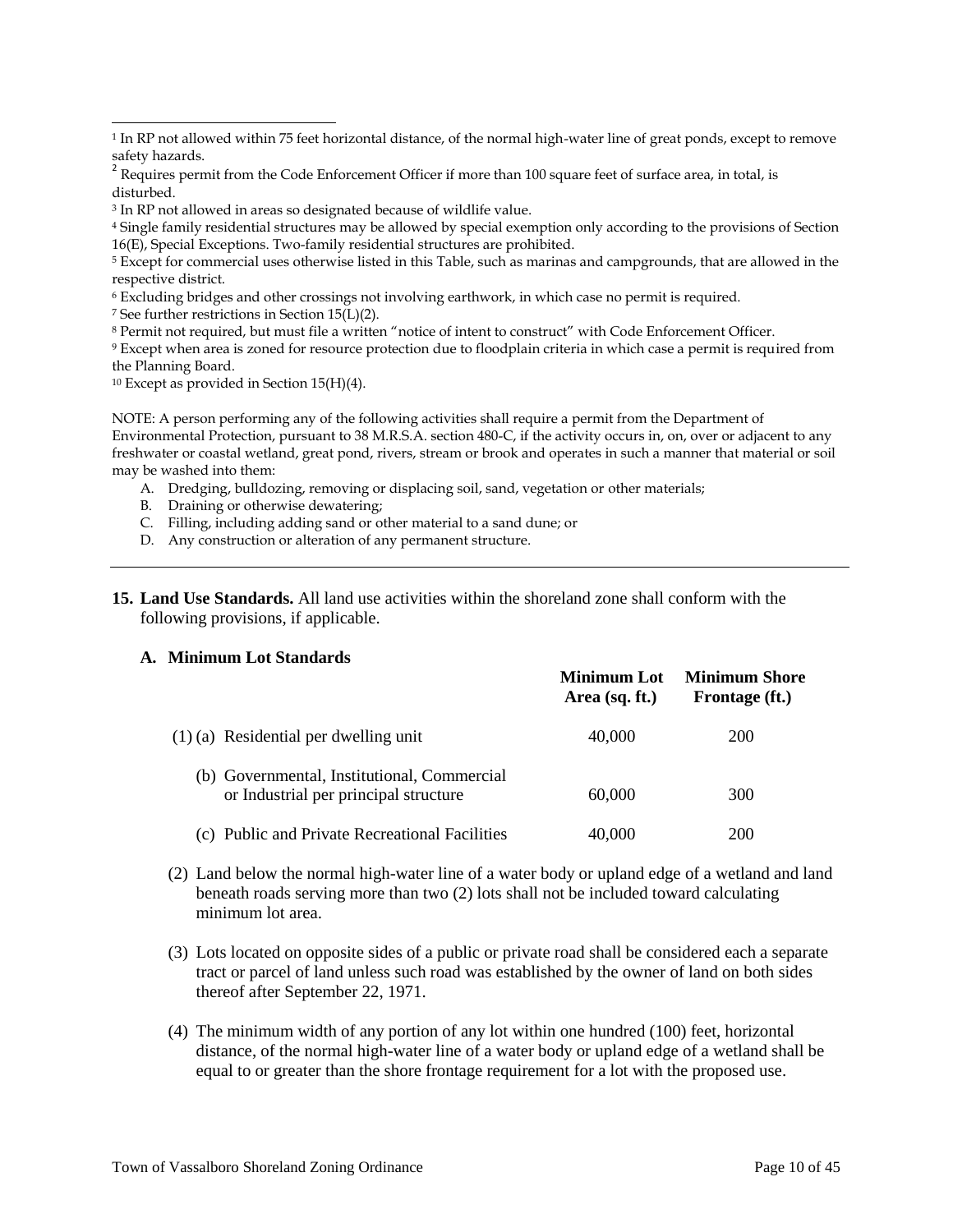<sup>6</sup> Excluding bridges and other crossings not involving earthwork, in which case no permit is required.

<sup>7</sup> See further restrictions in Section 15(L)(2).

 $\overline{a}$ 

<sup>8</sup> Permit not required, but must file a written "notice of intent to construct" with Code Enforcement Officer.

<sup>9</sup> Except when area is zoned for resource protection due to floodplain criteria in which case a permit is required from the Planning Board.

<sup>10</sup> Except as provided in Section 15(H)(4).

NOTE: A person performing any of the following activities shall require a permit from the Department of Environmental Protection, pursuant to 38 M.R.S.A. section 480-C, if the activity occurs in, on, over or adjacent to any freshwater or coastal wetland, great pond, rivers, stream or brook and operates in such a manner that material or soil may be washed into them:

- A. Dredging, bulldozing, removing or displacing soil, sand, vegetation or other materials;
- B. Draining or otherwise dewatering;
- C. Filling, including adding sand or other material to a sand dune; or
- D. Any construction or alteration of any permanent structure.
- **15. Land Use Standards.** All land use activities within the shoreland zone shall conform with the following provisions, if applicable.

#### **A. Minimum Lot Standards**

|                                                                                      | <b>Minimum Lot</b><br>Area (sq. ft.) | <b>Minimum Shore</b><br>Frontage (ft.) |
|--------------------------------------------------------------------------------------|--------------------------------------|----------------------------------------|
| $(1)$ (a) Residential per dwelling unit                                              | 40,000                               | 200                                    |
| (b) Governmental, Institutional, Commercial<br>or Industrial per principal structure | 60,000                               | 300                                    |
| (c) Public and Private Recreational Facilities                                       | 40,000                               | 200                                    |

- (2) Land below the normal high-water line of a water body or upland edge of a wetland and land beneath roads serving more than two (2) lots shall not be included toward calculating minimum lot area.
- (3) Lots located on opposite sides of a public or private road shall be considered each a separate tract or parcel of land unless such road was established by the owner of land on both sides thereof after September 22, 1971.
- (4) The minimum width of any portion of any lot within one hundred (100) feet, horizontal distance, of the normal high-water line of a water body or upland edge of a wetland shall be equal to or greater than the shore frontage requirement for a lot with the proposed use.

<sup>1</sup> In RP not allowed within 75 feet horizontal distance, of the normal high-water line of great ponds, except to remove

safety hazards.<br><sup>2</sup> Requires permit from the Code Enforcement Officer if more than 100 square feet of surface area, in total, is disturbed.

<sup>3</sup> In RP not allowed in areas so designated because of wildlife value.

<sup>4</sup> Single family residential structures may be allowed by special exemption only according to the provisions of Section 16(E), Special Exceptions. Two-family residential structures are prohibited.

<sup>5</sup> Except for commercial uses otherwise listed in this Table, such as marinas and campgrounds, that are allowed in the respective district.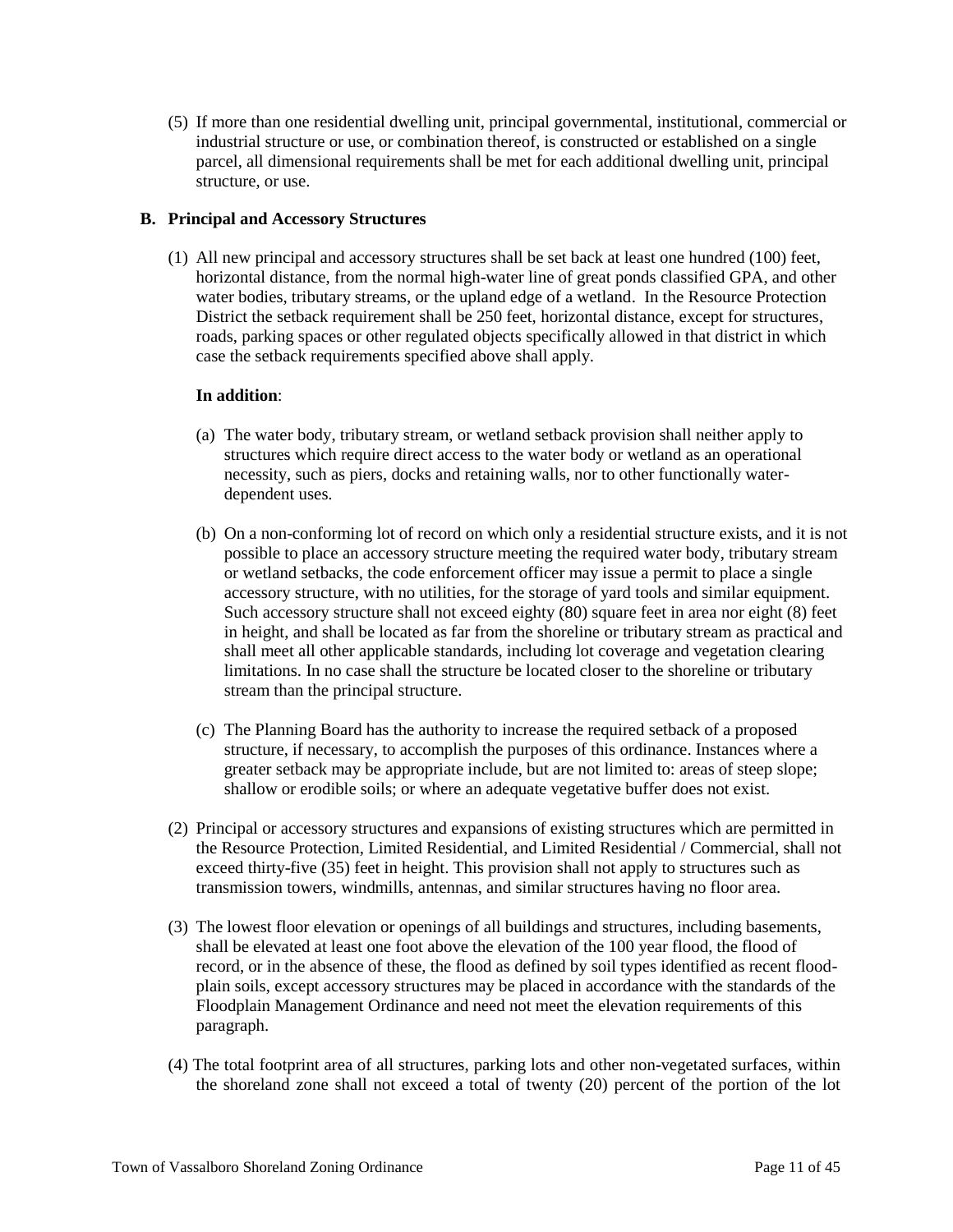(5) If more than one residential dwelling unit, principal governmental, institutional, commercial or industrial structure or use, or combination thereof, is constructed or established on a single parcel, all dimensional requirements shall be met for each additional dwelling unit, principal structure, or use.

# **B. Principal and Accessory Structures**

(1) All new principal and accessory structures shall be set back at least one hundred (100) feet, horizontal distance, from the normal high-water line of great ponds classified GPA, and other water bodies, tributary streams, or the upland edge of a wetland. In the Resource Protection District the setback requirement shall be 250 feet, horizontal distance, except for structures, roads, parking spaces or other regulated objects specifically allowed in that district in which case the setback requirements specified above shall apply.

# **In addition**:

- (a) The water body, tributary stream, or wetland setback provision shall neither apply to structures which require direct access to the water body or wetland as an operational necessity, such as piers, docks and retaining walls, nor to other functionally waterdependent uses.
- (b) On a non-conforming lot of record on which only a residential structure exists, and it is not possible to place an accessory structure meeting the required water body, tributary stream or wetland setbacks, the code enforcement officer may issue a permit to place a single accessory structure, with no utilities, for the storage of yard tools and similar equipment. Such accessory structure shall not exceed eighty (80) square feet in area nor eight (8) feet in height, and shall be located as far from the shoreline or tributary stream as practical and shall meet all other applicable standards, including lot coverage and vegetation clearing limitations. In no case shall the structure be located closer to the shoreline or tributary stream than the principal structure.
- (c) The Planning Board has the authority to increase the required setback of a proposed structure, if necessary, to accomplish the purposes of this ordinance. Instances where a greater setback may be appropriate include, but are not limited to: areas of steep slope; shallow or erodible soils; or where an adequate vegetative buffer does not exist.
- (2) Principal or accessory structures and expansions of existing structures which are permitted in the Resource Protection, Limited Residential, and Limited Residential / Commercial, shall not exceed thirty-five (35) feet in height. This provision shall not apply to structures such as transmission towers, windmills, antennas, and similar structures having no floor area.
- (3) The lowest floor elevation or openings of all buildings and structures, including basements, shall be elevated at least one foot above the elevation of the 100 year flood, the flood of record, or in the absence of these, the flood as defined by soil types identified as recent floodplain soils, except accessory structures may be placed in accordance with the standards of the Floodplain Management Ordinance and need not meet the elevation requirements of this paragraph.
- (4) The total footprint area of all structures, parking lots and other non-vegetated surfaces, within the shoreland zone shall not exceed a total of twenty (20) percent of the portion of the lot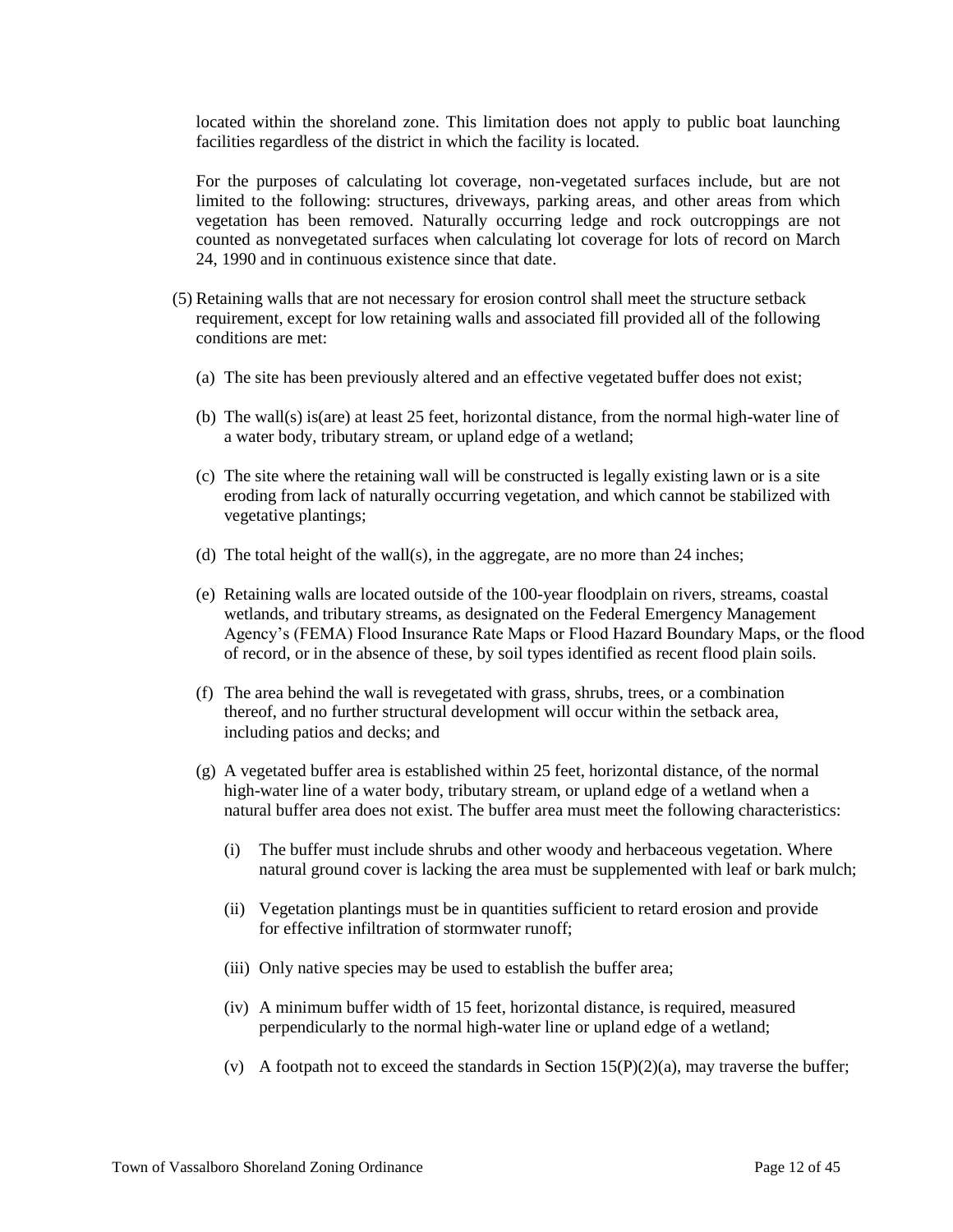located within the shoreland zone. This limitation does not apply to public boat launching facilities regardless of the district in which the facility is located.

For the purposes of calculating lot coverage, non-vegetated surfaces include, but are not limited to the following: structures, driveways, parking areas, and other areas from which vegetation has been removed. Naturally occurring ledge and rock outcroppings are not counted as nonvegetated surfaces when calculating lot coverage for lots of record on March 24, 1990 and in continuous existence since that date.

- (5) Retaining walls that are not necessary for erosion control shall meet the structure setback requirement, except for low retaining walls and associated fill provided all of the following conditions are met:
	- (a) The site has been previously altered and an effective vegetated buffer does not exist;
	- (b) The wall(s) is(are) at least 25 feet, horizontal distance, from the normal high-water line of a water body, tributary stream, or upland edge of a wetland;
	- (c) The site where the retaining wall will be constructed is legally existing lawn or is a site eroding from lack of naturally occurring vegetation, and which cannot be stabilized with vegetative plantings;
	- (d) The total height of the wall(s), in the aggregate, are no more than 24 inches;
	- (e) Retaining walls are located outside of the 100-year floodplain on rivers, streams, coastal wetlands, and tributary streams, as designated on the Federal Emergency Management Agency's (FEMA) Flood Insurance Rate Maps or Flood Hazard Boundary Maps, or the flood of record, or in the absence of these, by soil types identified as recent flood plain soils.
	- (f) The area behind the wall is revegetated with grass, shrubs, trees, or a combination thereof, and no further structural development will occur within the setback area, including patios and decks; and
	- (g) A vegetated buffer area is established within 25 feet, horizontal distance, of the normal high-water line of a water body, tributary stream, or upland edge of a wetland when a natural buffer area does not exist. The buffer area must meet the following characteristics:
		- (i) The buffer must include shrubs and other woody and herbaceous vegetation. Where natural ground cover is lacking the area must be supplemented with leaf or bark mulch;
		- (ii) Vegetation plantings must be in quantities sufficient to retard erosion and provide for effective infiltration of stormwater runoff;
		- (iii) Only native species may be used to establish the buffer area;
		- (iv) A minimum buffer width of 15 feet, horizontal distance, is required, measured perpendicularly to the normal high-water line or upland edge of a wetland;
		- (v) A footpath not to exceed the standards in Section  $15(P)(2)(a)$ , may traverse the buffer;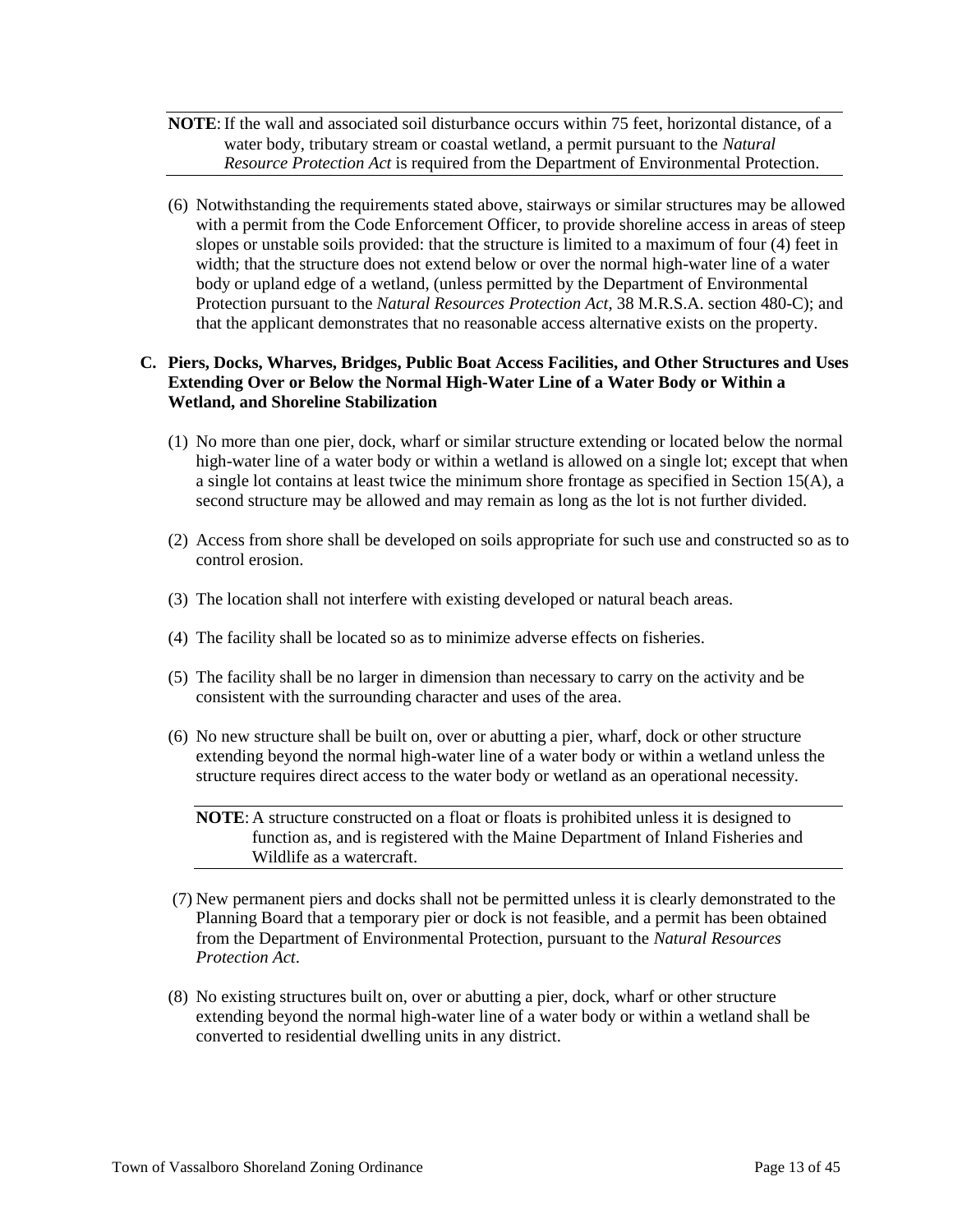**NOTE:** If the wall and associated soil disturbance occurs within 75 feet, horizontal distance, of a water body, tributary stream or coastal wetland, a permit pursuant to the *Natural Resource Protection Act* is required from the Department of Environmental Protection.

(6) Notwithstanding the requirements stated above, stairways or similar structures may be allowed with a permit from the Code Enforcement Officer, to provide shoreline access in areas of steep slopes or unstable soils provided: that the structure is limited to a maximum of four (4) feet in width; that the structure does not extend below or over the normal high-water line of a water body or upland edge of a wetland, (unless permitted by the Department of Environmental Protection pursuant to the *Natural Resources Protection Act*, 38 M.R.S.A. section 480-C); and that the applicant demonstrates that no reasonable access alternative exists on the property.

# **C. Piers, Docks, Wharves, Bridges, Public Boat Access Facilities, and Other Structures and Uses Extending Over or Below the Normal High-Water Line of a Water Body or Within a Wetland, and Shoreline Stabilization**

- (1) No more than one pier, dock, wharf or similar structure extending or located below the normal high-water line of a water body or within a wetland is allowed on a single lot; except that when a single lot contains at least twice the minimum shore frontage as specified in Section 15(A), a second structure may be allowed and may remain as long as the lot is not further divided.
- (2) Access from shore shall be developed on soils appropriate for such use and constructed so as to control erosion.
- (3) The location shall not interfere with existing developed or natural beach areas.
- (4) The facility shall be located so as to minimize adverse effects on fisheries.
- (5) The facility shall be no larger in dimension than necessary to carry on the activity and be consistent with the surrounding character and uses of the area.
- (6) No new structure shall be built on, over or abutting a pier, wharf, dock or other structure extending beyond the normal high-water line of a water body or within a wetland unless the structure requires direct access to the water body or wetland as an operational necessity.

**NOTE**: A structure constructed on a float or floats is prohibited unless it is designed to function as, and is registered with the Maine Department of Inland Fisheries and Wildlife as a watercraft.

- (7) New permanent piers and docks shall not be permitted unless it is clearly demonstrated to the Planning Board that a temporary pier or dock is not feasible, and a permit has been obtained from the Department of Environmental Protection, pursuant to the *Natural Resources Protection Act*.
- (8) No existing structures built on, over or abutting a pier, dock, wharf or other structure extending beyond the normal high-water line of a water body or within a wetland shall be converted to residential dwelling units in any district.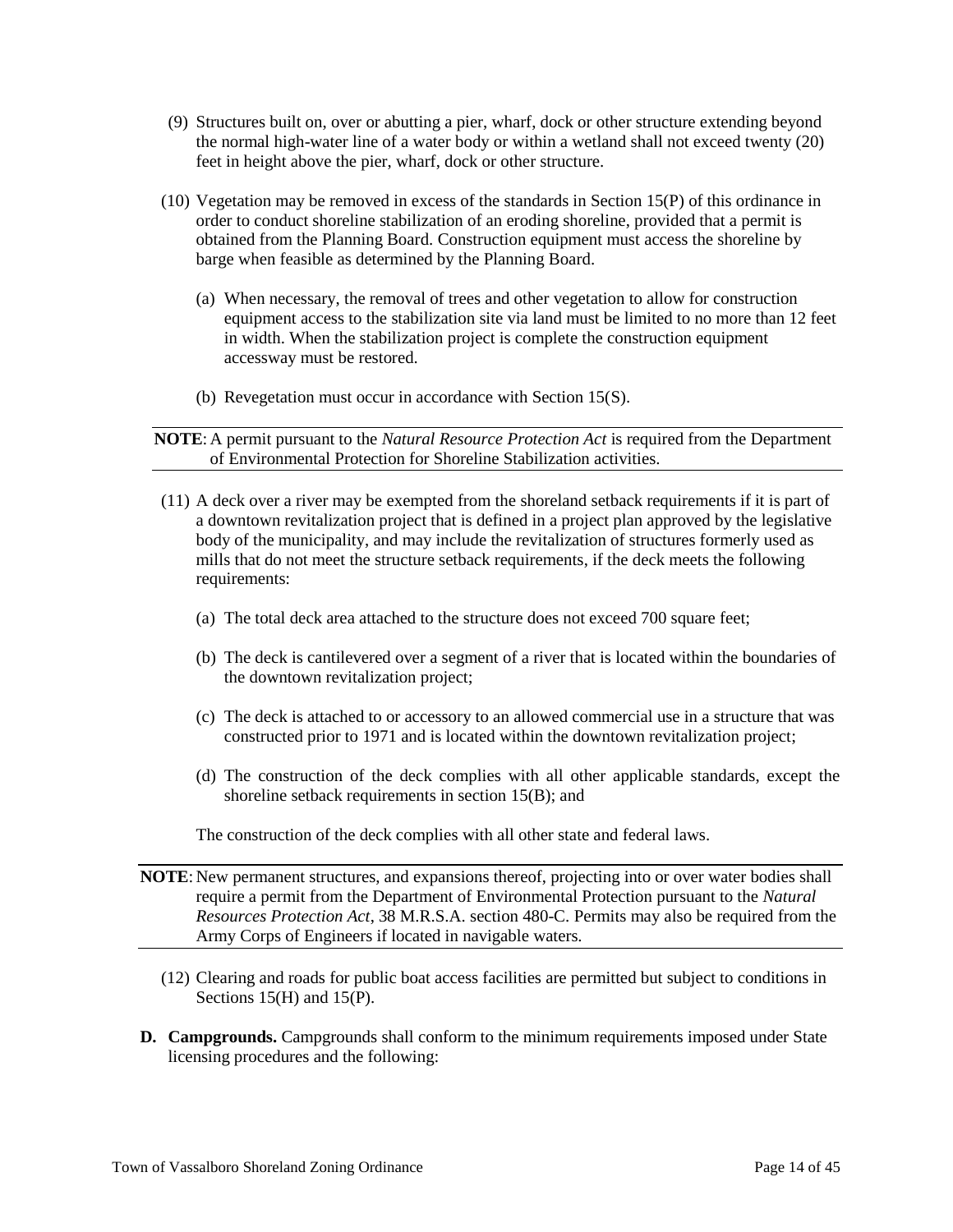- (9) Structures built on, over or abutting a pier, wharf, dock or other structure extending beyond the normal high-water line of a water body or within a wetland shall not exceed twenty (20) feet in height above the pier, wharf, dock or other structure.
- (10) Vegetation may be removed in excess of the standards in Section 15(P) of this ordinance in order to conduct shoreline stabilization of an eroding shoreline, provided that a permit is obtained from the Planning Board. Construction equipment must access the shoreline by barge when feasible as determined by the Planning Board.
	- (a) When necessary, the removal of trees and other vegetation to allow for construction equipment access to the stabilization site via land must be limited to no more than 12 feet in width. When the stabilization project is complete the construction equipment accessway must be restored.
	- (b) Revegetation must occur in accordance with Section 15(S).

**NOTE**: A permit pursuant to the *Natural Resource Protection Act* is required from the Department of Environmental Protection for Shoreline Stabilization activities.

- (11) A deck over a river may be exempted from the shoreland setback requirements if it is part of a downtown revitalization project that is defined in a project plan approved by the legislative body of the municipality, and may include the revitalization of structures formerly used as mills that do not meet the structure setback requirements, if the deck meets the following requirements:
	- (a) The total deck area attached to the structure does not exceed 700 square feet;
	- (b) The deck is cantilevered over a segment of a river that is located within the boundaries of the downtown revitalization project;
	- (c) The deck is attached to or accessory to an allowed commercial use in a structure that was constructed prior to 1971 and is located within the downtown revitalization project;
	- (d) The construction of the deck complies with all other applicable standards, except the shoreline setback requirements in section 15(B); and

The construction of the deck complies with all other state and federal laws.

- **NOTE**: New permanent structures, and expansions thereof, projecting into or over water bodies shall require a permit from the Department of Environmental Protection pursuant to the *Natural Resources Protection Act*, 38 M.R.S.A. section 480-C. Permits may also be required from the Army Corps of Engineers if located in navigable waters.
	- (12) Clearing and roads for public boat access facilities are permitted but subject to conditions in Sections 15(H) and 15(P).
- **D. Campgrounds.** Campgrounds shall conform to the minimum requirements imposed under State licensing procedures and the following: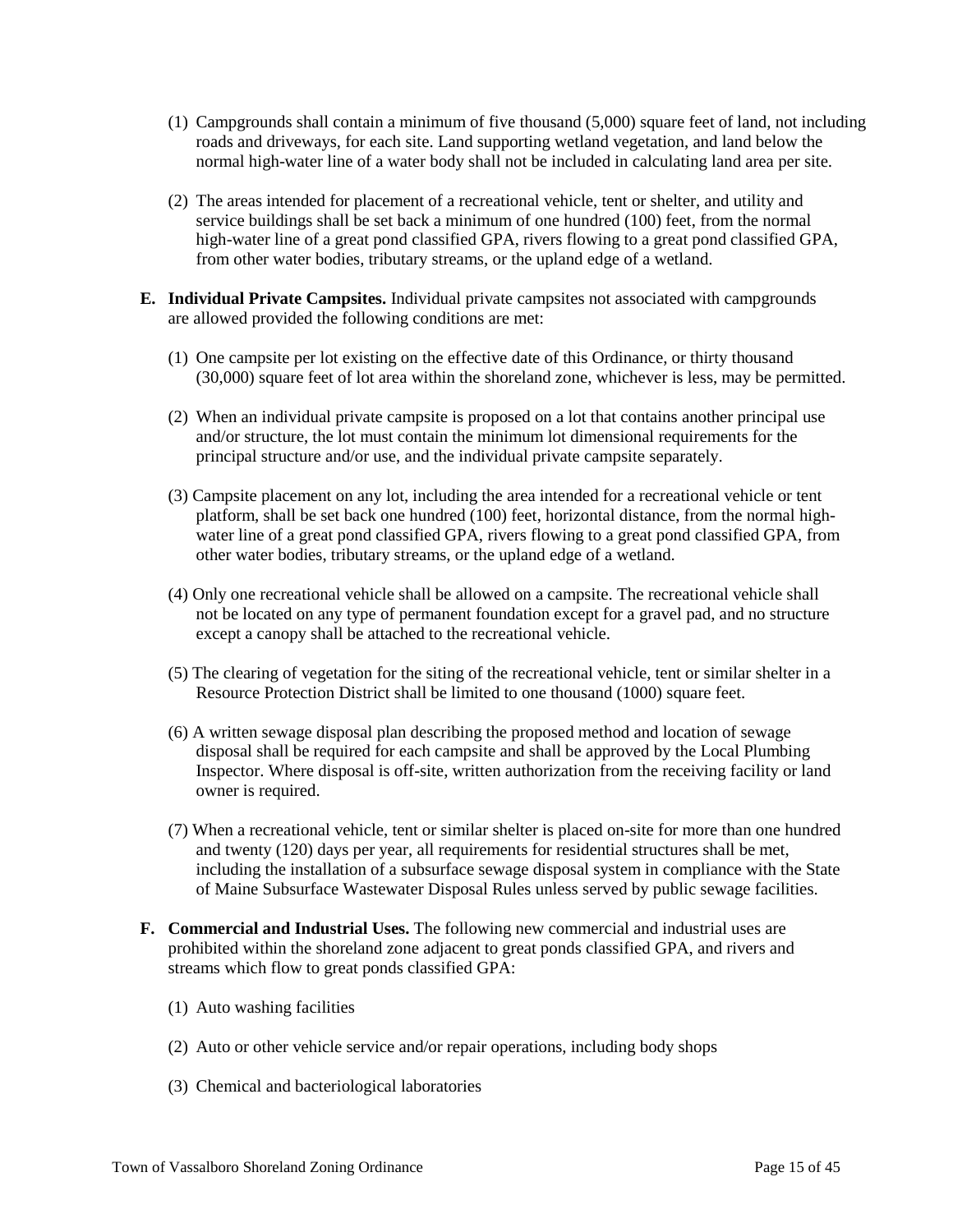- (1) Campgrounds shall contain a minimum of five thousand (5,000) square feet of land, not including roads and driveways, for each site. Land supporting wetland vegetation, and land below the normal high-water line of a water body shall not be included in calculating land area per site.
- (2) The areas intended for placement of a recreational vehicle, tent or shelter, and utility and service buildings shall be set back a minimum of one hundred (100) feet, from the normal high-water line of a great pond classified GPA, rivers flowing to a great pond classified GPA, from other water bodies, tributary streams, or the upland edge of a wetland.
- **E. Individual Private Campsites.** Individual private campsites not associated with campgrounds are allowed provided the following conditions are met:
	- (1) One campsite per lot existing on the effective date of this Ordinance, or thirty thousand (30,000) square feet of lot area within the shoreland zone, whichever is less, may be permitted.
	- (2) When an individual private campsite is proposed on a lot that contains another principal use and/or structure, the lot must contain the minimum lot dimensional requirements for the principal structure and/or use, and the individual private campsite separately.
	- (3) Campsite placement on any lot, including the area intended for a recreational vehicle or tent platform, shall be set back one hundred (100) feet, horizontal distance, from the normal highwater line of a great pond classified GPA, rivers flowing to a great pond classified GPA, from other water bodies, tributary streams, or the upland edge of a wetland.
	- (4) Only one recreational vehicle shall be allowed on a campsite. The recreational vehicle shall not be located on any type of permanent foundation except for a gravel pad, and no structure except a canopy shall be attached to the recreational vehicle.
	- (5) The clearing of vegetation for the siting of the recreational vehicle, tent or similar shelter in a Resource Protection District shall be limited to one thousand (1000) square feet.
	- (6) A written sewage disposal plan describing the proposed method and location of sewage disposal shall be required for each campsite and shall be approved by the Local Plumbing Inspector. Where disposal is off-site, written authorization from the receiving facility or land owner is required.
	- (7) When a recreational vehicle, tent or similar shelter is placed on-site for more than one hundred and twenty (120) days per year, all requirements for residential structures shall be met, including the installation of a subsurface sewage disposal system in compliance with the State of Maine Subsurface Wastewater Disposal Rules unless served by public sewage facilities.
- **F. Commercial and Industrial Uses.** The following new commercial and industrial uses are prohibited within the shoreland zone adjacent to great ponds classified GPA, and rivers and streams which flow to great ponds classified GPA:
	- (1) Auto washing facilities
	- (2) Auto or other vehicle service and/or repair operations, including body shops
	- (3) Chemical and bacteriological laboratories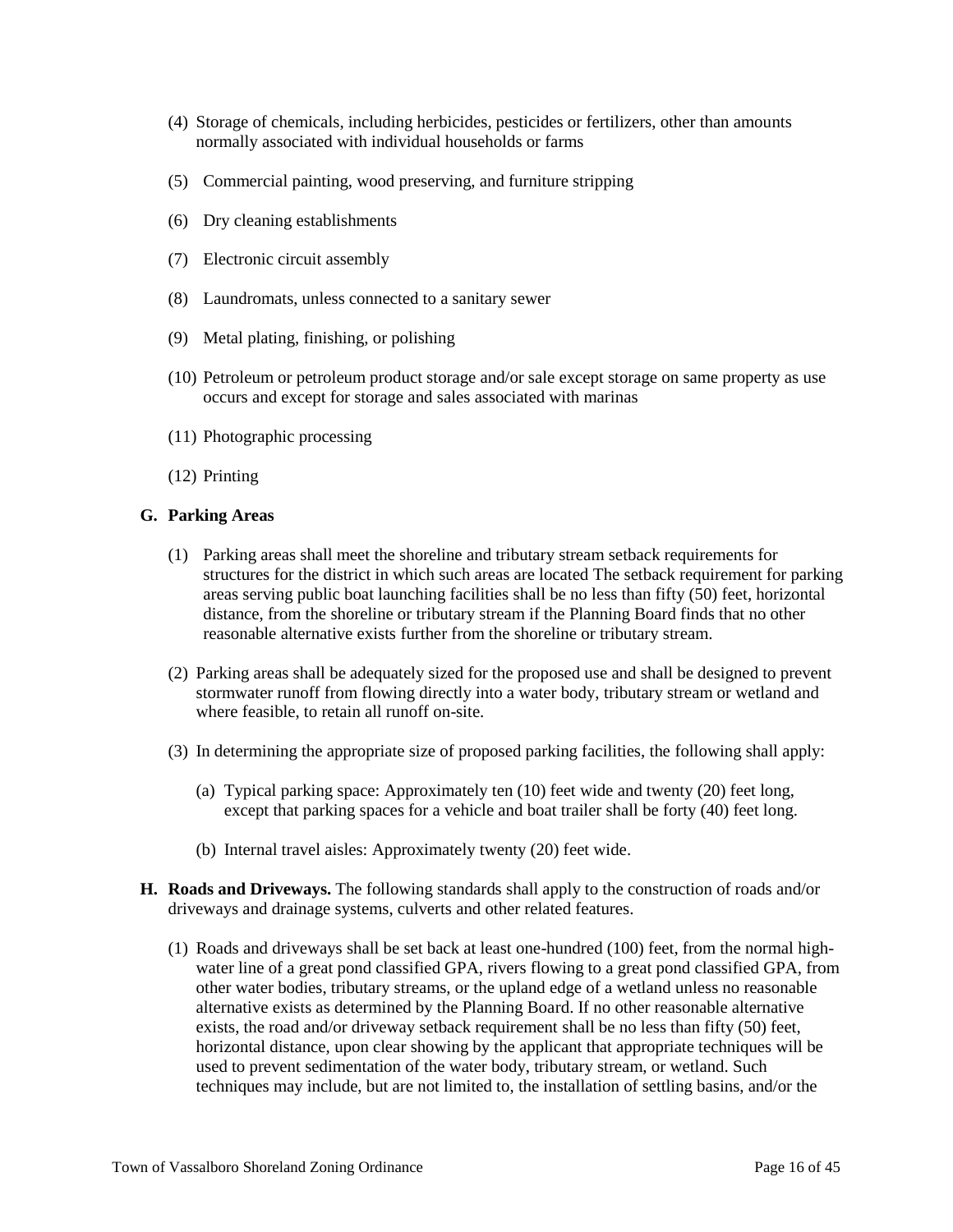- (4) Storage of chemicals, including herbicides, pesticides or fertilizers, other than amounts normally associated with individual households or farms
- (5) Commercial painting, wood preserving, and furniture stripping
- (6) Dry cleaning establishments
- (7) Electronic circuit assembly
- (8) Laundromats, unless connected to a sanitary sewer
- (9) Metal plating, finishing, or polishing
- (10) Petroleum or petroleum product storage and/or sale except storage on same property as use occurs and except for storage and sales associated with marinas
- (11) Photographic processing
- (12) Printing

#### **G. Parking Areas**

- (1) Parking areas shall meet the shoreline and tributary stream setback requirements for structures for the district in which such areas are located The setback requirement for parking areas serving public boat launching facilities shall be no less than fifty (50) feet, horizontal distance, from the shoreline or tributary stream if the Planning Board finds that no other reasonable alternative exists further from the shoreline or tributary stream.
- (2) Parking areas shall be adequately sized for the proposed use and shall be designed to prevent stormwater runoff from flowing directly into a water body, tributary stream or wetland and where feasible, to retain all runoff on-site.
- (3) In determining the appropriate size of proposed parking facilities, the following shall apply:
	- (a) Typical parking space: Approximately ten (10) feet wide and twenty (20) feet long, except that parking spaces for a vehicle and boat trailer shall be forty (40) feet long.
	- (b) Internal travel aisles: Approximately twenty (20) feet wide.
- **H. Roads and Driveways.** The following standards shall apply to the construction of roads and/or driveways and drainage systems, culverts and other related features.
	- (1) Roads and driveways shall be set back at least one-hundred (100) feet, from the normal highwater line of a great pond classified GPA, rivers flowing to a great pond classified GPA, from other water bodies, tributary streams, or the upland edge of a wetland unless no reasonable alternative exists as determined by the Planning Board. If no other reasonable alternative exists, the road and/or driveway setback requirement shall be no less than fifty (50) feet, horizontal distance, upon clear showing by the applicant that appropriate techniques will be used to prevent sedimentation of the water body, tributary stream, or wetland. Such techniques may include, but are not limited to, the installation of settling basins, and/or the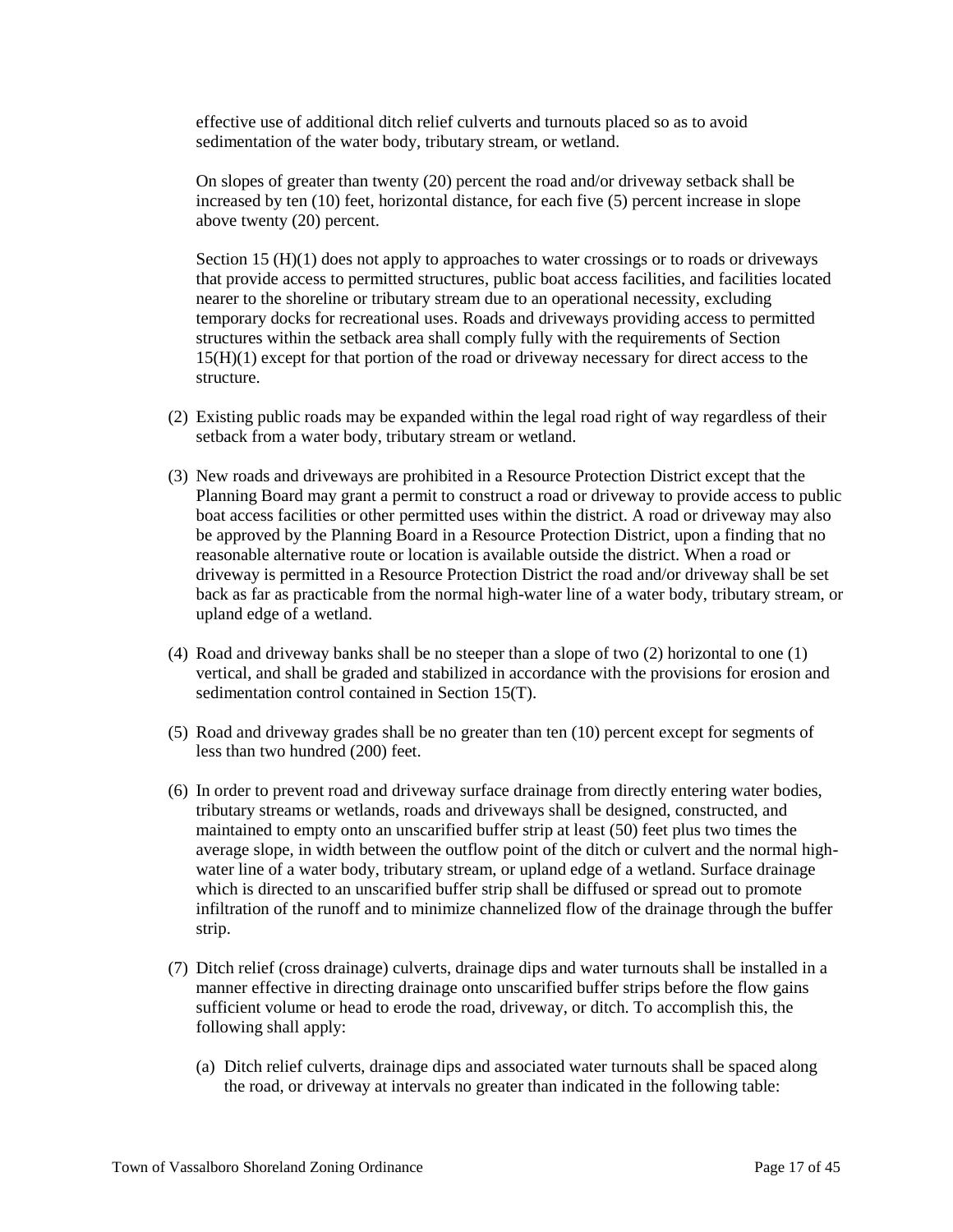effective use of additional ditch relief culverts and turnouts placed so as to avoid sedimentation of the water body, tributary stream, or wetland.

On slopes of greater than twenty (20) percent the road and/or driveway setback shall be increased by ten (10) feet, horizontal distance, for each five (5) percent increase in slope above twenty (20) percent.

Section 15 (H)(1) does not apply to approaches to water crossings or to roads or driveways that provide access to permitted structures, public boat access facilities, and facilities located nearer to the shoreline or tributary stream due to an operational necessity, excluding temporary docks for recreational uses. Roads and driveways providing access to permitted structures within the setback area shall comply fully with the requirements of Section 15(H)(1) except for that portion of the road or driveway necessary for direct access to the structure.

- (2) Existing public roads may be expanded within the legal road right of way regardless of their setback from a water body, tributary stream or wetland.
- (3) New roads and driveways are prohibited in a Resource Protection District except that the Planning Board may grant a permit to construct a road or driveway to provide access to public boat access facilities or other permitted uses within the district. A road or driveway may also be approved by the Planning Board in a Resource Protection District, upon a finding that no reasonable alternative route or location is available outside the district. When a road or driveway is permitted in a Resource Protection District the road and/or driveway shall be set back as far as practicable from the normal high-water line of a water body, tributary stream, or upland edge of a wetland.
- (4) Road and driveway banks shall be no steeper than a slope of two (2) horizontal to one (1) vertical, and shall be graded and stabilized in accordance with the provisions for erosion and sedimentation control contained in Section 15(T).
- (5) Road and driveway grades shall be no greater than ten (10) percent except for segments of less than two hundred (200) feet.
- (6) In order to prevent road and driveway surface drainage from directly entering water bodies, tributary streams or wetlands, roads and driveways shall be designed, constructed, and maintained to empty onto an unscarified buffer strip at least (50) feet plus two times the average slope, in width between the outflow point of the ditch or culvert and the normal highwater line of a water body, tributary stream, or upland edge of a wetland. Surface drainage which is directed to an unscarified buffer strip shall be diffused or spread out to promote infiltration of the runoff and to minimize channelized flow of the drainage through the buffer strip.
- (7) Ditch relief (cross drainage) culverts, drainage dips and water turnouts shall be installed in a manner effective in directing drainage onto unscarified buffer strips before the flow gains sufficient volume or head to erode the road, driveway, or ditch. To accomplish this, the following shall apply:
	- (a) Ditch relief culverts, drainage dips and associated water turnouts shall be spaced along the road, or driveway at intervals no greater than indicated in the following table: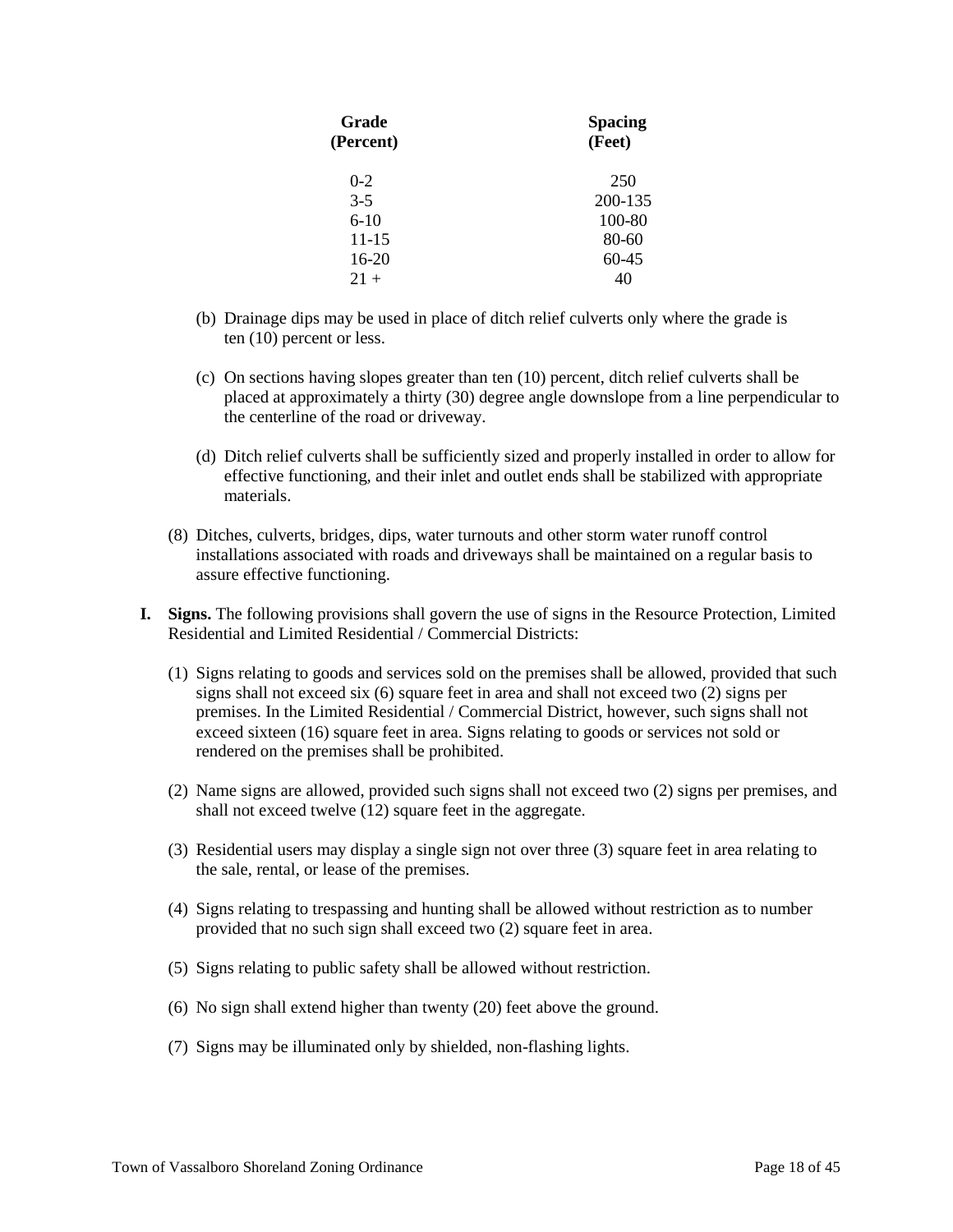| Grade<br>(Percent) | <b>Spacing</b><br>(Feet) |  |  |
|--------------------|--------------------------|--|--|
| $0 - 2$            | 250                      |  |  |
| $3-5$              | 200-135                  |  |  |
| $6-10$             | 100-80                   |  |  |
| $11 - 15$          | 80-60                    |  |  |
| $16-20$            | 60-45                    |  |  |
| $21 +$             | 40                       |  |  |

- (b) Drainage dips may be used in place of ditch relief culverts only where the grade is ten (10) percent or less.
- (c) On sections having slopes greater than ten (10) percent, ditch relief culverts shall be placed at approximately a thirty (30) degree angle downslope from a line perpendicular to the centerline of the road or driveway.
- (d) Ditch relief culverts shall be sufficiently sized and properly installed in order to allow for effective functioning, and their inlet and outlet ends shall be stabilized with appropriate materials.
- (8) Ditches, culverts, bridges, dips, water turnouts and other storm water runoff control installations associated with roads and driveways shall be maintained on a regular basis to assure effective functioning.
- **I. Signs.** The following provisions shall govern the use of signs in the Resource Protection, Limited Residential and Limited Residential / Commercial Districts:
	- (1) Signs relating to goods and services sold on the premises shall be allowed, provided that such signs shall not exceed six (6) square feet in area and shall not exceed two (2) signs per premises. In the Limited Residential / Commercial District, however, such signs shall not exceed sixteen (16) square feet in area. Signs relating to goods or services not sold or rendered on the premises shall be prohibited.
	- (2) Name signs are allowed, provided such signs shall not exceed two (2) signs per premises, and shall not exceed twelve (12) square feet in the aggregate.
	- (3) Residential users may display a single sign not over three (3) square feet in area relating to the sale, rental, or lease of the premises.
	- (4) Signs relating to trespassing and hunting shall be allowed without restriction as to number provided that no such sign shall exceed two (2) square feet in area.
	- (5) Signs relating to public safety shall be allowed without restriction.
	- (6) No sign shall extend higher than twenty (20) feet above the ground.
	- (7) Signs may be illuminated only by shielded, non-flashing lights.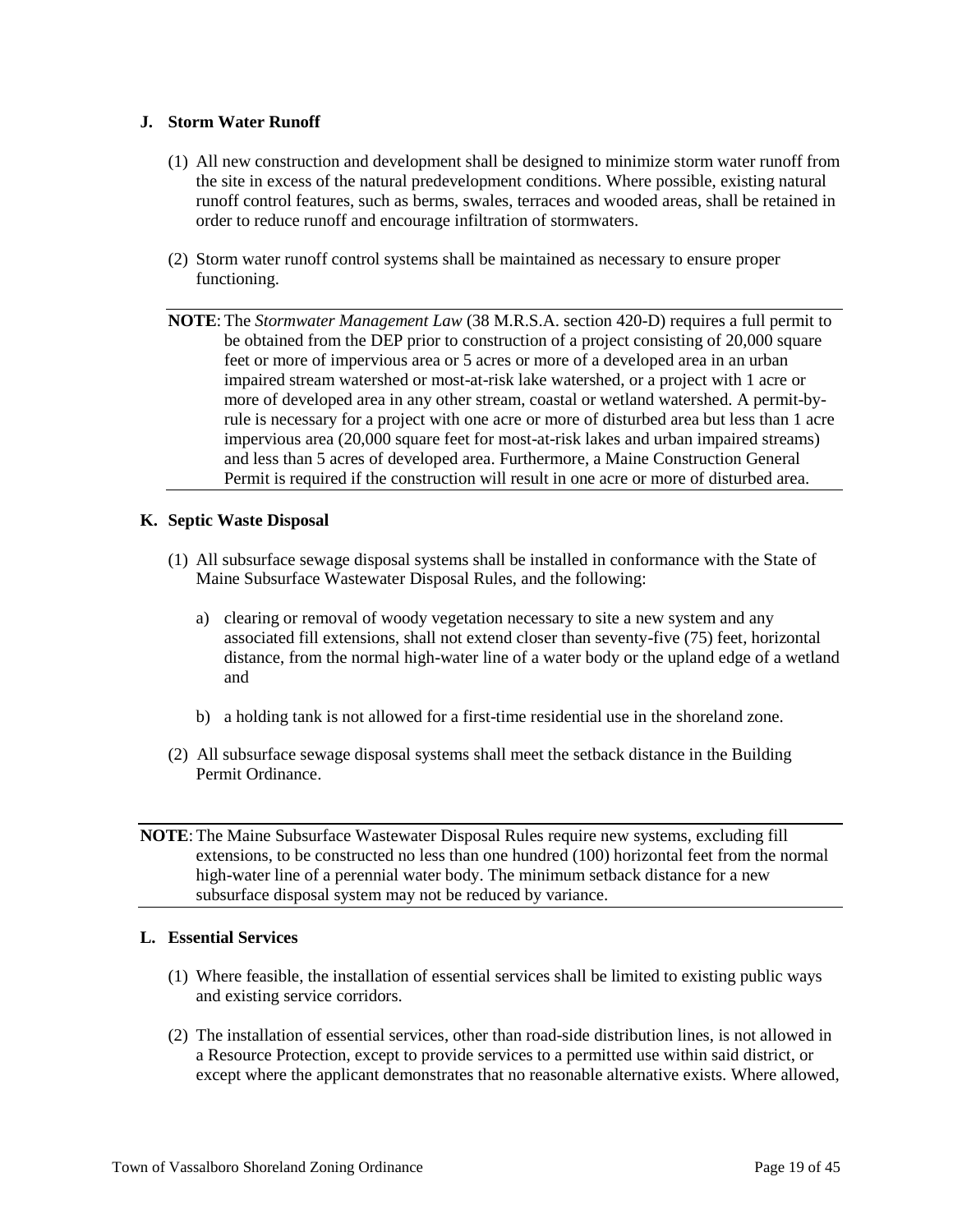### **J. Storm Water Runoff**

- (1) All new construction and development shall be designed to minimize storm water runoff from the site in excess of the natural predevelopment conditions. Where possible, existing natural runoff control features, such as berms, swales, terraces and wooded areas, shall be retained in order to reduce runoff and encourage infiltration of stormwaters.
- (2) Storm water runoff control systems shall be maintained as necessary to ensure proper functioning.
- **NOTE**: The *Stormwater Management Law* (38 M.R.S.A. section 420-D) requires a full permit to be obtained from the DEP prior to construction of a project consisting of 20,000 square feet or more of impervious area or 5 acres or more of a developed area in an urban impaired stream watershed or most-at-risk lake watershed, or a project with 1 acre or more of developed area in any other stream, coastal or wetland watershed. A permit-byrule is necessary for a project with one acre or more of disturbed area but less than 1 acre impervious area (20,000 square feet for most-at-risk lakes and urban impaired streams) and less than 5 acres of developed area. Furthermore, a Maine Construction General Permit is required if the construction will result in one acre or more of disturbed area.

#### **K. Septic Waste Disposal**

- (1) All subsurface sewage disposal systems shall be installed in conformance with the State of Maine Subsurface Wastewater Disposal Rules, and the following:
	- a) clearing or removal of woody vegetation necessary to site a new system and any associated fill extensions, shall not extend closer than seventy-five (75) feet, horizontal distance, from the normal high-water line of a water body or the upland edge of a wetland and
	- b) a holding tank is not allowed for a first-time residential use in the shoreland zone.
- (2) All subsurface sewage disposal systems shall meet the setback distance in the Building Permit Ordinance.
- **NOTE**: The Maine Subsurface Wastewater Disposal Rules require new systems, excluding fill extensions, to be constructed no less than one hundred (100) horizontal feet from the normal high-water line of a perennial water body. The minimum setback distance for a new subsurface disposal system may not be reduced by variance.

#### **L. Essential Services**

- (1) Where feasible, the installation of essential services shall be limited to existing public ways and existing service corridors.
- (2) The installation of essential services, other than road-side distribution lines, is not allowed in a Resource Protection, except to provide services to a permitted use within said district, or except where the applicant demonstrates that no reasonable alternative exists. Where allowed,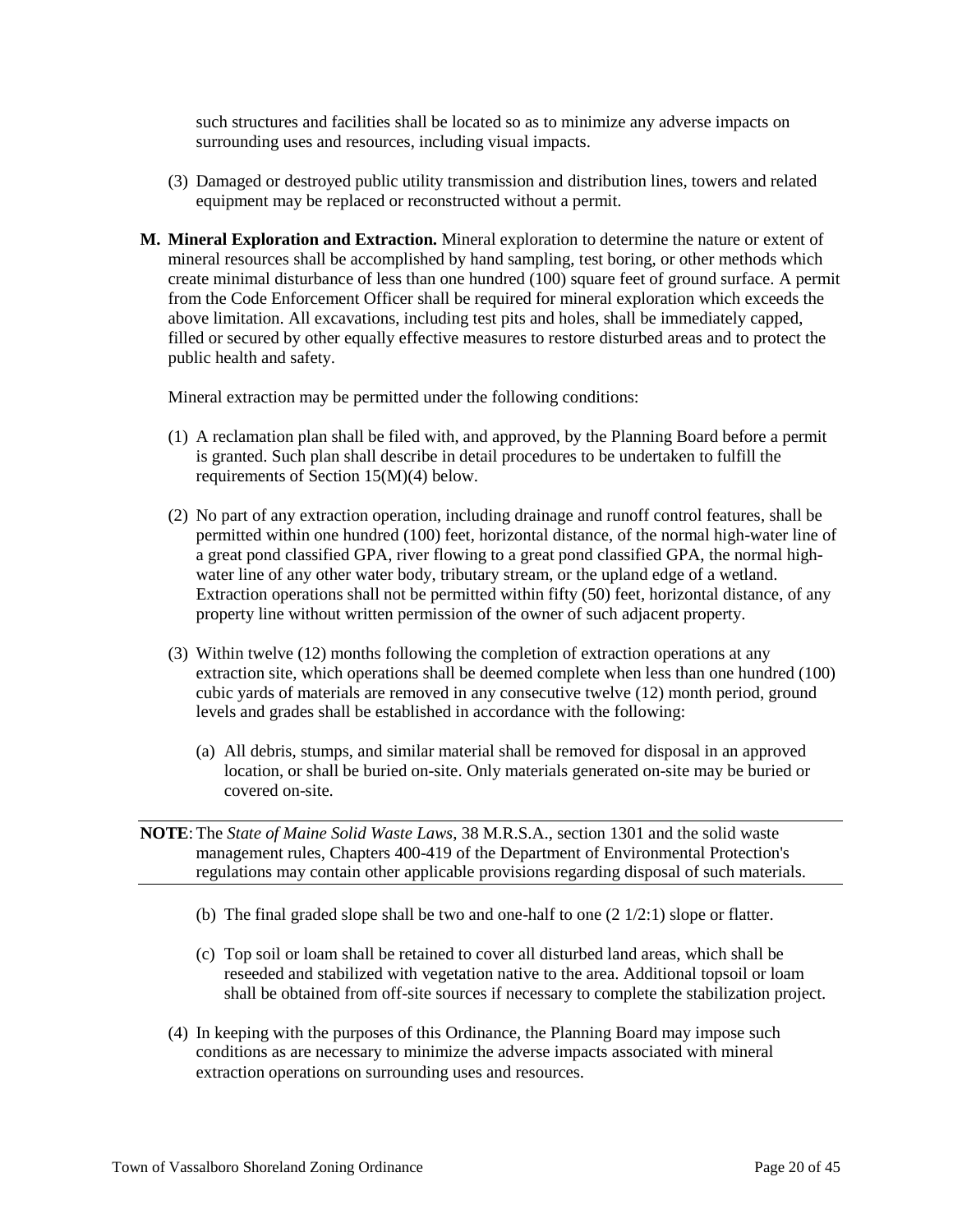such structures and facilities shall be located so as to minimize any adverse impacts on surrounding uses and resources, including visual impacts.

- (3) Damaged or destroyed public utility transmission and distribution lines, towers and related equipment may be replaced or reconstructed without a permit.
- **M. Mineral Exploration and Extraction.** Mineral exploration to determine the nature or extent of mineral resources shall be accomplished by hand sampling, test boring, or other methods which create minimal disturbance of less than one hundred (100) square feet of ground surface. A permit from the Code Enforcement Officer shall be required for mineral exploration which exceeds the above limitation. All excavations, including test pits and holes, shall be immediately capped, filled or secured by other equally effective measures to restore disturbed areas and to protect the public health and safety.

Mineral extraction may be permitted under the following conditions:

- (1) A reclamation plan shall be filed with, and approved, by the Planning Board before a permit is granted. Such plan shall describe in detail procedures to be undertaken to fulfill the requirements of Section 15(M)(4) below.
- (2) No part of any extraction operation, including drainage and runoff control features, shall be permitted within one hundred (100) feet, horizontal distance, of the normal high-water line of a great pond classified GPA, river flowing to a great pond classified GPA, the normal highwater line of any other water body, tributary stream, or the upland edge of a wetland. Extraction operations shall not be permitted within fifty (50) feet, horizontal distance, of any property line without written permission of the owner of such adjacent property.
- (3) Within twelve (12) months following the completion of extraction operations at any extraction site, which operations shall be deemed complete when less than one hundred (100) cubic yards of materials are removed in any consecutive twelve (12) month period, ground levels and grades shall be established in accordance with the following:
	- (a) All debris, stumps, and similar material shall be removed for disposal in an approved location, or shall be buried on-site. Only materials generated on-site may be buried or covered on-site.
- **NOTE**: The *State of Maine Solid Waste Laws*, 38 M.R.S.A., section 1301 and the solid waste management rules, Chapters 400-419 of the Department of Environmental Protection's regulations may contain other applicable provisions regarding disposal of such materials.
	- (b) The final graded slope shall be two and one-half to one (2 1/2:1) slope or flatter.
	- (c) Top soil or loam shall be retained to cover all disturbed land areas, which shall be reseeded and stabilized with vegetation native to the area. Additional topsoil or loam shall be obtained from off-site sources if necessary to complete the stabilization project.
	- (4) In keeping with the purposes of this Ordinance, the Planning Board may impose such conditions as are necessary to minimize the adverse impacts associated with mineral extraction operations on surrounding uses and resources.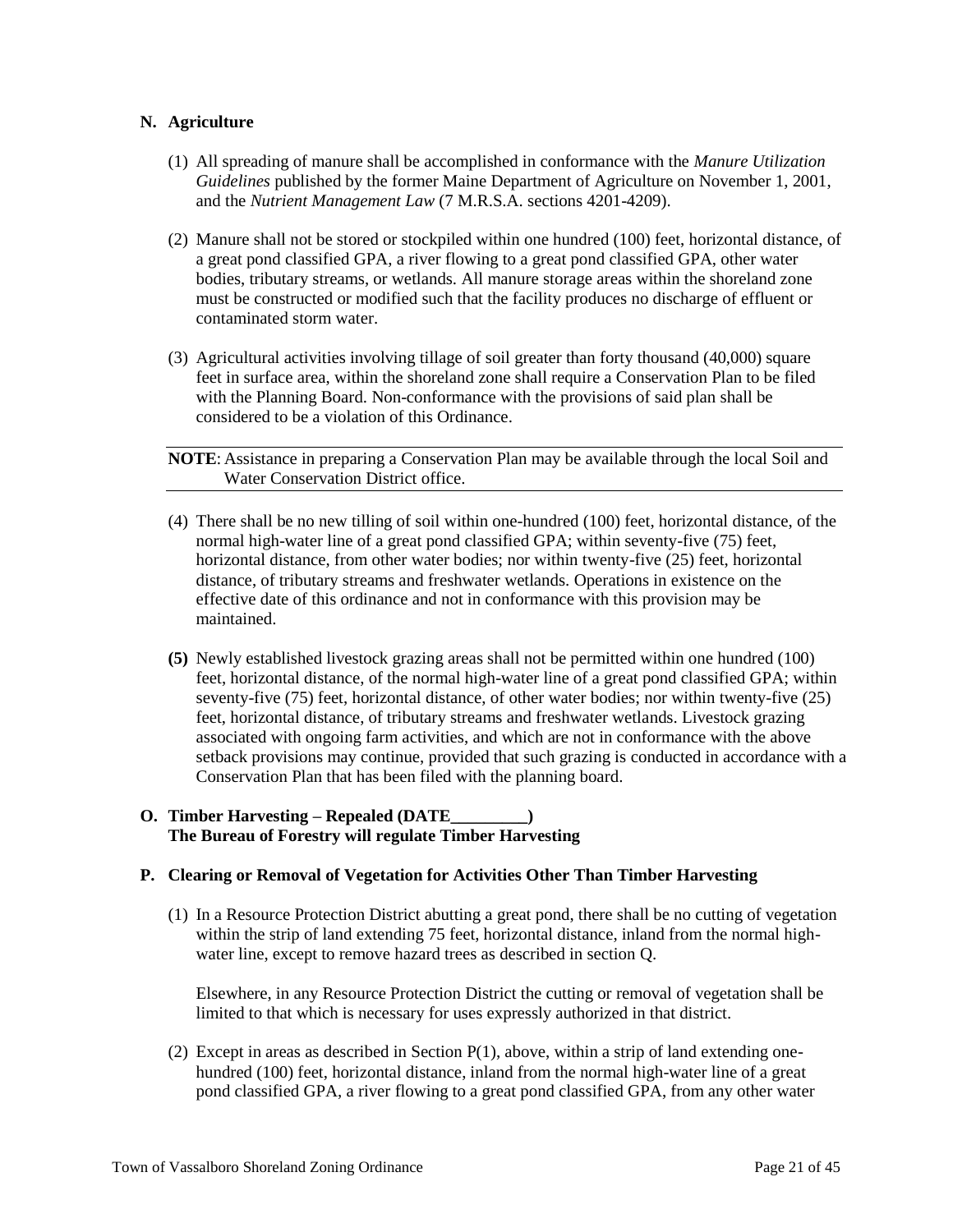# **N. Agriculture**

- (1) All spreading of manure shall be accomplished in conformance with the *Manure Utilization Guidelines* published by the former Maine Department of Agriculture on November 1, 2001, and the *Nutrient Management Law* (7 M.R.S.A. sections 4201-4209).
- (2) Manure shall not be stored or stockpiled within one hundred (100) feet, horizontal distance, of a great pond classified GPA, a river flowing to a great pond classified GPA, other water bodies, tributary streams, or wetlands. All manure storage areas within the shoreland zone must be constructed or modified such that the facility produces no discharge of effluent or contaminated storm water.
- (3) Agricultural activities involving tillage of soil greater than forty thousand (40,000) square feet in surface area, within the shoreland zone shall require a Conservation Plan to be filed with the Planning Board. Non-conformance with the provisions of said plan shall be considered to be a violation of this Ordinance.

# **NOTE**: Assistance in preparing a Conservation Plan may be available through the local Soil and Water Conservation District office.

- (4) There shall be no new tilling of soil within one-hundred (100) feet, horizontal distance, of the normal high-water line of a great pond classified GPA; within seventy-five (75) feet, horizontal distance, from other water bodies; nor within twenty-five (25) feet, horizontal distance, of tributary streams and freshwater wetlands. Operations in existence on the effective date of this ordinance and not in conformance with this provision may be maintained.
- **(5)** Newly established livestock grazing areas shall not be permitted within one hundred (100) feet, horizontal distance, of the normal high-water line of a great pond classified GPA; within seventy-five (75) feet, horizontal distance, of other water bodies; nor within twenty-five (25) feet, horizontal distance, of tributary streams and freshwater wetlands. Livestock grazing associated with ongoing farm activities, and which are not in conformance with the above setback provisions may continue, provided that such grazing is conducted in accordance with a Conservation Plan that has been filed with the planning board.

#### **O. Timber Harvesting – Repealed (DATE\_\_\_\_\_\_\_\_\_) The Bureau of Forestry will regulate Timber Harvesting**

#### **P. Clearing or Removal of Vegetation for Activities Other Than Timber Harvesting**

(1) In a Resource Protection District abutting a great pond, there shall be no cutting of vegetation within the strip of land extending 75 feet, horizontal distance, inland from the normal highwater line, except to remove hazard trees as described in section Q.

Elsewhere, in any Resource Protection District the cutting or removal of vegetation shall be limited to that which is necessary for uses expressly authorized in that district.

(2) Except in areas as described in Section P(1), above, within a strip of land extending onehundred (100) feet, horizontal distance, inland from the normal high-water line of a great pond classified GPA, a river flowing to a great pond classified GPA, from any other water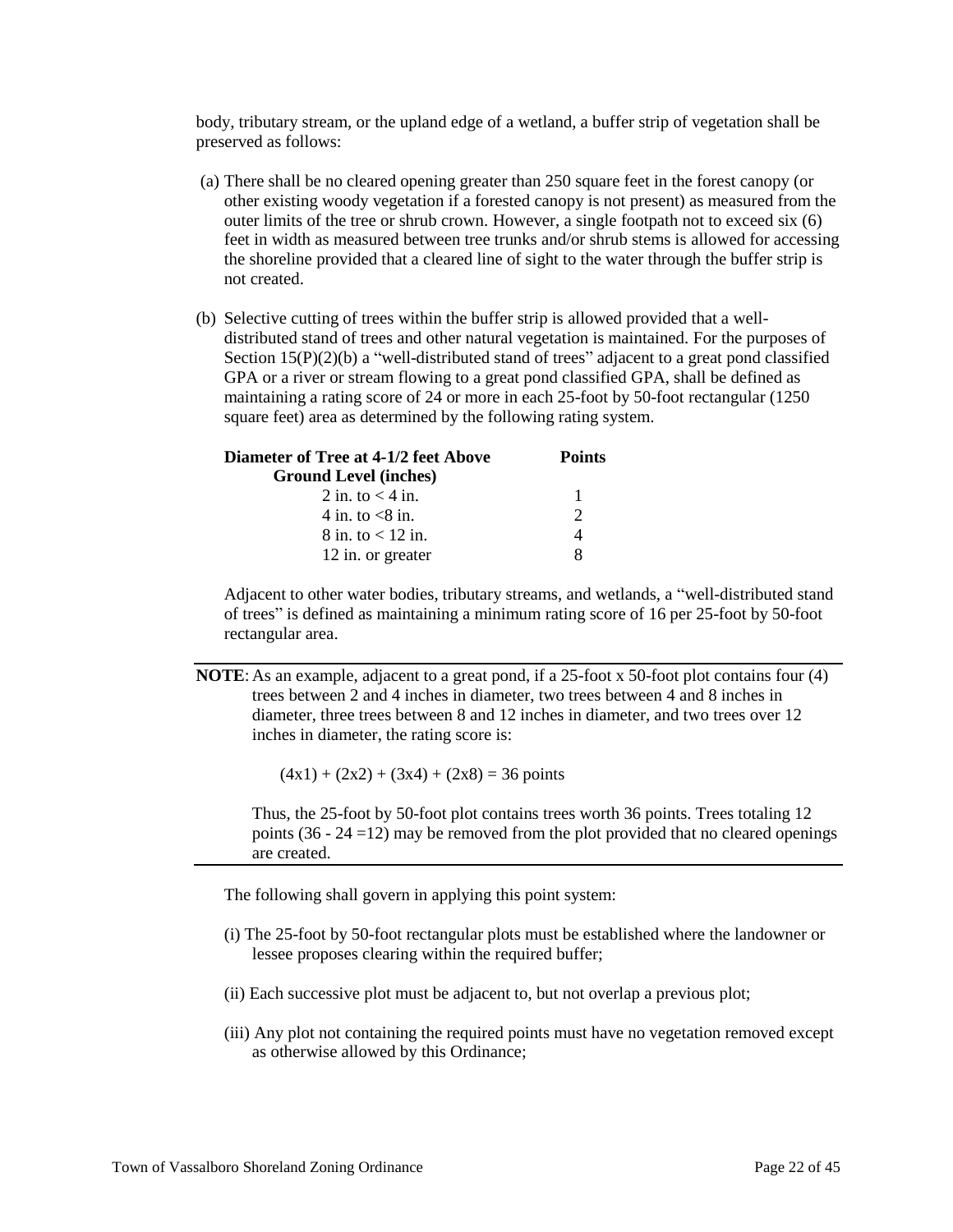body, tributary stream, or the upland edge of a wetland, a buffer strip of vegetation shall be preserved as follows:

- (a) There shall be no cleared opening greater than 250 square feet in the forest canopy (or other existing woody vegetation if a forested canopy is not present) as measured from the outer limits of the tree or shrub crown. However, a single footpath not to exceed six (6) feet in width as measured between tree trunks and/or shrub stems is allowed for accessing the shoreline provided that a cleared line of sight to the water through the buffer strip is not created.
- (b) Selective cutting of trees within the buffer strip is allowed provided that a welldistributed stand of trees and other natural vegetation is maintained. For the purposes of Section 15(P)(2)(b) a "well-distributed stand of trees" adjacent to a great pond classified GPA or a river or stream flowing to a great pond classified GPA, shall be defined as maintaining a rating score of 24 or more in each 25-foot by 50-foot rectangular (1250 square feet) area as determined by the following rating system.

| <b>Diameter of Tree at 4-1/2 feet Above</b> | <b>Points</b> |  |
|---------------------------------------------|---------------|--|
| <b>Ground Level (inches)</b>                |               |  |
| 2 in. to $<$ 4 in.                          |               |  |
| 4 in. to $< 8$ in.                          | $\mathcal{D}$ |  |
| $8$ in. to $< 12$ in.                       |               |  |
| 12 in. or greater                           |               |  |

Adjacent to other water bodies, tributary streams, and wetlands, a "well-distributed stand of trees" is defined as maintaining a minimum rating score of 16 per 25-foot by 50-foot rectangular area.

**NOTE**: As an example, adjacent to a great pond, if a 25-foot x 50-foot plot contains four (4) trees between 2 and 4 inches in diameter, two trees between 4 and 8 inches in diameter, three trees between 8 and 12 inches in diameter, and two trees over 12 inches in diameter, the rating score is:

 $(4x1) + (2x2) + (3x4) + (2x8) = 36$  points

Thus, the 25-foot by 50-foot plot contains trees worth 36 points. Trees totaling 12 points (36 - 24 =12) may be removed from the plot provided that no cleared openings are created.

The following shall govern in applying this point system:

- (i) The 25-foot by 50-foot rectangular plots must be established where the landowner or lessee proposes clearing within the required buffer;
- (ii) Each successive plot must be adjacent to, but not overlap a previous plot;
- (iii) Any plot not containing the required points must have no vegetation removed except as otherwise allowed by this Ordinance;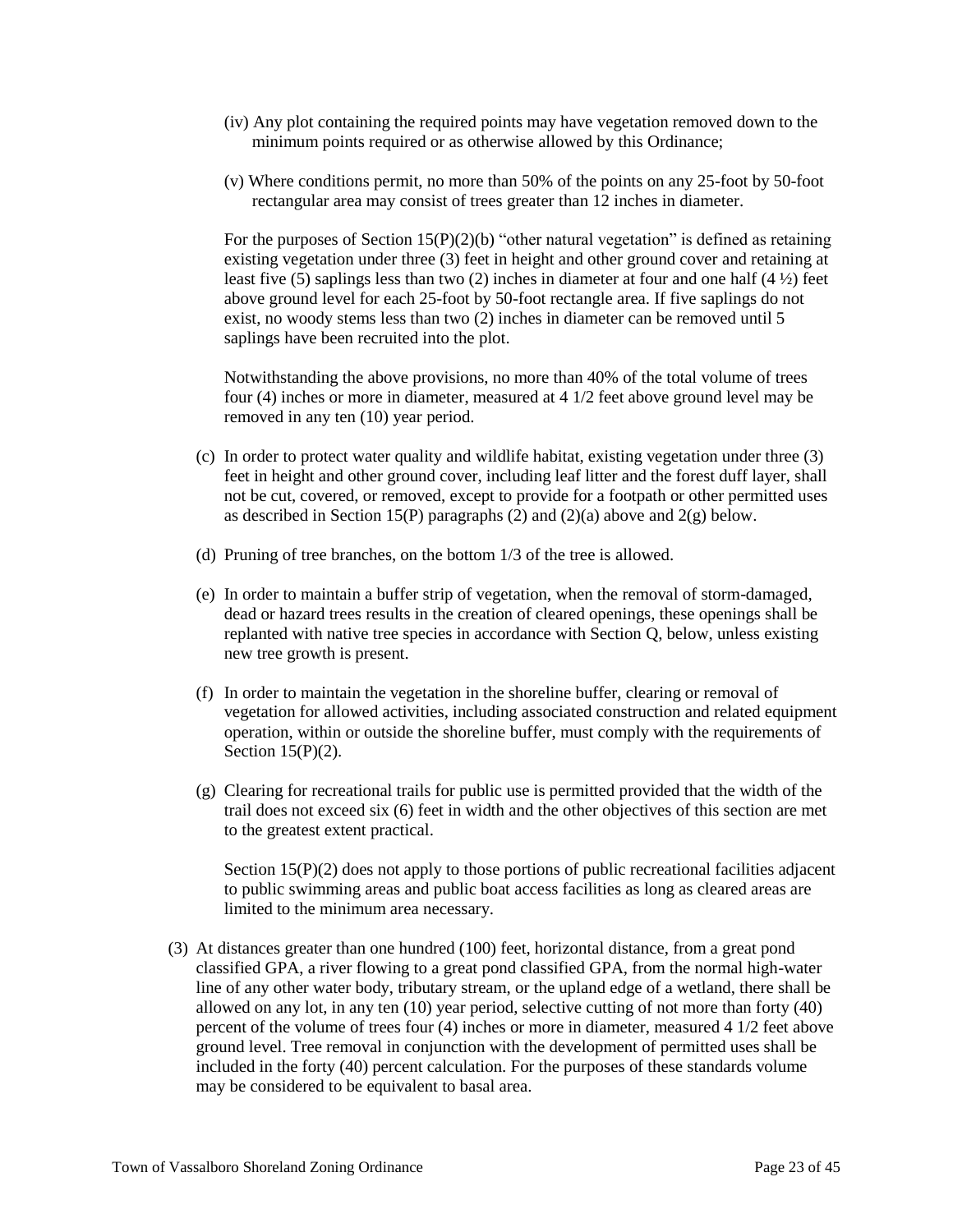- (iv) Any plot containing the required points may have vegetation removed down to the minimum points required or as otherwise allowed by this Ordinance;
- (v) Where conditions permit, no more than 50% of the points on any 25-foot by 50-foot rectangular area may consist of trees greater than 12 inches in diameter.

For the purposes of Section  $15(P)(2)(b)$  "other natural vegetation" is defined as retaining existing vegetation under three (3) feet in height and other ground cover and retaining at least five (5) saplings less than two (2) inches in diameter at four and one half  $(4\frac{1}{2})$  feet above ground level for each 25-foot by 50-foot rectangle area. If five saplings do not exist, no woody stems less than two (2) inches in diameter can be removed until 5 saplings have been recruited into the plot.

Notwithstanding the above provisions, no more than 40% of the total volume of trees four (4) inches or more in diameter, measured at 4 1/2 feet above ground level may be removed in any ten (10) year period.

- (c) In order to protect water quality and wildlife habitat, existing vegetation under three (3) feet in height and other ground cover, including leaf litter and the forest duff layer, shall not be cut, covered, or removed, except to provide for a footpath or other permitted uses as described in Section 15(P) paragraphs (2) and (2)(a) above and 2(g) below.
- (d) Pruning of tree branches, on the bottom 1/3 of the tree is allowed.
- (e) In order to maintain a buffer strip of vegetation, when the removal of storm-damaged, dead or hazard trees results in the creation of cleared openings, these openings shall be replanted with native tree species in accordance with Section Q, below, unless existing new tree growth is present.
- (f) In order to maintain the vegetation in the shoreline buffer, clearing or removal of vegetation for allowed activities, including associated construction and related equipment operation, within or outside the shoreline buffer, must comply with the requirements of Section 15(P)(2).
- (g) Clearing for recreational trails for public use is permitted provided that the width of the trail does not exceed six (6) feet in width and the other objectives of this section are met to the greatest extent practical.

Section  $15(P)(2)$  does not apply to those portions of public recreational facilities adjacent to public swimming areas and public boat access facilities as long as cleared areas are limited to the minimum area necessary.

(3) At distances greater than one hundred (100) feet, horizontal distance, from a great pond classified GPA, a river flowing to a great pond classified GPA, from the normal high-water line of any other water body, tributary stream, or the upland edge of a wetland, there shall be allowed on any lot, in any ten (10) year period, selective cutting of not more than forty (40) percent of the volume of trees four (4) inches or more in diameter, measured 4 1/2 feet above ground level. Tree removal in conjunction with the development of permitted uses shall be included in the forty (40) percent calculation. For the purposes of these standards volume may be considered to be equivalent to basal area.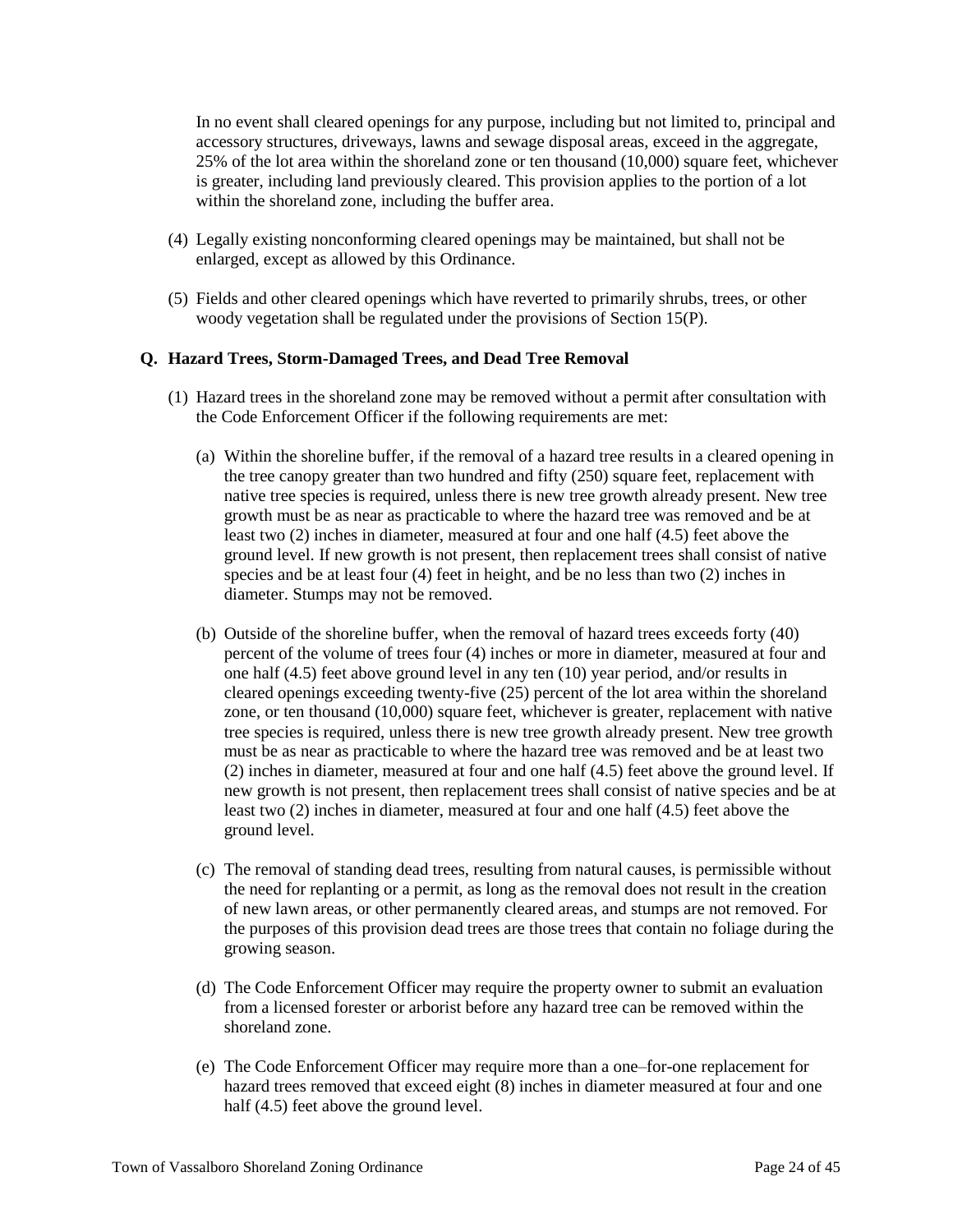In no event shall cleared openings for any purpose, including but not limited to, principal and accessory structures, driveways, lawns and sewage disposal areas, exceed in the aggregate, 25% of the lot area within the shoreland zone or ten thousand (10,000) square feet, whichever is greater, including land previously cleared. This provision applies to the portion of a lot within the shoreland zone, including the buffer area.

- (4) Legally existing nonconforming cleared openings may be maintained, but shall not be enlarged, except as allowed by this Ordinance.
- (5) Fields and other cleared openings which have reverted to primarily shrubs, trees, or other woody vegetation shall be regulated under the provisions of Section 15(P).

# **Q. Hazard Trees, Storm-Damaged Trees, and Dead Tree Removal**

- (1) Hazard trees in the shoreland zone may be removed without a permit after consultation with the Code Enforcement Officer if the following requirements are met:
	- (a) Within the shoreline buffer, if the removal of a hazard tree results in a cleared opening in the tree canopy greater than two hundred and fifty (250) square feet, replacement with native tree species is required, unless there is new tree growth already present. New tree growth must be as near as practicable to where the hazard tree was removed and be at least two (2) inches in diameter, measured at four and one half (4.5) feet above the ground level. If new growth is not present, then replacement trees shall consist of native species and be at least four (4) feet in height, and be no less than two (2) inches in diameter. Stumps may not be removed.
	- (b) Outside of the shoreline buffer, when the removal of hazard trees exceeds forty (40) percent of the volume of trees four (4) inches or more in diameter, measured at four and one half (4.5) feet above ground level in any ten (10) year period, and/or results in cleared openings exceeding twenty-five (25) percent of the lot area within the shoreland zone, or ten thousand (10,000) square feet, whichever is greater, replacement with native tree species is required, unless there is new tree growth already present. New tree growth must be as near as practicable to where the hazard tree was removed and be at least two (2) inches in diameter, measured at four and one half (4.5) feet above the ground level. If new growth is not present, then replacement trees shall consist of native species and be at least two (2) inches in diameter, measured at four and one half (4.5) feet above the ground level.
	- (c) The removal of standing dead trees, resulting from natural causes, is permissible without the need for replanting or a permit, as long as the removal does not result in the creation of new lawn areas, or other permanently cleared areas, and stumps are not removed. For the purposes of this provision dead trees are those trees that contain no foliage during the growing season.
	- (d) The Code Enforcement Officer may require the property owner to submit an evaluation from a licensed forester or arborist before any hazard tree can be removed within the shoreland zone.
	- (e) The Code Enforcement Officer may require more than a one–for-one replacement for hazard trees removed that exceed eight (8) inches in diameter measured at four and one half (4.5) feet above the ground level.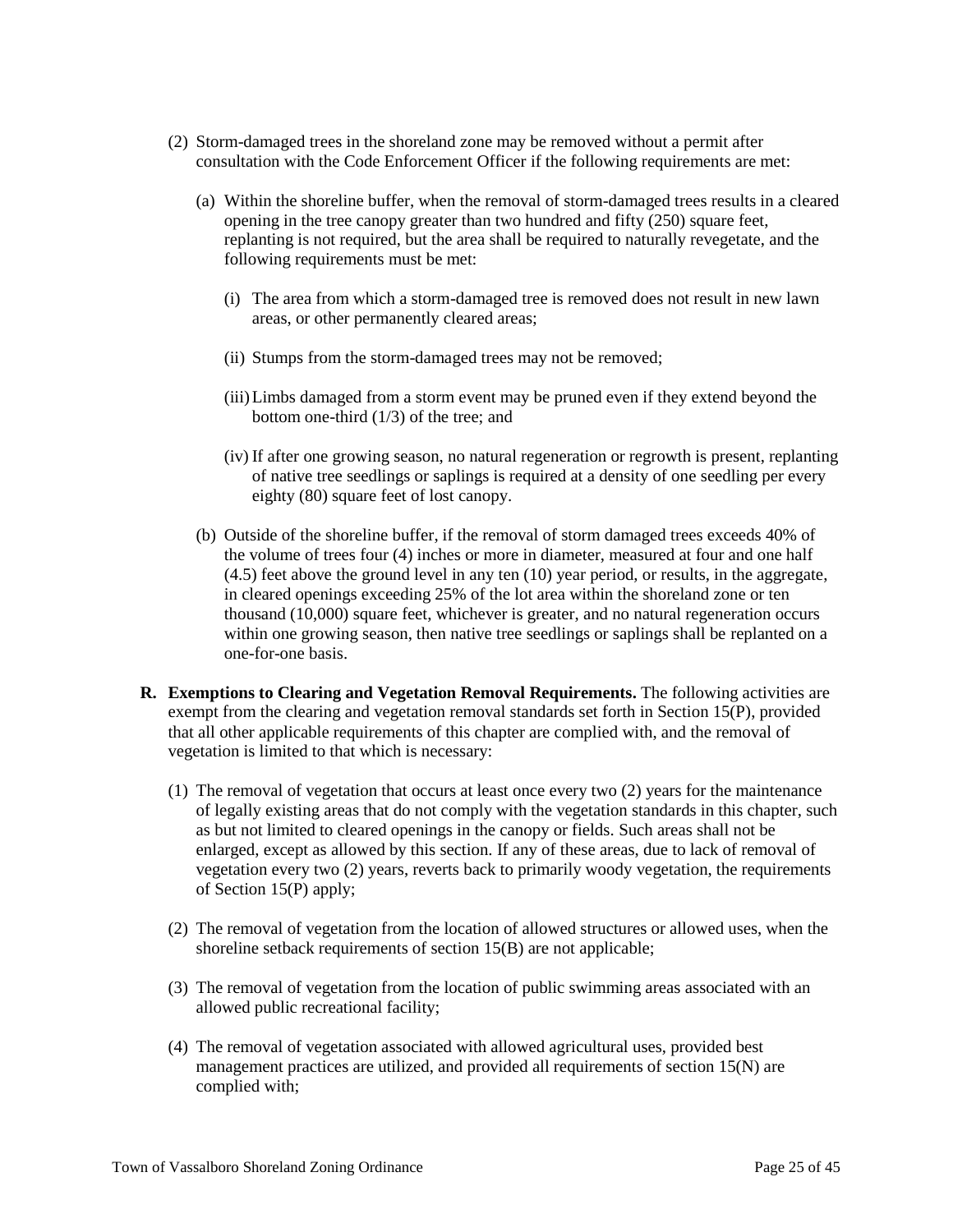- (2) Storm-damaged trees in the shoreland zone may be removed without a permit after consultation with the Code Enforcement Officer if the following requirements are met:
	- (a) Within the shoreline buffer, when the removal of storm-damaged trees results in a cleared opening in the tree canopy greater than two hundred and fifty (250) square feet, replanting is not required, but the area shall be required to naturally revegetate, and the following requirements must be met:
		- (i) The area from which a storm-damaged tree is removed does not result in new lawn areas, or other permanently cleared areas;
		- (ii) Stumps from the storm-damaged trees may not be removed;
		- (iii)Limbs damaged from a storm event may be pruned even if they extend beyond the bottom one-third (1/3) of the tree; and
		- (iv) If after one growing season, no natural regeneration or regrowth is present, replanting of native tree seedlings or saplings is required at a density of one seedling per every eighty (80) square feet of lost canopy.
	- (b) Outside of the shoreline buffer, if the removal of storm damaged trees exceeds 40% of the volume of trees four (4) inches or more in diameter, measured at four and one half (4.5) feet above the ground level in any ten (10) year period, or results, in the aggregate, in cleared openings exceeding 25% of the lot area within the shoreland zone or ten thousand (10,000) square feet, whichever is greater, and no natural regeneration occurs within one growing season, then native tree seedlings or saplings shall be replanted on a one-for-one basis.
- **R. Exemptions to Clearing and Vegetation Removal Requirements.** The following activities are exempt from the clearing and vegetation removal standards set forth in Section 15(P), provided that all other applicable requirements of this chapter are complied with, and the removal of vegetation is limited to that which is necessary:
	- (1) The removal of vegetation that occurs at least once every two (2) years for the maintenance of legally existing areas that do not comply with the vegetation standards in this chapter, such as but not limited to cleared openings in the canopy or fields. Such areas shall not be enlarged, except as allowed by this section. If any of these areas, due to lack of removal of vegetation every two (2) years, reverts back to primarily woody vegetation, the requirements of Section 15(P) apply;
	- (2) The removal of vegetation from the location of allowed structures or allowed uses, when the shoreline setback requirements of section 15(B) are not applicable;
	- (3) The removal of vegetation from the location of public swimming areas associated with an allowed public recreational facility;
	- (4) The removal of vegetation associated with allowed agricultural uses, provided best management practices are utilized, and provided all requirements of section 15(N) are complied with;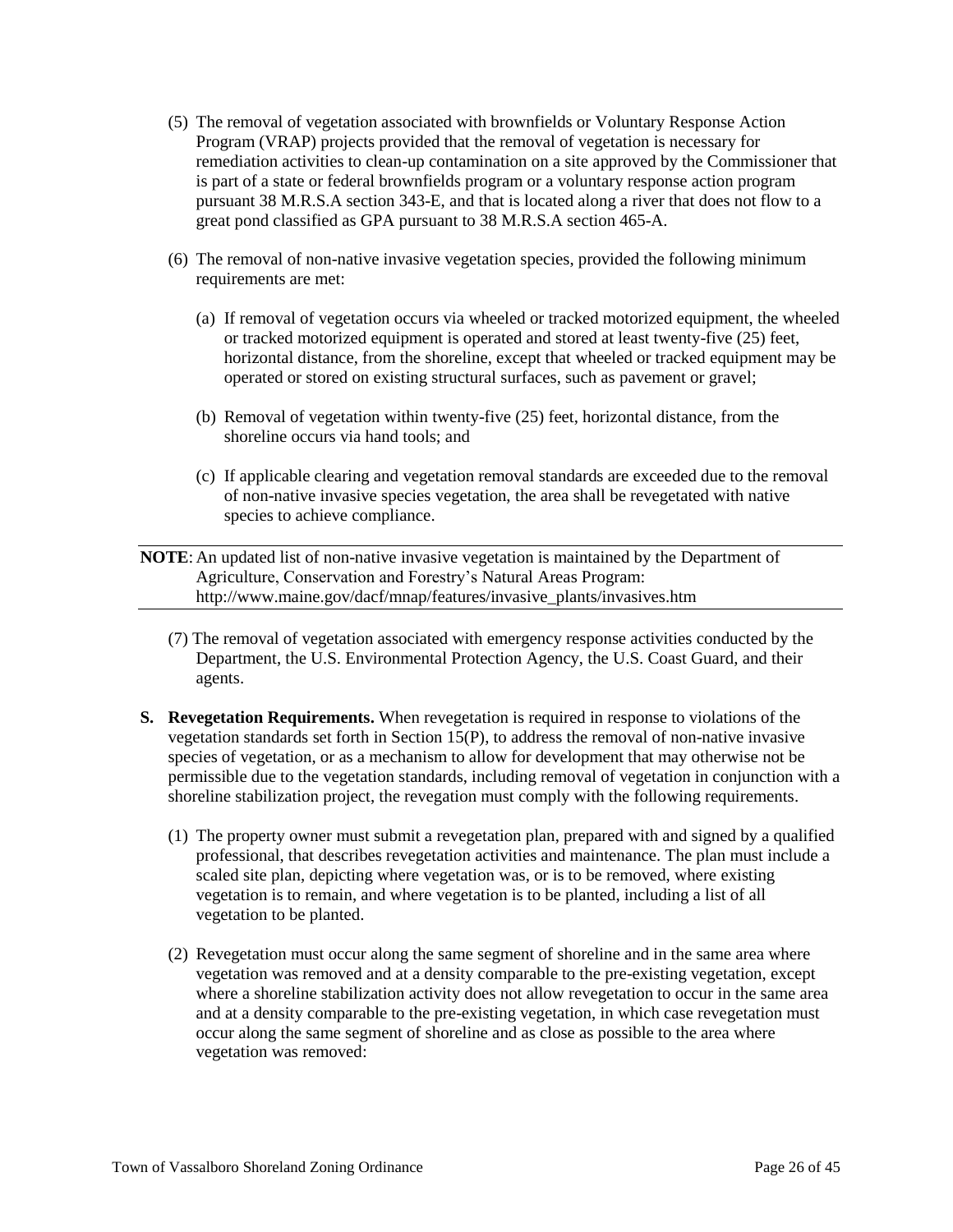- (5) The removal of vegetation associated with brownfields or Voluntary Response Action Program (VRAP) projects provided that the removal of vegetation is necessary for remediation activities to clean-up contamination on a site approved by the Commissioner that is part of a state or federal brownfields program or a voluntary response action program pursuant 38 M.R.S.A section 343-E, and that is located along a river that does not flow to a great pond classified as GPA pursuant to 38 M.R.S.A section 465-A.
- (6) The removal of non-native invasive vegetation species, provided the following minimum requirements are met:
	- (a) If removal of vegetation occurs via wheeled or tracked motorized equipment, the wheeled or tracked motorized equipment is operated and stored at least twenty-five (25) feet, horizontal distance, from the shoreline, except that wheeled or tracked equipment may be operated or stored on existing structural surfaces, such as pavement or gravel;
	- (b) Removal of vegetation within twenty-five (25) feet, horizontal distance, from the shoreline occurs via hand tools; and
	- (c) If applicable clearing and vegetation removal standards are exceeded due to the removal of non-native invasive species vegetation, the area shall be revegetated with native species to achieve compliance.

**NOTE**: An updated list of non-native invasive vegetation is maintained by the Department of Agriculture, Conservation and Forestry's Natural Areas Program: http://www.maine.gov/dacf/mnap/features/invasive\_plants/invasives.htm

- (7) The removal of vegetation associated with emergency response activities conducted by the Department, the U.S. Environmental Protection Agency, the U.S. Coast Guard, and their agents.
- **S. Revegetation Requirements.** When revegetation is required in response to violations of the vegetation standards set forth in Section 15(P), to address the removal of non-native invasive species of vegetation, or as a mechanism to allow for development that may otherwise not be permissible due to the vegetation standards, including removal of vegetation in conjunction with a shoreline stabilization project, the revegation must comply with the following requirements.
	- (1) The property owner must submit a revegetation plan, prepared with and signed by a qualified professional, that describes revegetation activities and maintenance. The plan must include a scaled site plan, depicting where vegetation was, or is to be removed, where existing vegetation is to remain, and where vegetation is to be planted, including a list of all vegetation to be planted.
	- (2) Revegetation must occur along the same segment of shoreline and in the same area where vegetation was removed and at a density comparable to the pre-existing vegetation, except where a shoreline stabilization activity does not allow revegetation to occur in the same area and at a density comparable to the pre-existing vegetation, in which case revegetation must occur along the same segment of shoreline and as close as possible to the area where vegetation was removed: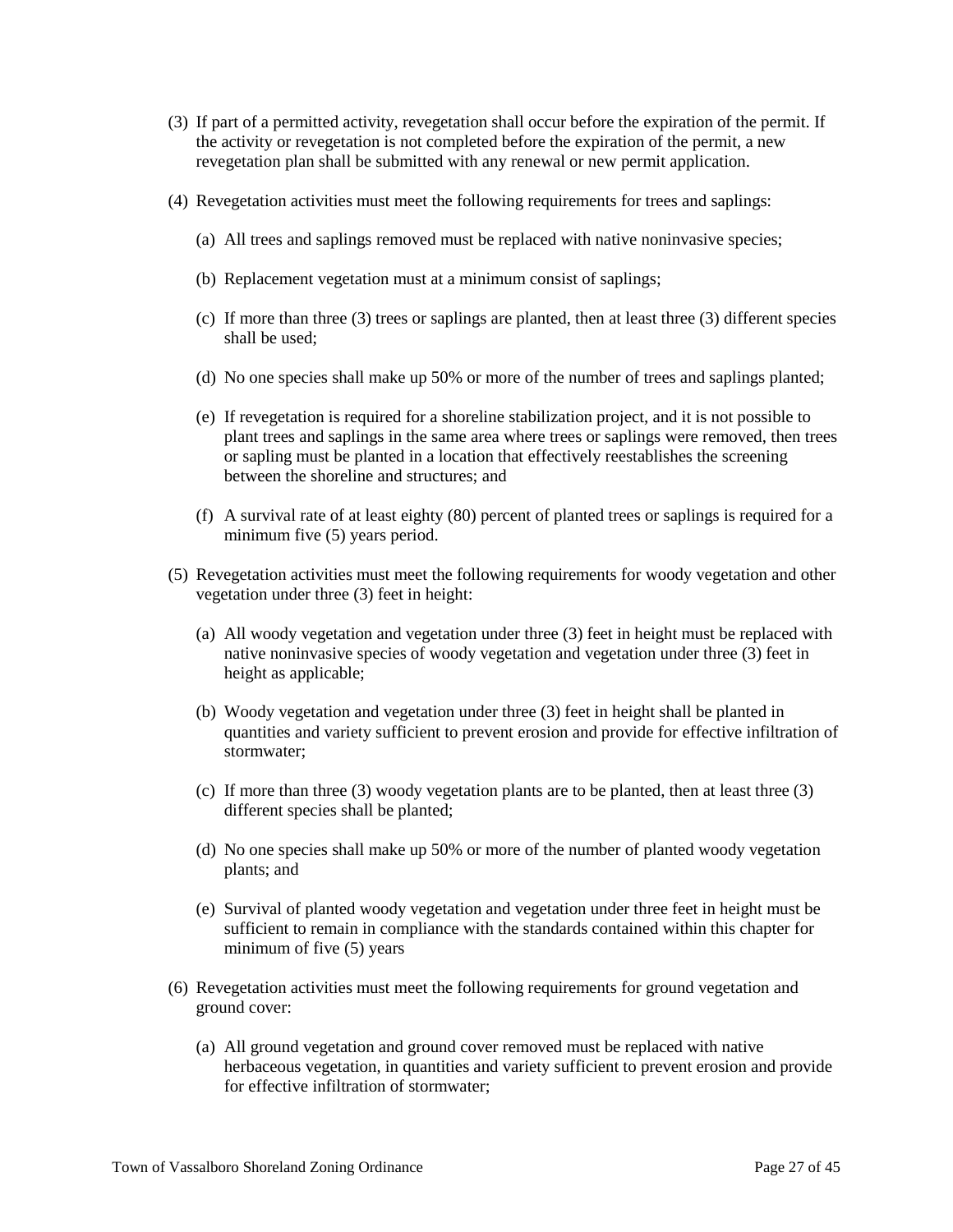- (3) If part of a permitted activity, revegetation shall occur before the expiration of the permit. If the activity or revegetation is not completed before the expiration of the permit, a new revegetation plan shall be submitted with any renewal or new permit application.
- (4) Revegetation activities must meet the following requirements for trees and saplings:
	- (a) All trees and saplings removed must be replaced with native noninvasive species;
	- (b) Replacement vegetation must at a minimum consist of saplings;
	- (c) If more than three (3) trees or saplings are planted, then at least three (3) different species shall be used;
	- (d) No one species shall make up 50% or more of the number of trees and saplings planted;
	- (e) If revegetation is required for a shoreline stabilization project, and it is not possible to plant trees and saplings in the same area where trees or saplings were removed, then trees or sapling must be planted in a location that effectively reestablishes the screening between the shoreline and structures; and
	- (f) A survival rate of at least eighty (80) percent of planted trees or saplings is required for a minimum five (5) years period.
- (5) Revegetation activities must meet the following requirements for woody vegetation and other vegetation under three (3) feet in height:
	- (a) All woody vegetation and vegetation under three (3) feet in height must be replaced with native noninvasive species of woody vegetation and vegetation under three (3) feet in height as applicable;
	- (b) Woody vegetation and vegetation under three (3) feet in height shall be planted in quantities and variety sufficient to prevent erosion and provide for effective infiltration of stormwater;
	- (c) If more than three (3) woody vegetation plants are to be planted, then at least three (3) different species shall be planted;
	- (d) No one species shall make up 50% or more of the number of planted woody vegetation plants; and
	- (e) Survival of planted woody vegetation and vegetation under three feet in height must be sufficient to remain in compliance with the standards contained within this chapter for minimum of five (5) years
- (6) Revegetation activities must meet the following requirements for ground vegetation and ground cover:
	- (a) All ground vegetation and ground cover removed must be replaced with native herbaceous vegetation, in quantities and variety sufficient to prevent erosion and provide for effective infiltration of stormwater;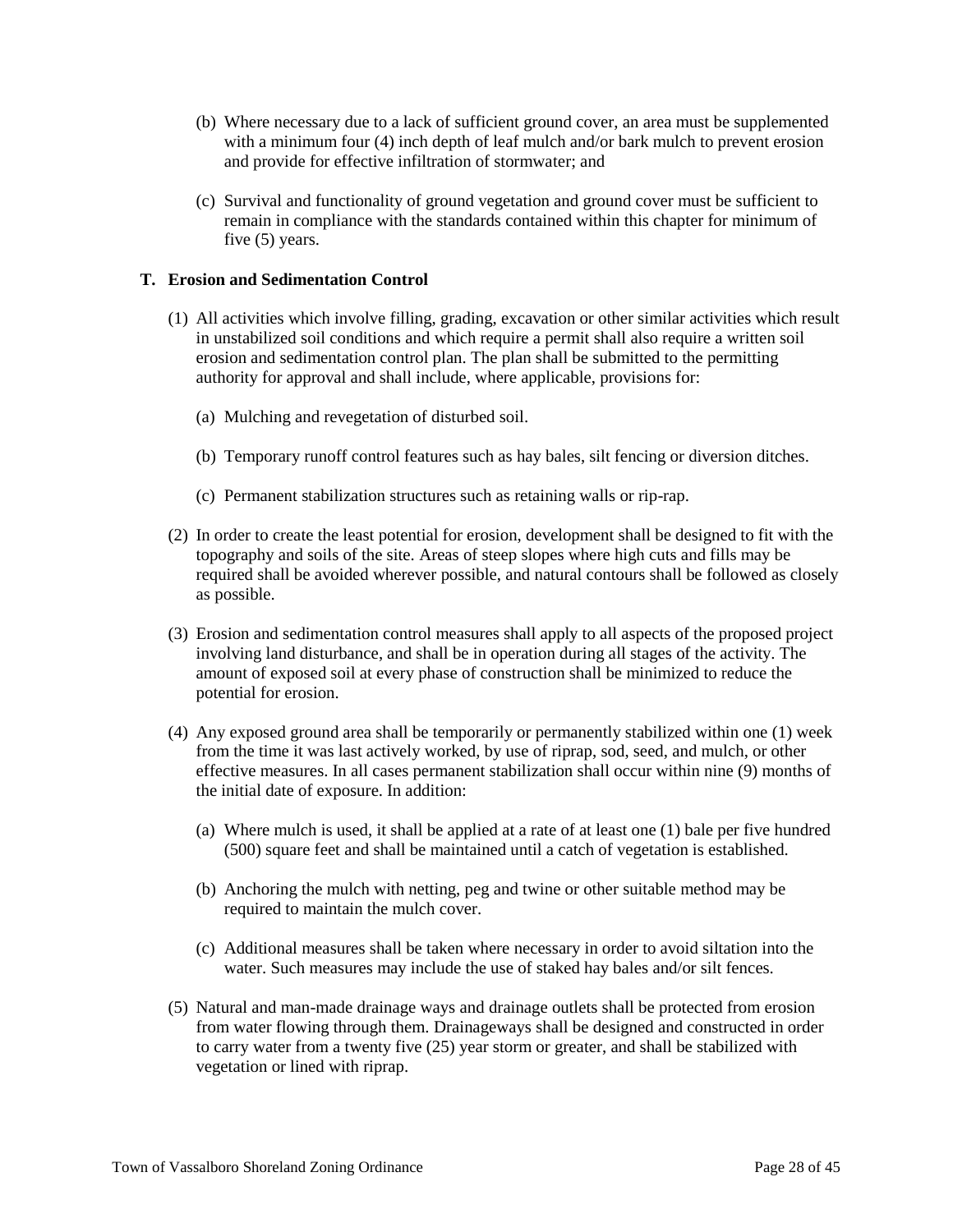- (b) Where necessary due to a lack of sufficient ground cover, an area must be supplemented with a minimum four (4) inch depth of leaf mulch and/or bark mulch to prevent erosion and provide for effective infiltration of stormwater; and
- (c) Survival and functionality of ground vegetation and ground cover must be sufficient to remain in compliance with the standards contained within this chapter for minimum of five (5) years.

# **T. Erosion and Sedimentation Control**

- (1) All activities which involve filling, grading, excavation or other similar activities which result in unstabilized soil conditions and which require a permit shall also require a written soil erosion and sedimentation control plan. The plan shall be submitted to the permitting authority for approval and shall include, where applicable, provisions for:
	- (a) Mulching and revegetation of disturbed soil.
	- (b) Temporary runoff control features such as hay bales, silt fencing or diversion ditches.
	- (c) Permanent stabilization structures such as retaining walls or rip-rap.
- (2) In order to create the least potential for erosion, development shall be designed to fit with the topography and soils of the site. Areas of steep slopes where high cuts and fills may be required shall be avoided wherever possible, and natural contours shall be followed as closely as possible.
- (3) Erosion and sedimentation control measures shall apply to all aspects of the proposed project involving land disturbance, and shall be in operation during all stages of the activity. The amount of exposed soil at every phase of construction shall be minimized to reduce the potential for erosion.
- (4) Any exposed ground area shall be temporarily or permanently stabilized within one (1) week from the time it was last actively worked, by use of riprap, sod, seed, and mulch, or other effective measures. In all cases permanent stabilization shall occur within nine (9) months of the initial date of exposure. In addition:
	- (a) Where mulch is used, it shall be applied at a rate of at least one (1) bale per five hundred (500) square feet and shall be maintained until a catch of vegetation is established.
	- (b) Anchoring the mulch with netting, peg and twine or other suitable method may be required to maintain the mulch cover.
	- (c) Additional measures shall be taken where necessary in order to avoid siltation into the water. Such measures may include the use of staked hay bales and/or silt fences.
- (5) Natural and man-made drainage ways and drainage outlets shall be protected from erosion from water flowing through them. Drainageways shall be designed and constructed in order to carry water from a twenty five (25) year storm or greater, and shall be stabilized with vegetation or lined with riprap.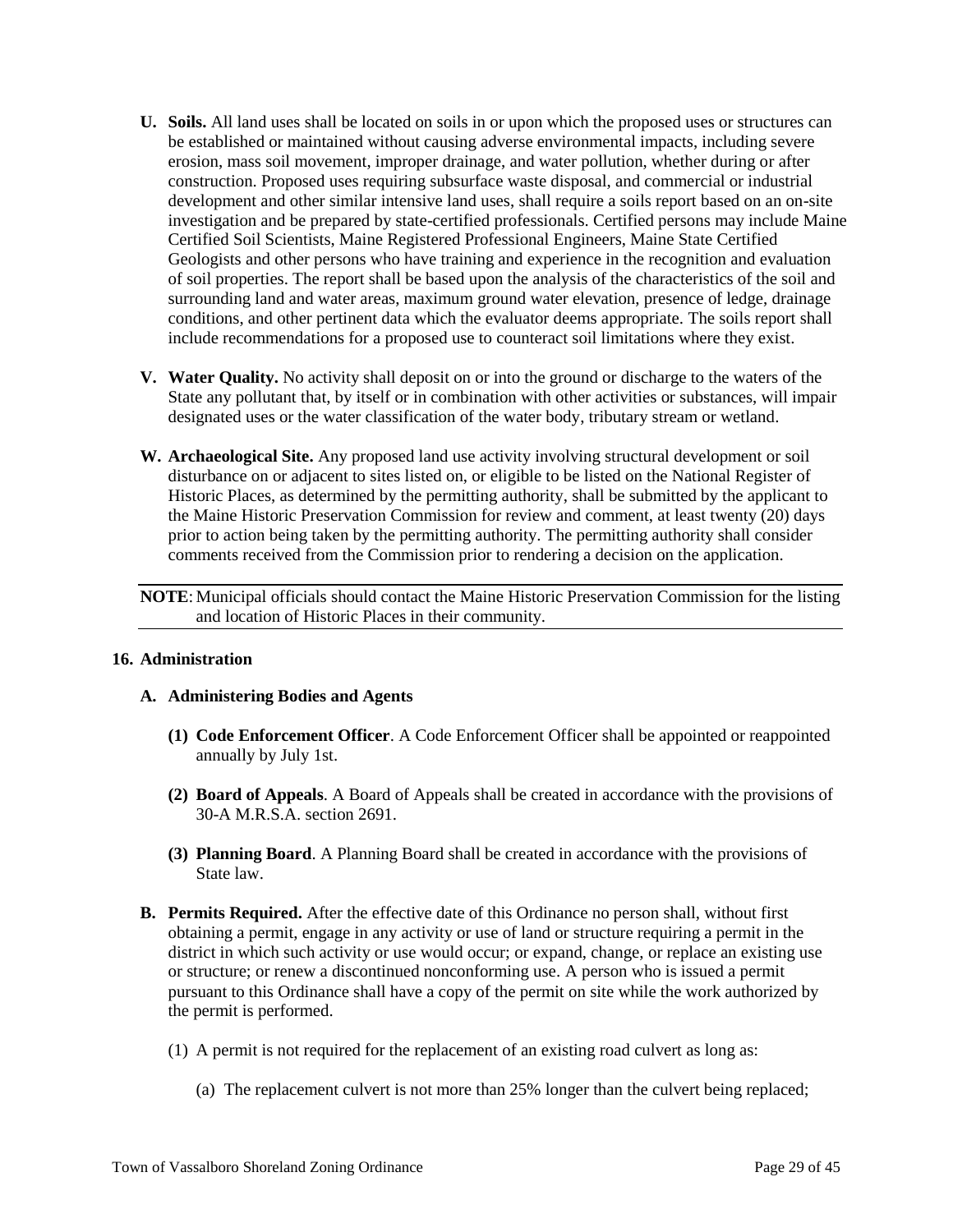- **U. Soils.** All land uses shall be located on soils in or upon which the proposed uses or structures can be established or maintained without causing adverse environmental impacts, including severe erosion, mass soil movement, improper drainage, and water pollution, whether during or after construction. Proposed uses requiring subsurface waste disposal, and commercial or industrial development and other similar intensive land uses, shall require a soils report based on an on-site investigation and be prepared by state-certified professionals. Certified persons may include Maine Certified Soil Scientists, Maine Registered Professional Engineers, Maine State Certified Geologists and other persons who have training and experience in the recognition and evaluation of soil properties. The report shall be based upon the analysis of the characteristics of the soil and surrounding land and water areas, maximum ground water elevation, presence of ledge, drainage conditions, and other pertinent data which the evaluator deems appropriate. The soils report shall include recommendations for a proposed use to counteract soil limitations where they exist.
- **V. Water Quality.** No activity shall deposit on or into the ground or discharge to the waters of the State any pollutant that, by itself or in combination with other activities or substances, will impair designated uses or the water classification of the water body, tributary stream or wetland.
- **W. Archaeological Site.** Any proposed land use activity involving structural development or soil disturbance on or adjacent to sites listed on, or eligible to be listed on the National Register of Historic Places, as determined by the permitting authority, shall be submitted by the applicant to the Maine Historic Preservation Commission for review and comment, at least twenty (20) days prior to action being taken by the permitting authority. The permitting authority shall consider comments received from the Commission prior to rendering a decision on the application.

**NOTE**: Municipal officials should contact the Maine Historic Preservation Commission for the listing and location of Historic Places in their community.

# **16. Administration**

# **A. Administering Bodies and Agents**

- **(1) Code Enforcement Officer**. A Code Enforcement Officer shall be appointed or reappointed annually by July 1st.
- **(2) Board of Appeals**. A Board of Appeals shall be created in accordance with the provisions of 30-A M.R.S.A. section 2691.
- **(3) Planning Board**. A Planning Board shall be created in accordance with the provisions of State law.
- **B. Permits Required.** After the effective date of this Ordinance no person shall, without first obtaining a permit, engage in any activity or use of land or structure requiring a permit in the district in which such activity or use would occur; or expand, change, or replace an existing use or structure; or renew a discontinued nonconforming use. A person who is issued a permit pursuant to this Ordinance shall have a copy of the permit on site while the work authorized by the permit is performed.
	- (1) A permit is not required for the replacement of an existing road culvert as long as:
		- (a) The replacement culvert is not more than 25% longer than the culvert being replaced;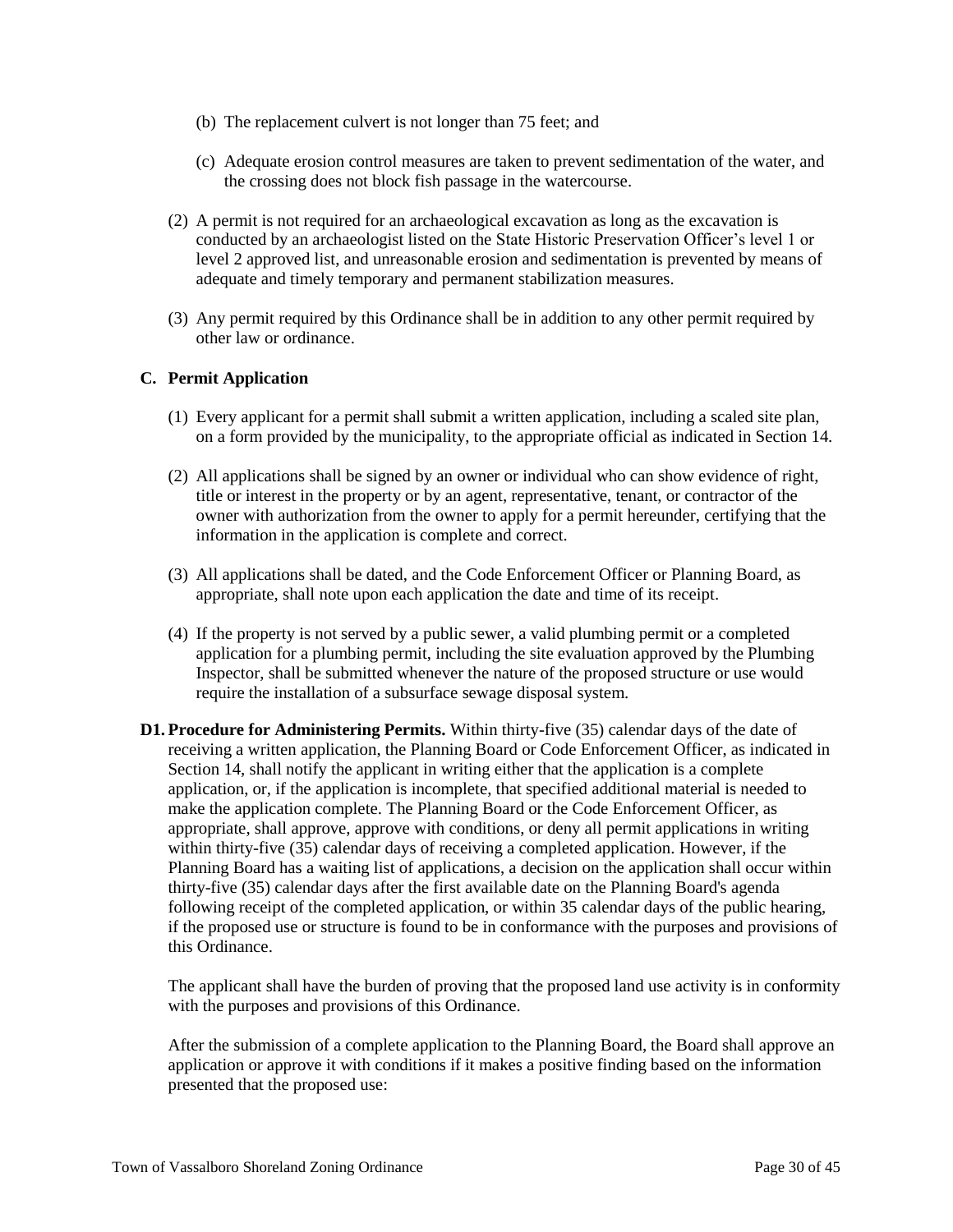- (b) The replacement culvert is not longer than 75 feet; and
- (c) Adequate erosion control measures are taken to prevent sedimentation of the water, and the crossing does not block fish passage in the watercourse.
- (2) A permit is not required for an archaeological excavation as long as the excavation is conducted by an archaeologist listed on the State Historic Preservation Officer's level 1 or level 2 approved list, and unreasonable erosion and sedimentation is prevented by means of adequate and timely temporary and permanent stabilization measures.
- (3) Any permit required by this Ordinance shall be in addition to any other permit required by other law or ordinance.

# **C. Permit Application**

- (1) Every applicant for a permit shall submit a written application, including a scaled site plan, on a form provided by the municipality, to the appropriate official as indicated in Section 14.
- (2) All applications shall be signed by an owner or individual who can show evidence of right, title or interest in the property or by an agent, representative, tenant, or contractor of the owner with authorization from the owner to apply for a permit hereunder, certifying that the information in the application is complete and correct.
- (3) All applications shall be dated, and the Code Enforcement Officer or Planning Board, as appropriate, shall note upon each application the date and time of its receipt.
- (4) If the property is not served by a public sewer, a valid plumbing permit or a completed application for a plumbing permit, including the site evaluation approved by the Plumbing Inspector, shall be submitted whenever the nature of the proposed structure or use would require the installation of a subsurface sewage disposal system.
- **D1. Procedure for Administering Permits.** Within thirty-five (35) calendar days of the date of receiving a written application, the Planning Board or Code Enforcement Officer, as indicated in Section 14, shall notify the applicant in writing either that the application is a complete application, or, if the application is incomplete, that specified additional material is needed to make the application complete. The Planning Board or the Code Enforcement Officer, as appropriate, shall approve, approve with conditions, or deny all permit applications in writing within thirty-five (35) calendar days of receiving a completed application. However, if the Planning Board has a waiting list of applications, a decision on the application shall occur within thirty-five (35) calendar days after the first available date on the Planning Board's agenda following receipt of the completed application, or within 35 calendar days of the public hearing, if the proposed use or structure is found to be in conformance with the purposes and provisions of this Ordinance.

The applicant shall have the burden of proving that the proposed land use activity is in conformity with the purposes and provisions of this Ordinance.

After the submission of a complete application to the Planning Board, the Board shall approve an application or approve it with conditions if it makes a positive finding based on the information presented that the proposed use: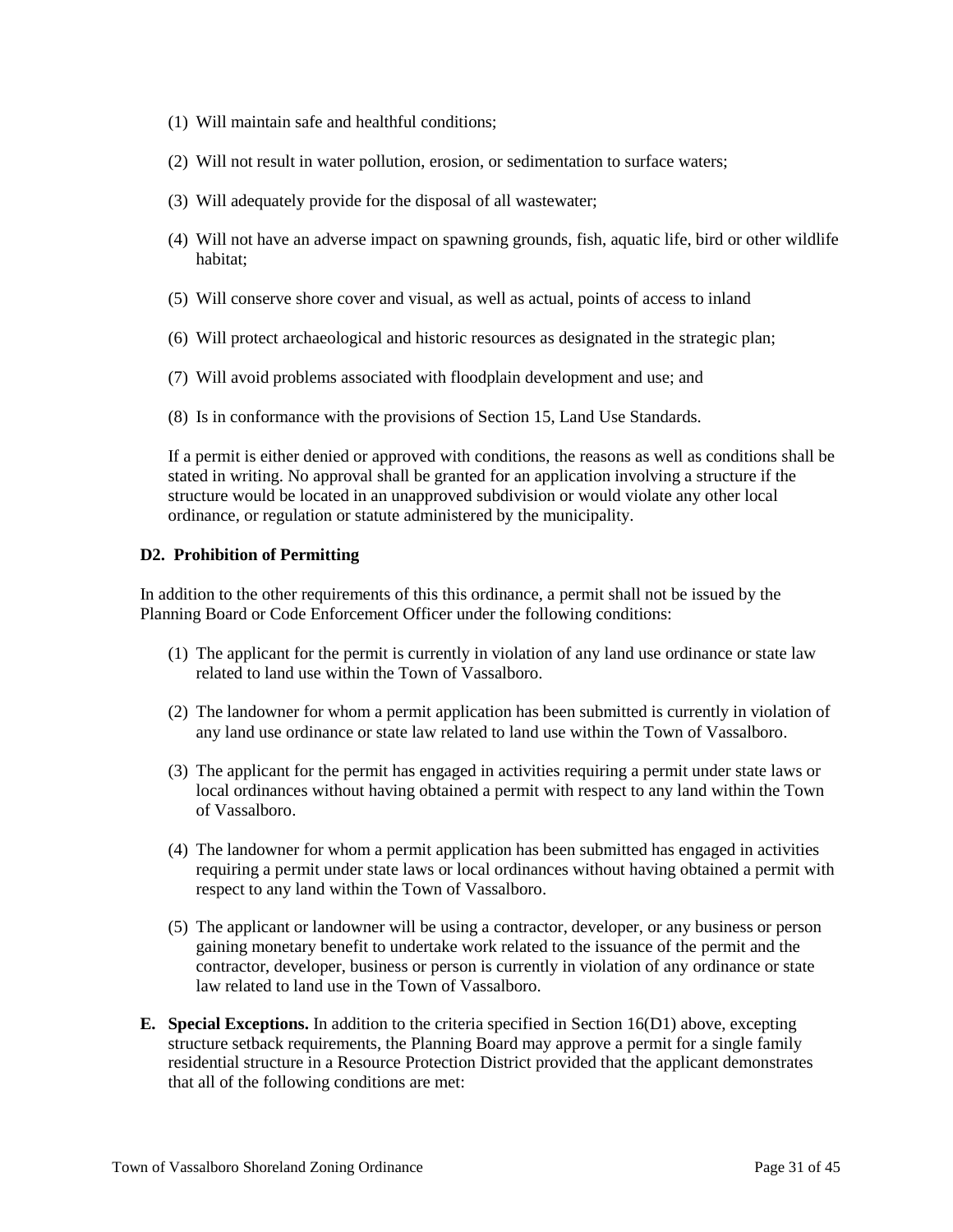- (1) Will maintain safe and healthful conditions;
- (2) Will not result in water pollution, erosion, or sedimentation to surface waters;
- (3) Will adequately provide for the disposal of all wastewater;
- (4) Will not have an adverse impact on spawning grounds, fish, aquatic life, bird or other wildlife habitat;
- (5) Will conserve shore cover and visual, as well as actual, points of access to inland
- (6) Will protect archaeological and historic resources as designated in the strategic plan;
- (7) Will avoid problems associated with floodplain development and use; and
- (8) Is in conformance with the provisions of Section 15, Land Use Standards.

If a permit is either denied or approved with conditions, the reasons as well as conditions shall be stated in writing. No approval shall be granted for an application involving a structure if the structure would be located in an unapproved subdivision or would violate any other local ordinance, or regulation or statute administered by the municipality.

# **D2. Prohibition of Permitting**

In addition to the other requirements of this this ordinance, a permit shall not be issued by the Planning Board or Code Enforcement Officer under the following conditions:

- (1) The applicant for the permit is currently in violation of any land use ordinance or state law related to land use within the Town of Vassalboro.
- (2) The landowner for whom a permit application has been submitted is currently in violation of any land use ordinance or state law related to land use within the Town of Vassalboro.
- (3) The applicant for the permit has engaged in activities requiring a permit under state laws or local ordinances without having obtained a permit with respect to any land within the Town of Vassalboro.
- (4) The landowner for whom a permit application has been submitted has engaged in activities requiring a permit under state laws or local ordinances without having obtained a permit with respect to any land within the Town of Vassalboro.
- (5) The applicant or landowner will be using a contractor, developer, or any business or person gaining monetary benefit to undertake work related to the issuance of the permit and the contractor, developer, business or person is currently in violation of any ordinance or state law related to land use in the Town of Vassalboro.
- **E. Special Exceptions.** In addition to the criteria specified in Section 16(D1) above, excepting structure setback requirements, the Planning Board may approve a permit for a single family residential structure in a Resource Protection District provided that the applicant demonstrates that all of the following conditions are met: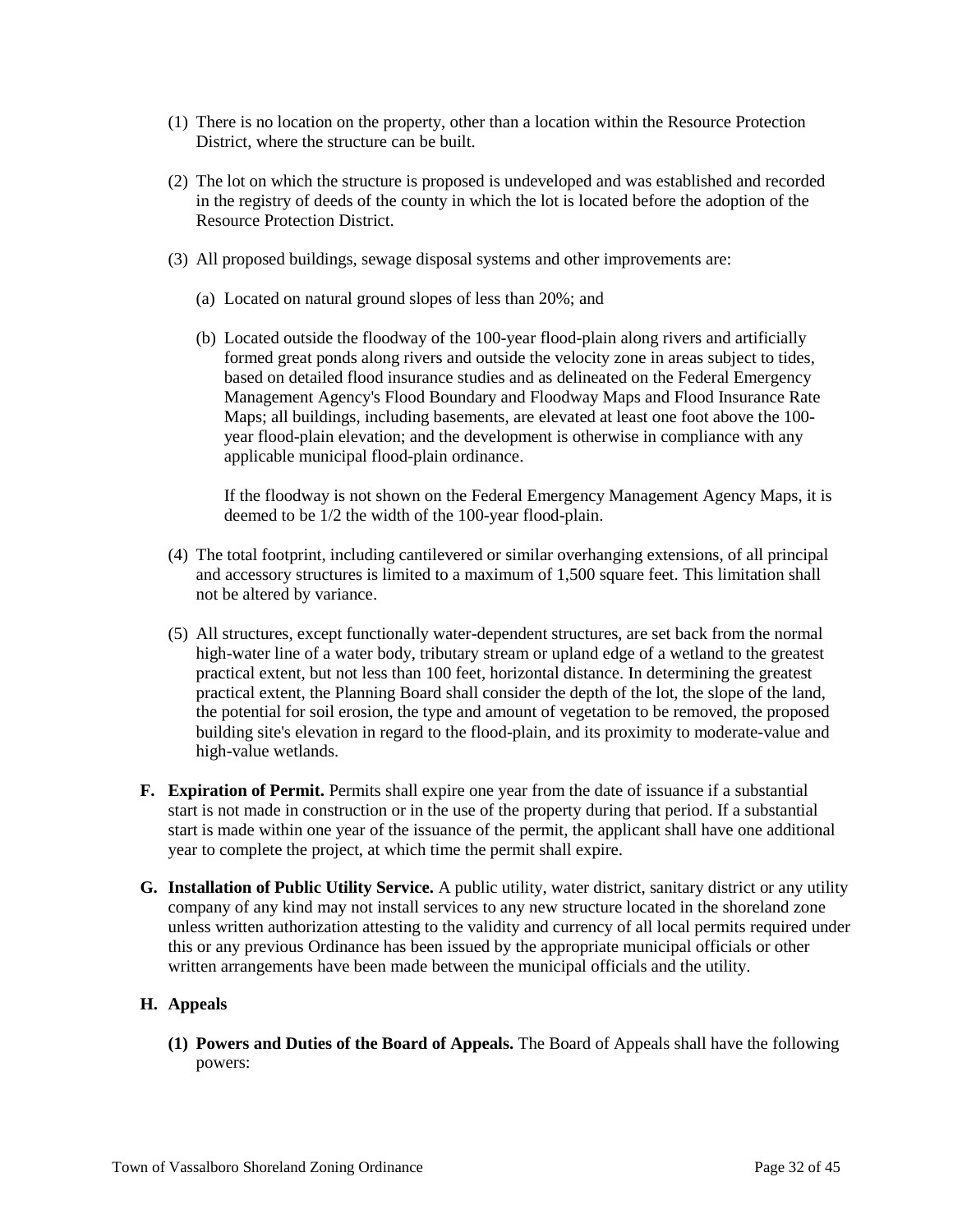- (1) There is no location on the property, other than a location within the Resource Protection District, where the structure can be built.
- (2) The lot on which the structure is proposed is undeveloped and was established and recorded in the registry of deeds of the county in which the lot is located before the adoption of the Resource Protection District.
- (3) All proposed buildings, sewage disposal systems and other improvements are:
	- (a) Located on natural ground slopes of less than 20%; and
	- (b) Located outside the floodway of the 100-year flood-plain along rivers and artificially formed great ponds along rivers and outside the velocity zone in areas subject to tides, based on detailed flood insurance studies and as delineated on the Federal Emergency Management Agency's Flood Boundary and Floodway Maps and Flood Insurance Rate Maps; all buildings, including basements, are elevated at least one foot above the 100 year flood-plain elevation; and the development is otherwise in compliance with any applicable municipal flood-plain ordinance.

If the floodway is not shown on the Federal Emergency Management Agency Maps, it is deemed to be 1/2 the width of the 100-year flood-plain.

- (4) The total footprint, including cantilevered or similar overhanging extensions, of all principal and accessory structures is limited to a maximum of 1,500 square feet. This limitation shall not be altered by variance.
- (5) All structures, except functionally water-dependent structures, are set back from the normal high-water line of a water body, tributary stream or upland edge of a wetland to the greatest practical extent, but not less than 100 feet, horizontal distance. In determining the greatest practical extent, the Planning Board shall consider the depth of the lot, the slope of the land, the potential for soil erosion, the type and amount of vegetation to be removed, the proposed building site's elevation in regard to the flood-plain, and its proximity to moderate-value and high-value wetlands.
- **F. Expiration of Permit.** Permits shall expire one year from the date of issuance if a substantial start is not made in construction or in the use of the property during that period. If a substantial start is made within one year of the issuance of the permit, the applicant shall have one additional year to complete the project, at which time the permit shall expire.
- **G. Installation of Public Utility Service.** A public utility, water district, sanitary district or any utility company of any kind may not install services to any new structure located in the shoreland zone unless written authorization attesting to the validity and currency of all local permits required under this or any previous Ordinance has been issued by the appropriate municipal officials or other written arrangements have been made between the municipal officials and the utility.

# **H. Appeals**

**(1) Powers and Duties of the Board of Appeals.** The Board of Appeals shall have the following powers: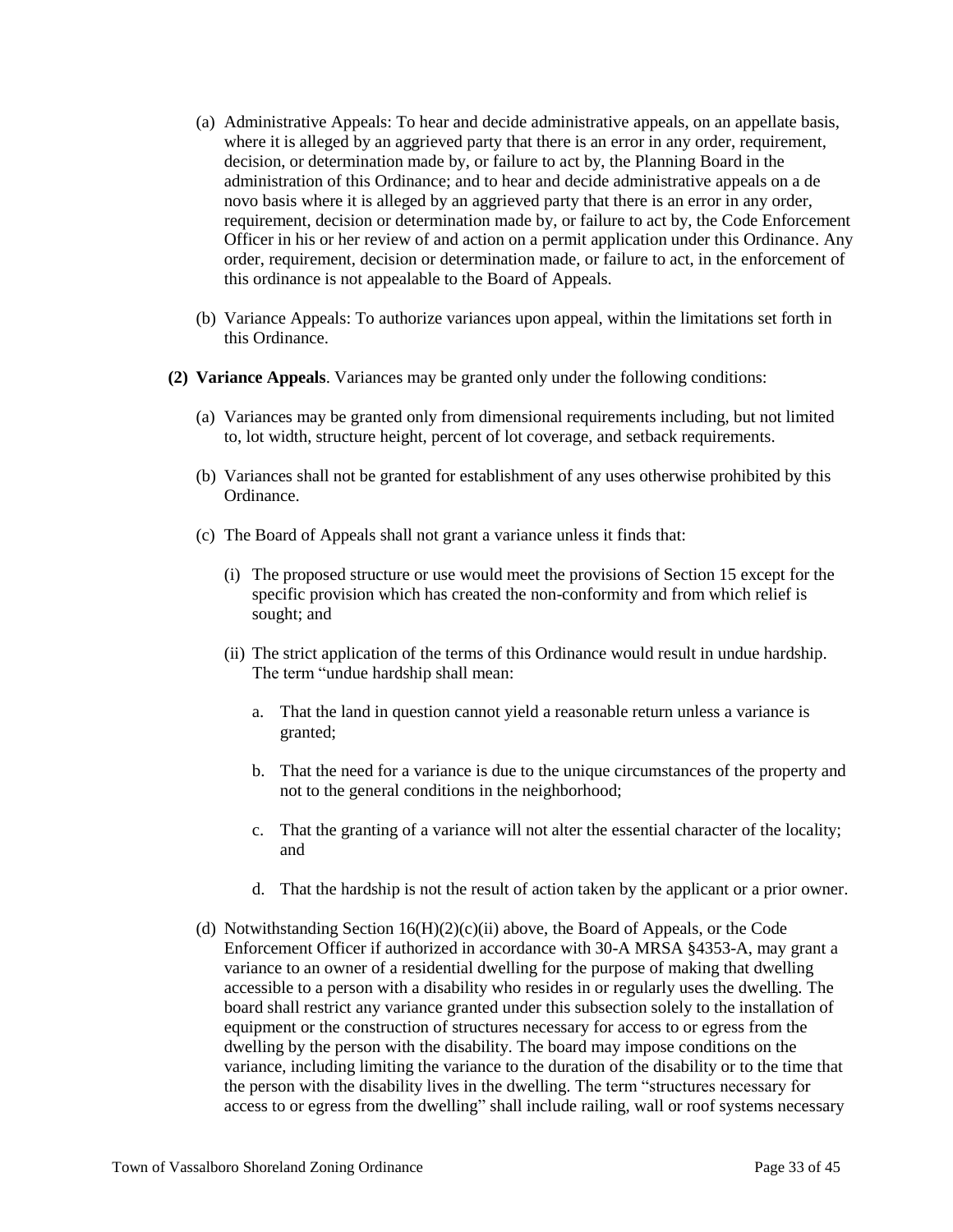- (a) Administrative Appeals: To hear and decide administrative appeals, on an appellate basis, where it is alleged by an aggrieved party that there is an error in any order, requirement, decision, or determination made by, or failure to act by, the Planning Board in the administration of this Ordinance; and to hear and decide administrative appeals on a de novo basis where it is alleged by an aggrieved party that there is an error in any order, requirement, decision or determination made by, or failure to act by, the Code Enforcement Officer in his or her review of and action on a permit application under this Ordinance. Any order, requirement, decision or determination made, or failure to act, in the enforcement of this ordinance is not appealable to the Board of Appeals.
- (b) Variance Appeals: To authorize variances upon appeal, within the limitations set forth in this Ordinance.
- **(2) Variance Appeals**. Variances may be granted only under the following conditions:
	- (a) Variances may be granted only from dimensional requirements including, but not limited to, lot width, structure height, percent of lot coverage, and setback requirements.
	- (b) Variances shall not be granted for establishment of any uses otherwise prohibited by this Ordinance.
	- (c) The Board of Appeals shall not grant a variance unless it finds that:
		- (i) The proposed structure or use would meet the provisions of Section 15 except for the specific provision which has created the non-conformity and from which relief is sought; and
		- (ii) The strict application of the terms of this Ordinance would result in undue hardship. The term "undue hardship shall mean:
			- a. That the land in question cannot yield a reasonable return unless a variance is granted;
			- b. That the need for a variance is due to the unique circumstances of the property and not to the general conditions in the neighborhood;
			- c. That the granting of a variance will not alter the essential character of the locality; and
			- d. That the hardship is not the result of action taken by the applicant or a prior owner.
	- (d) Notwithstanding Section  $16(H)(2)(c)(ii)$  above, the Board of Appeals, or the Code Enforcement Officer if authorized in accordance with 30-A MRSA §4353-A, may grant a variance to an owner of a residential dwelling for the purpose of making that dwelling accessible to a person with a disability who resides in or regularly uses the dwelling. The board shall restrict any variance granted under this subsection solely to the installation of equipment or the construction of structures necessary for access to or egress from the dwelling by the person with the disability. The board may impose conditions on the variance, including limiting the variance to the duration of the disability or to the time that the person with the disability lives in the dwelling. The term "structures necessary for access to or egress from the dwelling" shall include railing, wall or roof systems necessary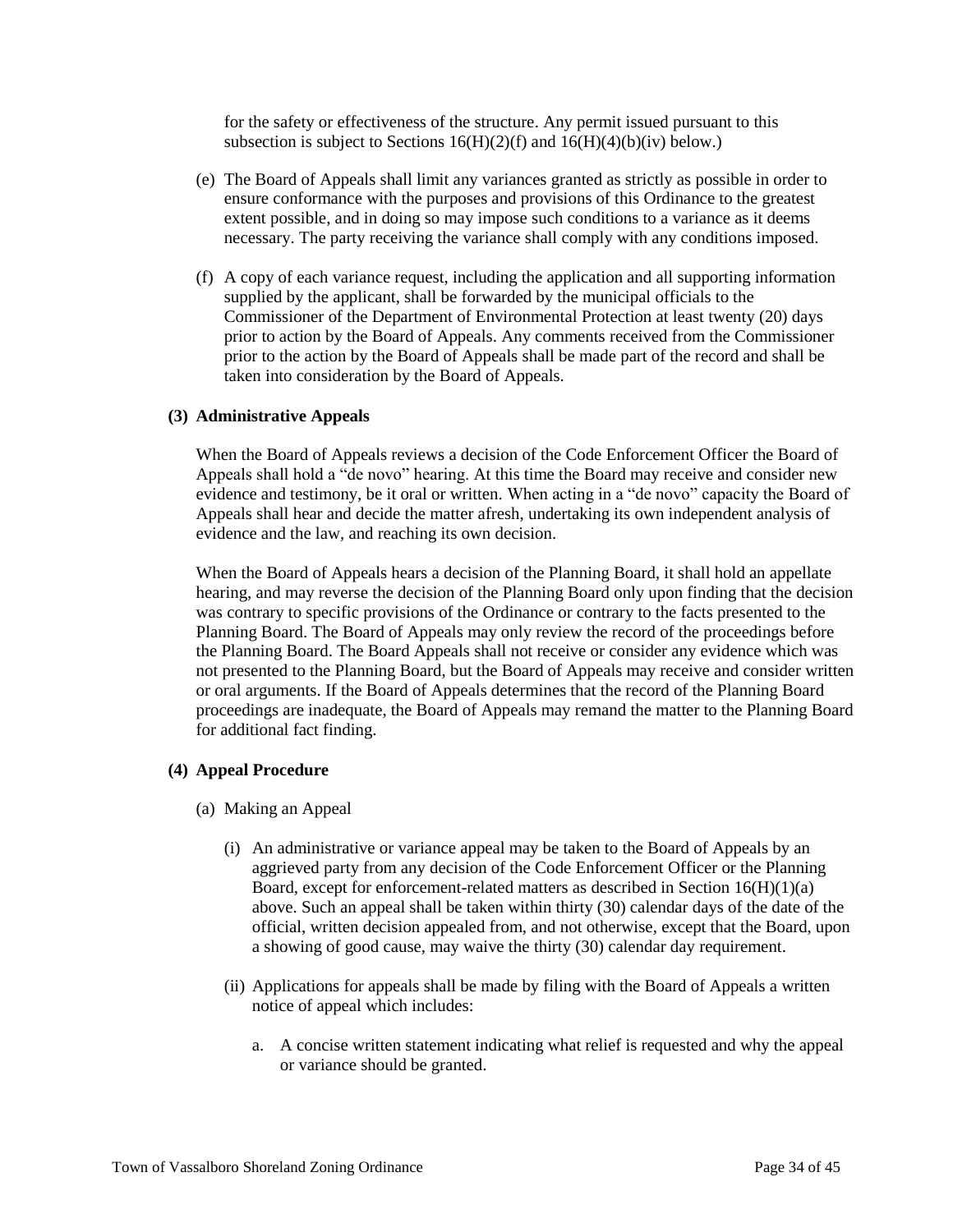for the safety or effectiveness of the structure. Any permit issued pursuant to this subsection is subject to Sections  $16(H)(2)(f)$  and  $16(H)(4)(b)(iv)$  below.)

- (e) The Board of Appeals shall limit any variances granted as strictly as possible in order to ensure conformance with the purposes and provisions of this Ordinance to the greatest extent possible, and in doing so may impose such conditions to a variance as it deems necessary. The party receiving the variance shall comply with any conditions imposed.
- (f) A copy of each variance request, including the application and all supporting information supplied by the applicant, shall be forwarded by the municipal officials to the Commissioner of the Department of Environmental Protection at least twenty (20) days prior to action by the Board of Appeals. Any comments received from the Commissioner prior to the action by the Board of Appeals shall be made part of the record and shall be taken into consideration by the Board of Appeals.

#### **(3) Administrative Appeals**

When the Board of Appeals reviews a decision of the Code Enforcement Officer the Board of Appeals shall hold a "de novo" hearing. At this time the Board may receive and consider new evidence and testimony, be it oral or written. When acting in a "de novo" capacity the Board of Appeals shall hear and decide the matter afresh, undertaking its own independent analysis of evidence and the law, and reaching its own decision.

When the Board of Appeals hears a decision of the Planning Board, it shall hold an appellate hearing, and may reverse the decision of the Planning Board only upon finding that the decision was contrary to specific provisions of the Ordinance or contrary to the facts presented to the Planning Board. The Board of Appeals may only review the record of the proceedings before the Planning Board. The Board Appeals shall not receive or consider any evidence which was not presented to the Planning Board, but the Board of Appeals may receive and consider written or oral arguments. If the Board of Appeals determines that the record of the Planning Board proceedings are inadequate, the Board of Appeals may remand the matter to the Planning Board for additional fact finding.

# **(4) Appeal Procedure**

- (a) Making an Appeal
	- (i) An administrative or variance appeal may be taken to the Board of Appeals by an aggrieved party from any decision of the Code Enforcement Officer or the Planning Board, except for enforcement-related matters as described in Section  $16(H)(1)(a)$ above. Such an appeal shall be taken within thirty (30) calendar days of the date of the official, written decision appealed from, and not otherwise, except that the Board, upon a showing of good cause, may waive the thirty (30) calendar day requirement.
	- (ii) Applications for appeals shall be made by filing with the Board of Appeals a written notice of appeal which includes:
		- a. A concise written statement indicating what relief is requested and why the appeal or variance should be granted.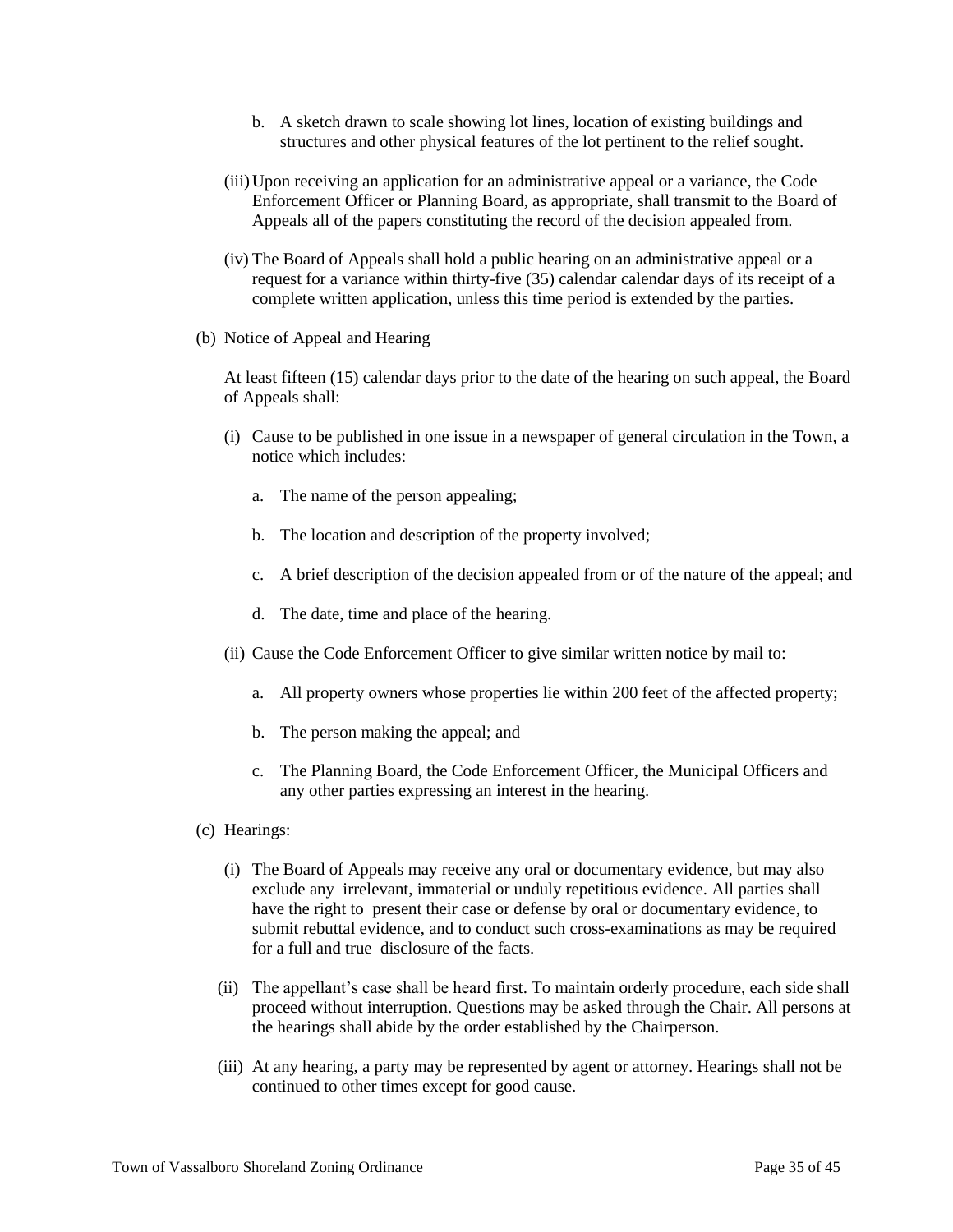- b. A sketch drawn to scale showing lot lines, location of existing buildings and structures and other physical features of the lot pertinent to the relief sought.
- (iii)Upon receiving an application for an administrative appeal or a variance, the Code Enforcement Officer or Planning Board, as appropriate, shall transmit to the Board of Appeals all of the papers constituting the record of the decision appealed from.
- (iv) The Board of Appeals shall hold a public hearing on an administrative appeal or a request for a variance within thirty-five (35) calendar calendar days of its receipt of a complete written application, unless this time period is extended by the parties.
- (b) Notice of Appeal and Hearing

At least fifteen (15) calendar days prior to the date of the hearing on such appeal, the Board of Appeals shall:

- (i) Cause to be published in one issue in a newspaper of general circulation in the Town, a notice which includes:
	- a. The name of the person appealing;
	- b. The location and description of the property involved;
	- c. A brief description of the decision appealed from or of the nature of the appeal; and
	- d. The date, time and place of the hearing.
- (ii) Cause the Code Enforcement Officer to give similar written notice by mail to:
	- a. All property owners whose properties lie within 200 feet of the affected property;
	- b. The person making the appeal; and
	- c. The Planning Board, the Code Enforcement Officer, the Municipal Officers and any other parties expressing an interest in the hearing.
- (c) Hearings:
	- (i) The Board of Appeals may receive any oral or documentary evidence, but may also exclude any irrelevant, immaterial or unduly repetitious evidence. All parties shall have the right to present their case or defense by oral or documentary evidence, to submit rebuttal evidence, and to conduct such cross-examinations as may be required for a full and true disclosure of the facts.
	- (ii) The appellant's case shall be heard first. To maintain orderly procedure, each side shall proceed without interruption. Questions may be asked through the Chair. All persons at the hearings shall abide by the order established by the Chairperson.
	- (iii) At any hearing, a party may be represented by agent or attorney. Hearings shall not be continued to other times except for good cause.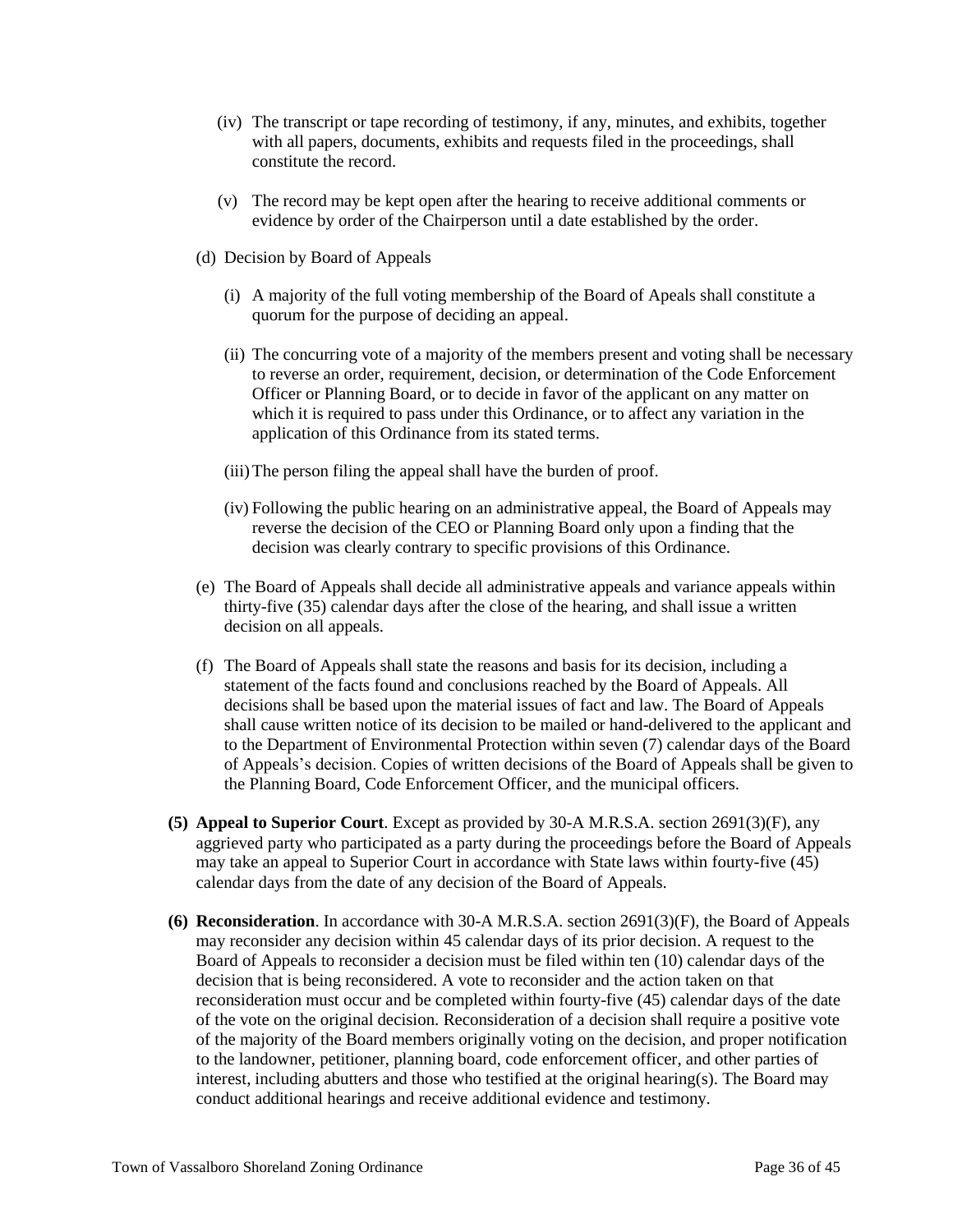- (iv) The transcript or tape recording of testimony, if any, minutes, and exhibits, together with all papers, documents, exhibits and requests filed in the proceedings, shall constitute the record.
- (v) The record may be kept open after the hearing to receive additional comments or evidence by order of the Chairperson until a date established by the order.
- (d) Decision by Board of Appeals
	- (i) A majority of the full voting membership of the Board of Apeals shall constitute a quorum for the purpose of deciding an appeal.
	- (ii) The concurring vote of a majority of the members present and voting shall be necessary to reverse an order, requirement, decision, or determination of the Code Enforcement Officer or Planning Board, or to decide in favor of the applicant on any matter on which it is required to pass under this Ordinance, or to affect any variation in the application of this Ordinance from its stated terms.
	- (iii)The person filing the appeal shall have the burden of proof.
	- (iv) Following the public hearing on an administrative appeal, the Board of Appeals may reverse the decision of the CEO or Planning Board only upon a finding that the decision was clearly contrary to specific provisions of this Ordinance.
- (e) The Board of Appeals shall decide all administrative appeals and variance appeals within thirty-five (35) calendar days after the close of the hearing, and shall issue a written decision on all appeals.
- (f) The Board of Appeals shall state the reasons and basis for its decision, including a statement of the facts found and conclusions reached by the Board of Appeals. All decisions shall be based upon the material issues of fact and law. The Board of Appeals shall cause written notice of its decision to be mailed or hand-delivered to the applicant and to the Department of Environmental Protection within seven (7) calendar days of the Board of Appeals's decision. Copies of written decisions of the Board of Appeals shall be given to the Planning Board, Code Enforcement Officer, and the municipal officers.
- **(5) Appeal to Superior Court**. Except as provided by 30-A M.R.S.A. section 2691(3)(F), any aggrieved party who participated as a party during the proceedings before the Board of Appeals may take an appeal to Superior Court in accordance with State laws within fourty-five (45) calendar days from the date of any decision of the Board of Appeals.
- **(6) Reconsideration**. In accordance with 30-A M.R.S.A. section 2691(3)(F), the Board of Appeals may reconsider any decision within 45 calendar days of its prior decision. A request to the Board of Appeals to reconsider a decision must be filed within ten (10) calendar days of the decision that is being reconsidered. A vote to reconsider and the action taken on that reconsideration must occur and be completed within fourty-five (45) calendar days of the date of the vote on the original decision. Reconsideration of a decision shall require a positive vote of the majority of the Board members originally voting on the decision, and proper notification to the landowner, petitioner, planning board, code enforcement officer, and other parties of interest, including abutters and those who testified at the original hearing(s). The Board may conduct additional hearings and receive additional evidence and testimony.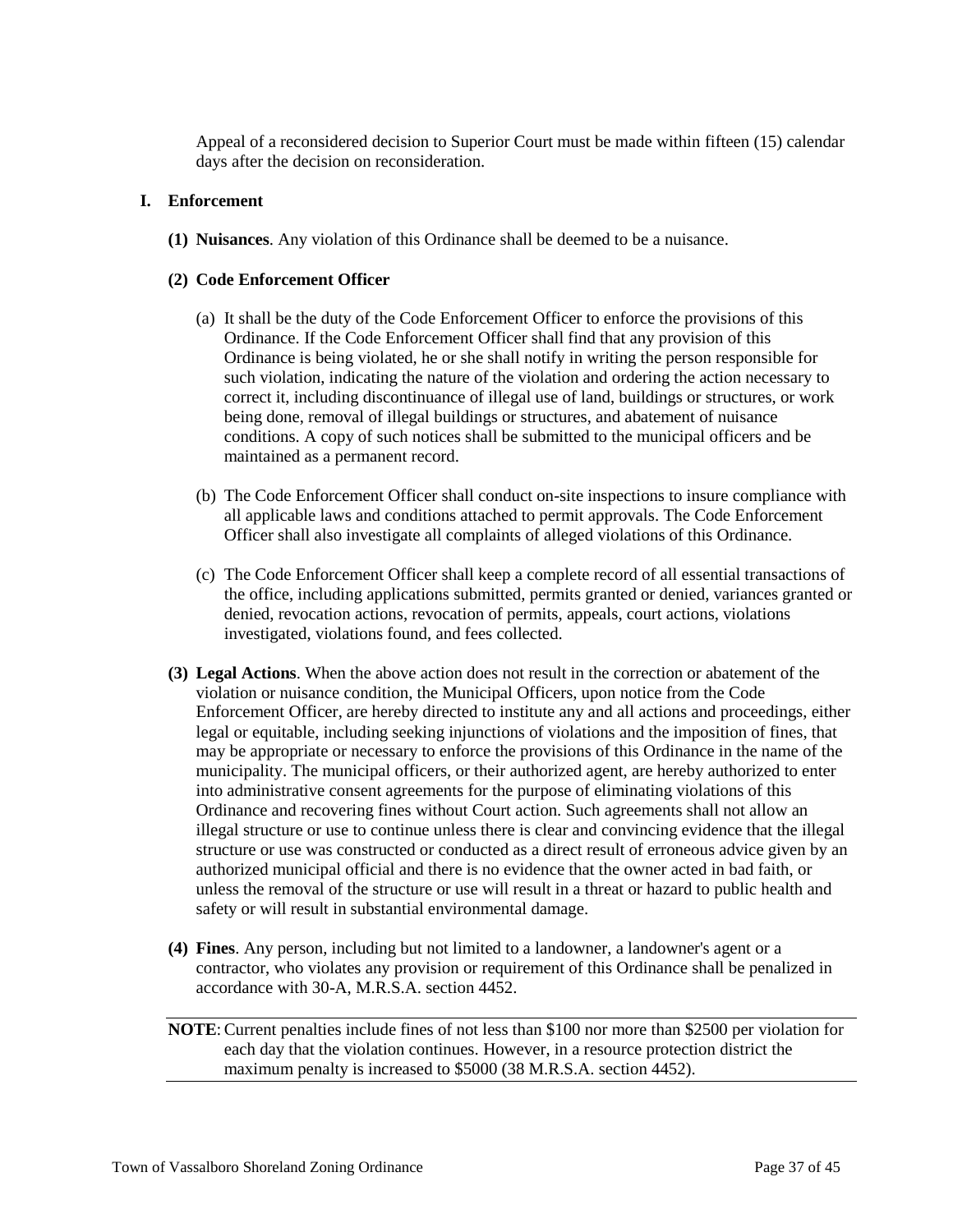Appeal of a reconsidered decision to Superior Court must be made within fifteen (15) calendar days after the decision on reconsideration.

### **I. Enforcement**

**(1) Nuisances**. Any violation of this Ordinance shall be deemed to be a nuisance.

#### **(2) Code Enforcement Officer**

- (a) It shall be the duty of the Code Enforcement Officer to enforce the provisions of this Ordinance. If the Code Enforcement Officer shall find that any provision of this Ordinance is being violated, he or she shall notify in writing the person responsible for such violation, indicating the nature of the violation and ordering the action necessary to correct it, including discontinuance of illegal use of land, buildings or structures, or work being done, removal of illegal buildings or structures, and abatement of nuisance conditions. A copy of such notices shall be submitted to the municipal officers and be maintained as a permanent record.
- (b) The Code Enforcement Officer shall conduct on-site inspections to insure compliance with all applicable laws and conditions attached to permit approvals. The Code Enforcement Officer shall also investigate all complaints of alleged violations of this Ordinance.
- (c) The Code Enforcement Officer shall keep a complete record of all essential transactions of the office, including applications submitted, permits granted or denied, variances granted or denied, revocation actions, revocation of permits, appeals, court actions, violations investigated, violations found, and fees collected.
- **(3) Legal Actions**. When the above action does not result in the correction or abatement of the violation or nuisance condition, the Municipal Officers, upon notice from the Code Enforcement Officer, are hereby directed to institute any and all actions and proceedings, either legal or equitable, including seeking injunctions of violations and the imposition of fines, that may be appropriate or necessary to enforce the provisions of this Ordinance in the name of the municipality. The municipal officers, or their authorized agent, are hereby authorized to enter into administrative consent agreements for the purpose of eliminating violations of this Ordinance and recovering fines without Court action. Such agreements shall not allow an illegal structure or use to continue unless there is clear and convincing evidence that the illegal structure or use was constructed or conducted as a direct result of erroneous advice given by an authorized municipal official and there is no evidence that the owner acted in bad faith, or unless the removal of the structure or use will result in a threat or hazard to public health and safety or will result in substantial environmental damage.
- **(4) Fines**. Any person, including but not limited to a landowner, a landowner's agent or a contractor, who violates any provision or requirement of this Ordinance shall be penalized in accordance with 30-A, M.R.S.A. section 4452.

**NOTE**:Current penalties include fines of not less than \$100 nor more than \$2500 per violation for each day that the violation continues. However, in a resource protection district the maximum penalty is increased to \$5000 (38 M.R.S.A. section 4452).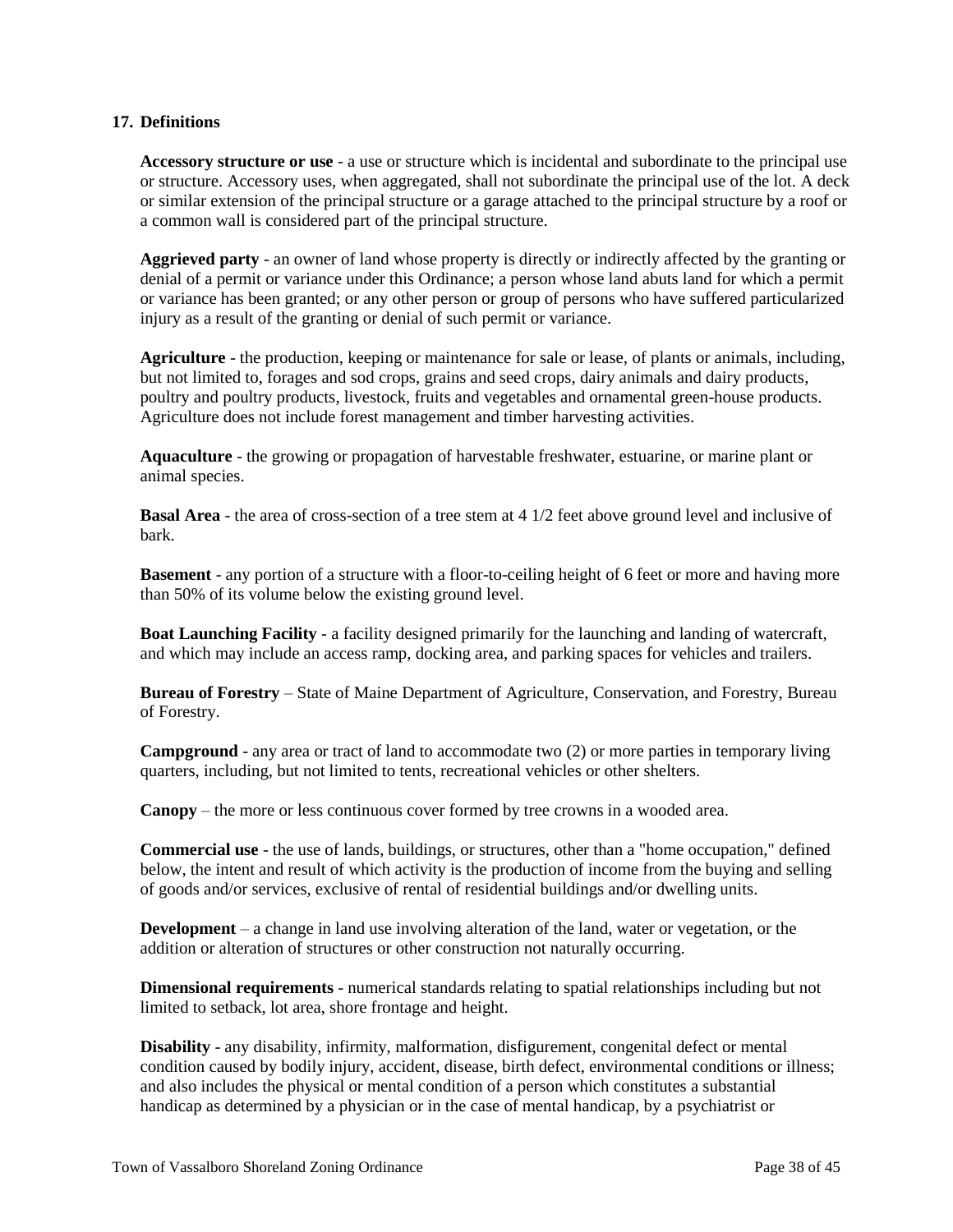### **17. Definitions**

**Accessory structure or use** - a use or structure which is incidental and subordinate to the principal use or structure. Accessory uses, when aggregated, shall not subordinate the principal use of the lot. A deck or similar extension of the principal structure or a garage attached to the principal structure by a roof or a common wall is considered part of the principal structure.

**Aggrieved party** - an owner of land whose property is directly or indirectly affected by the granting or denial of a permit or variance under this Ordinance; a person whose land abuts land for which a permit or variance has been granted; or any other person or group of persons who have suffered particularized injury as a result of the granting or denial of such permit or variance.

**Agriculture** - the production, keeping or maintenance for sale or lease, of plants or animals, including, but not limited to, forages and sod crops, grains and seed crops, dairy animals and dairy products, poultry and poultry products, livestock, fruits and vegetables and ornamental green-house products. Agriculture does not include forest management and timber harvesting activities.

**Aquaculture** - the growing or propagation of harvestable freshwater, estuarine, or marine plant or animal species.

**Basal Area** - the area of cross-section of a tree stem at 4 1/2 feet above ground level and inclusive of bark.

**Basement** - any portion of a structure with a floor-to-ceiling height of 6 feet or more and having more than 50% of its volume below the existing ground level.

**Boat Launching Facility** - a facility designed primarily for the launching and landing of watercraft, and which may include an access ramp, docking area, and parking spaces for vehicles and trailers.

**Bureau of Forestry** – State of Maine Department of Agriculture, Conservation, and Forestry, Bureau of Forestry.

**Campground** - any area or tract of land to accommodate two (2) or more parties in temporary living quarters, including, but not limited to tents, recreational vehicles or other shelters.

**Canopy** – the more or less continuous cover formed by tree crowns in a wooded area.

**Commercial use** - the use of lands, buildings, or structures, other than a "home occupation," defined below, the intent and result of which activity is the production of income from the buying and selling of goods and/or services, exclusive of rental of residential buildings and/or dwelling units.

**Development** – a change in land use involving alteration of the land, water or vegetation, or the addition or alteration of structures or other construction not naturally occurring.

**Dimensional requirements** - numerical standards relating to spatial relationships including but not limited to setback, lot area, shore frontage and height.

**Disability** - any disability, infirmity, malformation, disfigurement, congenital defect or mental condition caused by bodily injury, accident, disease, birth defect, environmental conditions or illness; and also includes the physical or mental condition of a person which constitutes a substantial handicap as determined by a physician or in the case of mental handicap, by a psychiatrist or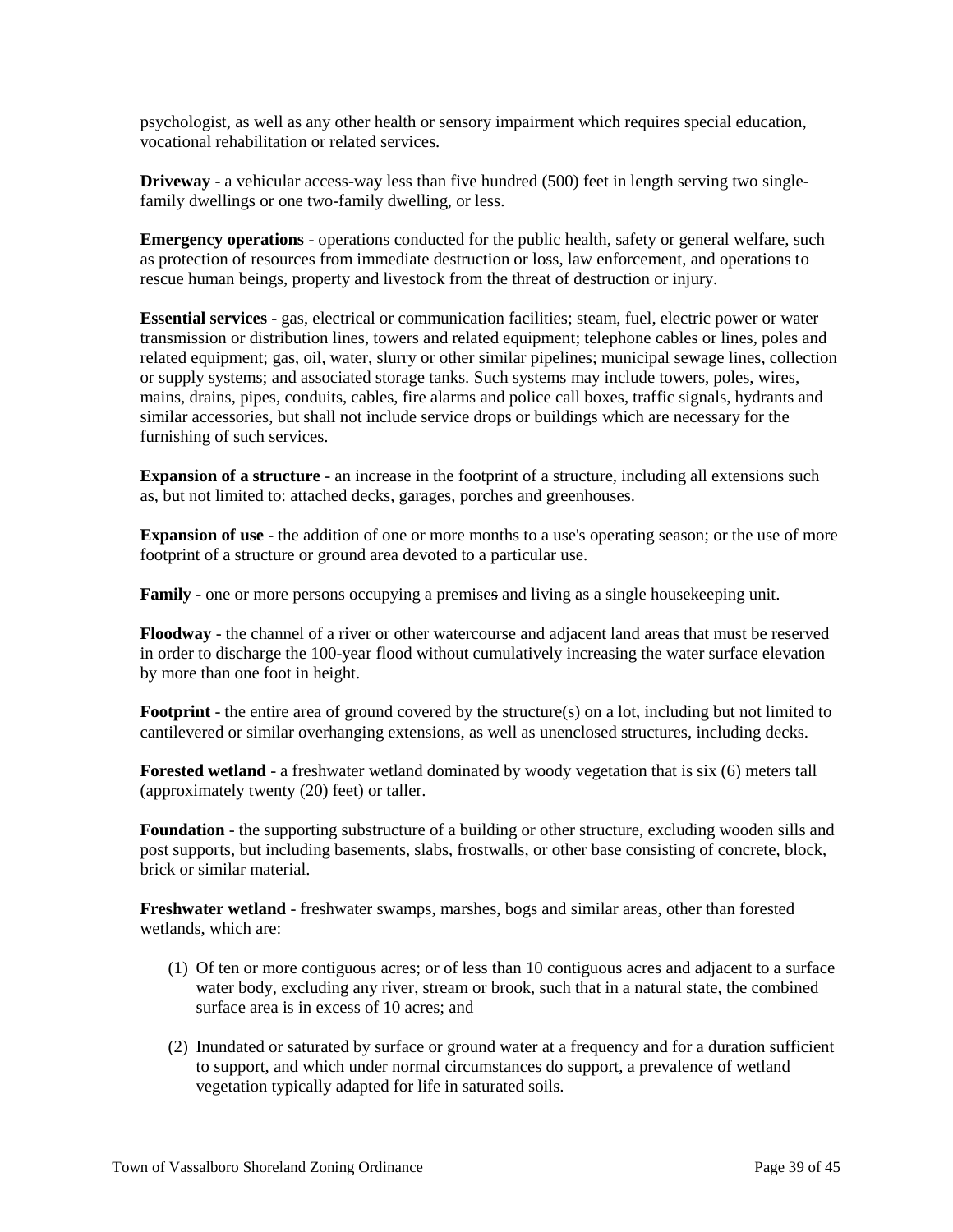psychologist, as well as any other health or sensory impairment which requires special education, vocational rehabilitation or related services.

**Driveway** - a vehicular access-way less than five hundred (500) feet in length serving two singlefamily dwellings or one two-family dwelling, or less.

**Emergency operations** - operations conducted for the public health, safety or general welfare, such as protection of resources from immediate destruction or loss, law enforcement, and operations to rescue human beings, property and livestock from the threat of destruction or injury.

**Essential services** - gas, electrical or communication facilities; steam, fuel, electric power or water transmission or distribution lines, towers and related equipment; telephone cables or lines, poles and related equipment; gas, oil, water, slurry or other similar pipelines; municipal sewage lines, collection or supply systems; and associated storage tanks. Such systems may include towers, poles, wires, mains, drains, pipes, conduits, cables, fire alarms and police call boxes, traffic signals, hydrants and similar accessories, but shall not include service drops or buildings which are necessary for the furnishing of such services.

**Expansion of a structure** - an increase in the footprint of a structure, including all extensions such as, but not limited to: attached decks, garages, porches and greenhouses.

**Expansion of use** - the addition of one or more months to a use's operating season; or the use of more footprint of a structure or ground area devoted to a particular use.

**Family** - one or more persons occupying a premises and living as a single housekeeping unit.

**Floodway** - the channel of a river or other watercourse and adjacent land areas that must be reserved in order to discharge the 100-year flood without cumulatively increasing the water surface elevation by more than one foot in height.

**Footprint** - the entire area of ground covered by the structure(s) on a lot, including but not limited to cantilevered or similar overhanging extensions, as well as unenclosed structures, including decks.

**Forested wetland** - a freshwater wetland dominated by woody vegetation that is six (6) meters tall (approximately twenty (20) feet) or taller.

**Foundation** - the supporting substructure of a building or other structure, excluding wooden sills and post supports, but including basements, slabs, frostwalls, or other base consisting of concrete, block, brick or similar material.

**Freshwater wetland** - freshwater swamps, marshes, bogs and similar areas, other than forested wetlands, which are:

- (1) Of ten or more contiguous acres; or of less than 10 contiguous acres and adjacent to a surface water body, excluding any river, stream or brook, such that in a natural state, the combined surface area is in excess of 10 acres; and
- (2) Inundated or saturated by surface or ground water at a frequency and for a duration sufficient to support, and which under normal circumstances do support, a prevalence of wetland vegetation typically adapted for life in saturated soils.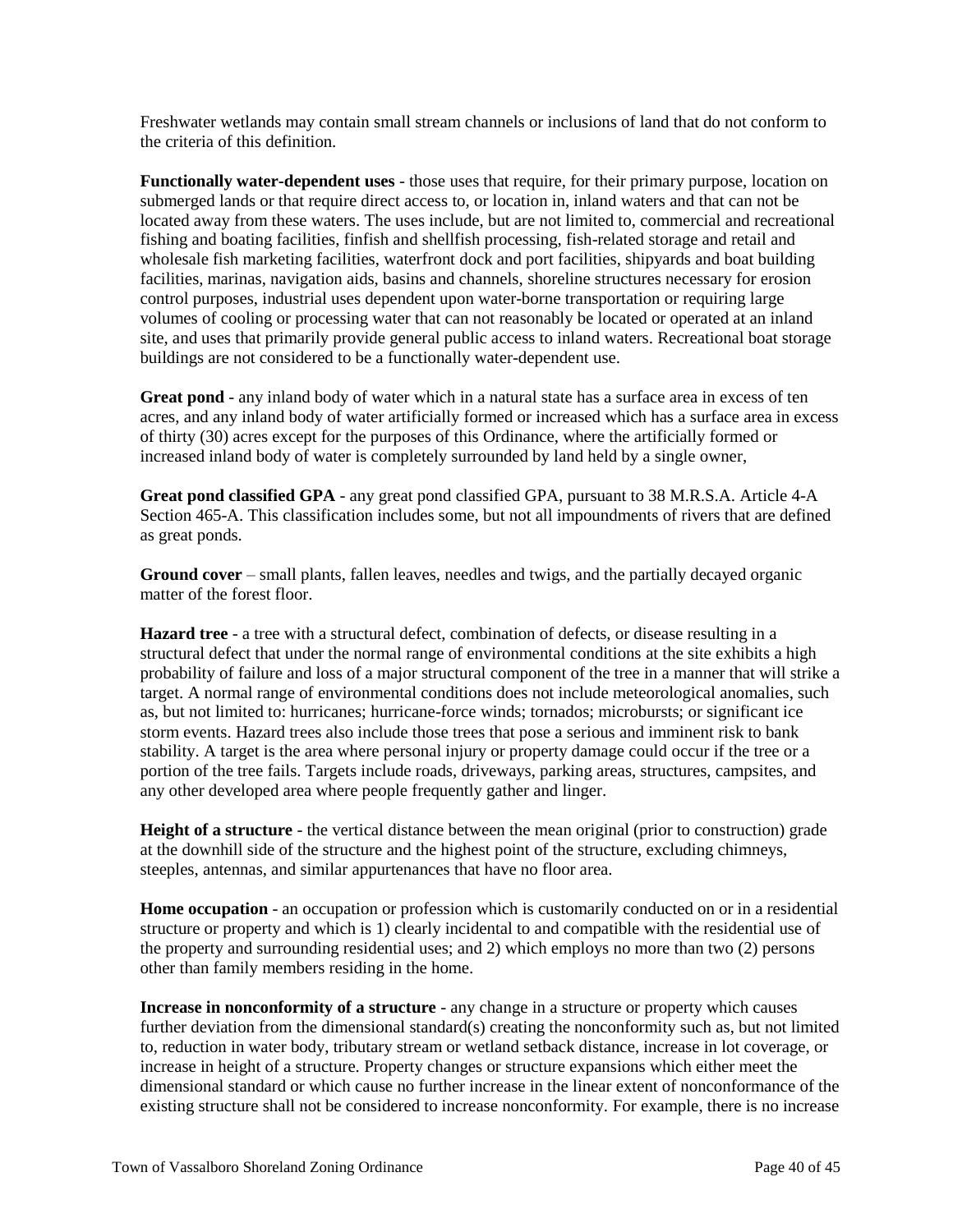Freshwater wetlands may contain small stream channels or inclusions of land that do not conform to the criteria of this definition.

**Functionally water-dependent uses** - those uses that require, for their primary purpose, location on submerged lands or that require direct access to, or location in, inland waters and that can not be located away from these waters. The uses include, but are not limited to, commercial and recreational fishing and boating facilities, finfish and shellfish processing, fish-related storage and retail and wholesale fish marketing facilities, waterfront dock and port facilities, shipyards and boat building facilities, marinas, navigation aids, basins and channels, shoreline structures necessary for erosion control purposes, industrial uses dependent upon water-borne transportation or requiring large volumes of cooling or processing water that can not reasonably be located or operated at an inland site, and uses that primarily provide general public access to inland waters. Recreational boat storage buildings are not considered to be a functionally water-dependent use.

**Great pond** - any inland body of water which in a natural state has a surface area in excess of ten acres, and any inland body of water artificially formed or increased which has a surface area in excess of thirty (30) acres except for the purposes of this Ordinance, where the artificially formed or increased inland body of water is completely surrounded by land held by a single owner,

**Great pond classified GPA** - any great pond classified GPA, pursuant to 38 M.R.S.A. Article 4-A Section 465-A. This classification includes some, but not all impoundments of rivers that are defined as great ponds.

**Ground cover** – small plants, fallen leaves, needles and twigs, and the partially decayed organic matter of the forest floor.

**Hazard tree** - a tree with a structural defect, combination of defects, or disease resulting in a structural defect that under the normal range of environmental conditions at the site exhibits a high probability of failure and loss of a major structural component of the tree in a manner that will strike a target. A normal range of environmental conditions does not include meteorological anomalies, such as, but not limited to: hurricanes; hurricane-force winds; tornados; microbursts; or significant ice storm events. Hazard trees also include those trees that pose a serious and imminent risk to bank stability. A target is the area where personal injury or property damage could occur if the tree or a portion of the tree fails. Targets include roads, driveways, parking areas, structures, campsites, and any other developed area where people frequently gather and linger.

**Height of a structure** - the vertical distance between the mean original (prior to construction) grade at the downhill side of the structure and the highest point of the structure, excluding chimneys, steeples, antennas, and similar appurtenances that have no floor area.

**Home occupation** - an occupation or profession which is customarily conducted on or in a residential structure or property and which is 1) clearly incidental to and compatible with the residential use of the property and surrounding residential uses; and 2) which employs no more than two (2) persons other than family members residing in the home.

**Increase in nonconformity of a structure** - any change in a structure or property which causes further deviation from the dimensional standard(s) creating the nonconformity such as, but not limited to, reduction in water body, tributary stream or wetland setback distance, increase in lot coverage, or increase in height of a structure. Property changes or structure expansions which either meet the dimensional standard or which cause no further increase in the linear extent of nonconformance of the existing structure shall not be considered to increase nonconformity. For example, there is no increase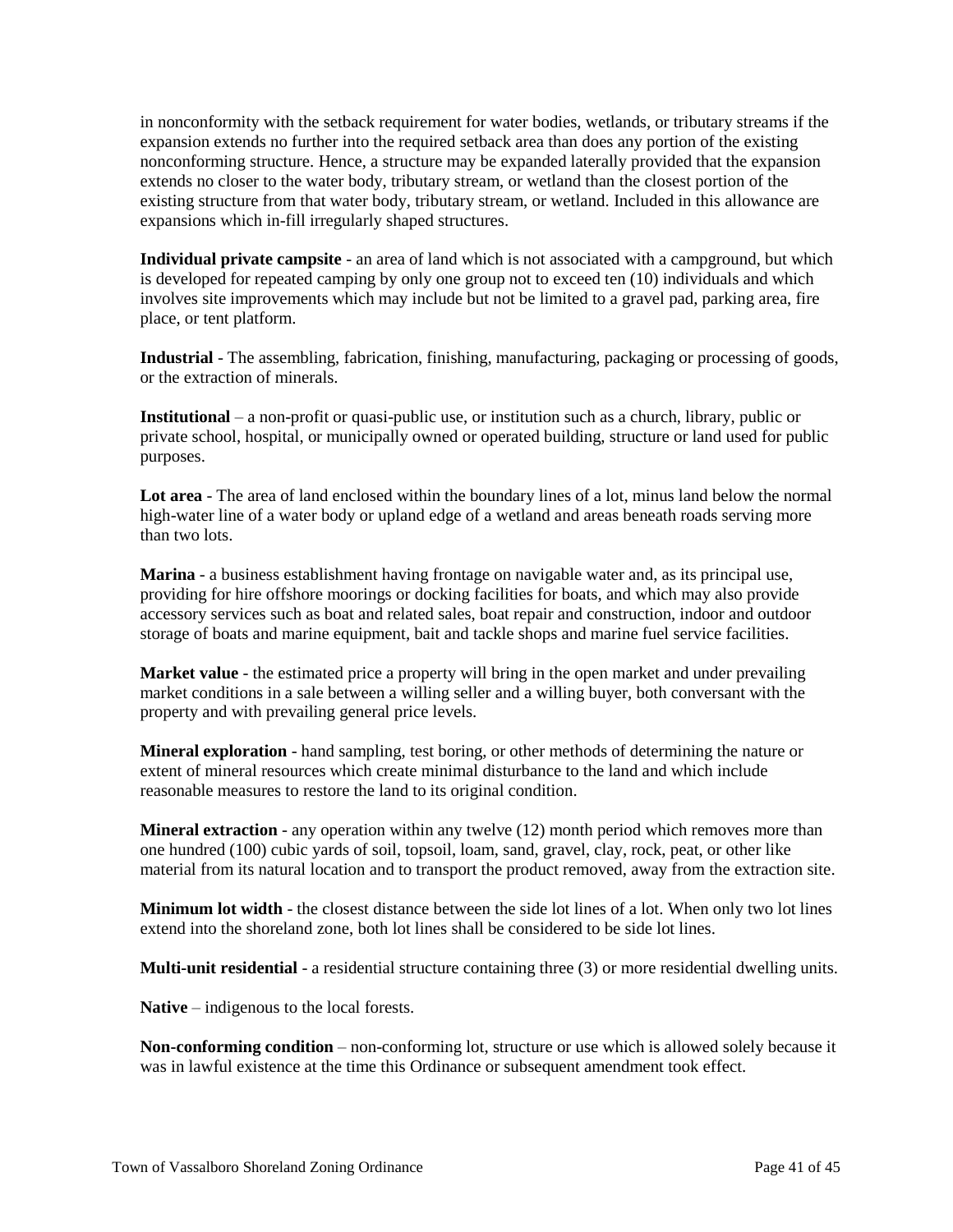in nonconformity with the setback requirement for water bodies, wetlands, or tributary streams if the expansion extends no further into the required setback area than does any portion of the existing nonconforming structure. Hence, a structure may be expanded laterally provided that the expansion extends no closer to the water body, tributary stream, or wetland than the closest portion of the existing structure from that water body, tributary stream, or wetland. Included in this allowance are expansions which in-fill irregularly shaped structures.

**Individual private campsite** - an area of land which is not associated with a campground, but which is developed for repeated camping by only one group not to exceed ten (10) individuals and which involves site improvements which may include but not be limited to a gravel pad, parking area, fire place, or tent platform.

**Industrial** - The assembling, fabrication, finishing, manufacturing, packaging or processing of goods, or the extraction of minerals.

**Institutional** – a non-profit or quasi-public use, or institution such as a church, library, public or private school, hospital, or municipally owned or operated building, structure or land used for public purposes.

**Lot area** - The area of land enclosed within the boundary lines of a lot, minus land below the normal high-water line of a water body or upland edge of a wetland and areas beneath roads serving more than two lots.

**Marina** - a business establishment having frontage on navigable water and, as its principal use, providing for hire offshore moorings or docking facilities for boats, and which may also provide accessory services such as boat and related sales, boat repair and construction, indoor and outdoor storage of boats and marine equipment, bait and tackle shops and marine fuel service facilities.

**Market value** - the estimated price a property will bring in the open market and under prevailing market conditions in a sale between a willing seller and a willing buyer, both conversant with the property and with prevailing general price levels.

**Mineral exploration** - hand sampling, test boring, or other methods of determining the nature or extent of mineral resources which create minimal disturbance to the land and which include reasonable measures to restore the land to its original condition.

**Mineral extraction** - any operation within any twelve (12) month period which removes more than one hundred (100) cubic yards of soil, topsoil, loam, sand, gravel, clay, rock, peat, or other like material from its natural location and to transport the product removed, away from the extraction site.

**Minimum lot width** - the closest distance between the side lot lines of a lot. When only two lot lines extend into the shoreland zone, both lot lines shall be considered to be side lot lines.

**Multi-unit residential** - a residential structure containing three (3) or more residential dwelling units.

**Native** – indigenous to the local forests.

**Non-conforming condition** – non-conforming lot, structure or use which is allowed solely because it was in lawful existence at the time this Ordinance or subsequent amendment took effect.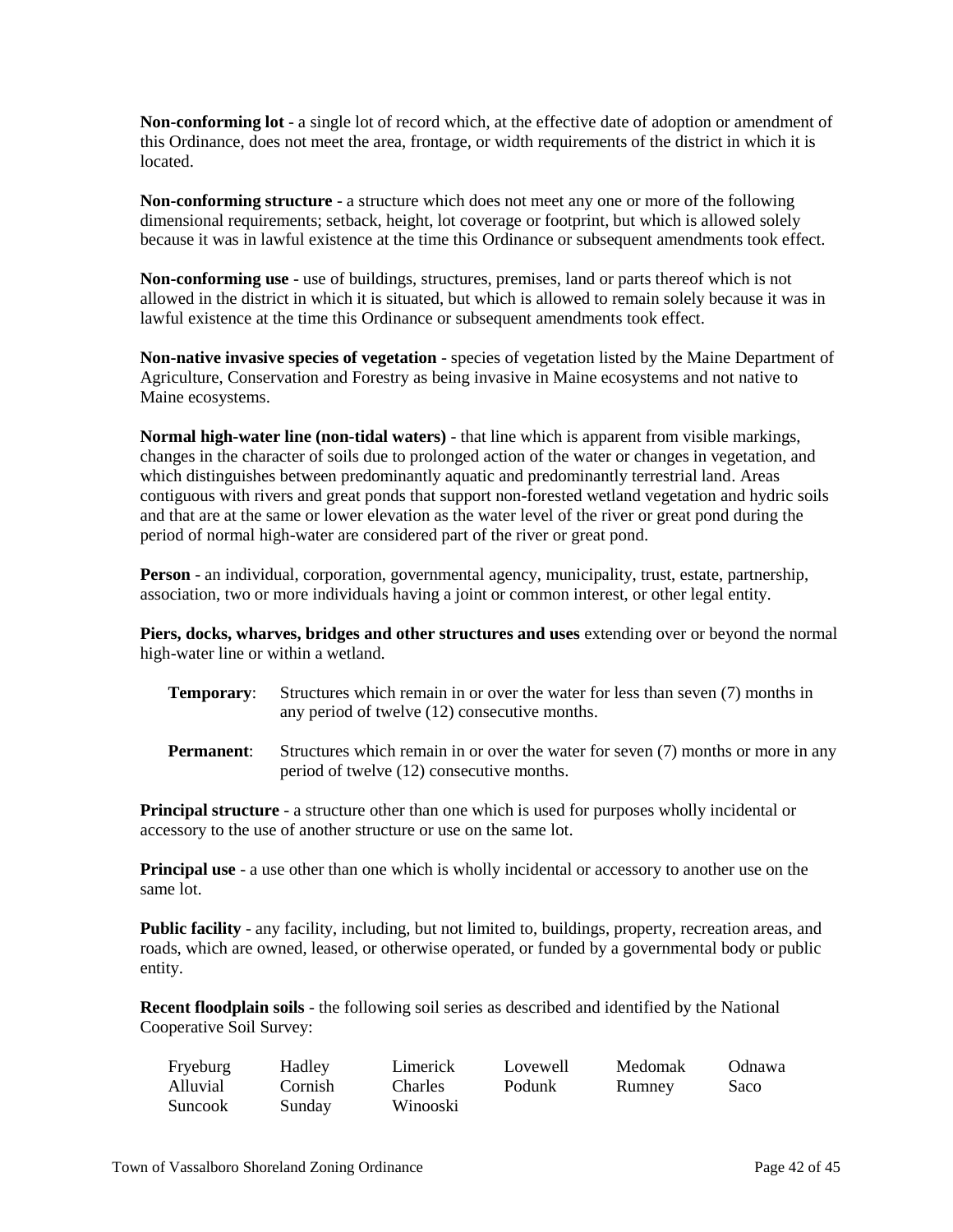**Non-conforming lot** - a single lot of record which, at the effective date of adoption or amendment of this Ordinance, does not meet the area, frontage, or width requirements of the district in which it is located.

**Non-conforming structure** - a structure which does not meet any one or more of the following dimensional requirements; setback, height, lot coverage or footprint, but which is allowed solely because it was in lawful existence at the time this Ordinance or subsequent amendments took effect.

**Non-conforming use** - use of buildings, structures, premises, land or parts thereof which is not allowed in the district in which it is situated, but which is allowed to remain solely because it was in lawful existence at the time this Ordinance or subsequent amendments took effect.

**Non-native invasive species of vegetation** - species of vegetation listed by the Maine Department of Agriculture, Conservation and Forestry as being invasive in Maine ecosystems and not native to Maine ecosystems.

**Normal high-water line (non-tidal waters)** - that line which is apparent from visible markings, changes in the character of soils due to prolonged action of the water or changes in vegetation, and which distinguishes between predominantly aquatic and predominantly terrestrial land. Areas contiguous with rivers and great ponds that support non-forested wetland vegetation and hydric soils and that are at the same or lower elevation as the water level of the river or great pond during the period of normal high-water are considered part of the river or great pond.

**Person** - an individual, corporation, governmental agency, municipality, trust, estate, partnership, association, two or more individuals having a joint or common interest, or other legal entity.

**Piers, docks, wharves, bridges and other structures and uses** extending over or beyond the normal high-water line or within a wetland.

- **Temporary:** Structures which remain in or over the water for less than seven (7) months in any period of twelve (12) consecutive months.
- **Permanent:** Structures which remain in or over the water for seven (7) months or more in any period of twelve (12) consecutive months.

**Principal structure** - a structure other than one which is used for purposes wholly incidental or accessory to the use of another structure or use on the same lot.

**Principal use** - a use other than one which is wholly incidental or accessory to another use on the same lot.

**Public facility** - any facility, including, but not limited to, buildings, property, recreation areas, and roads, which are owned, leased, or otherwise operated, or funded by a governmental body or public entity.

**Recent floodplain soils** - the following soil series as described and identified by the National Cooperative Soil Survey:

| Fryeburg | Hadley  | Limerick       | Lovewell | Medomak | Odnawa |
|----------|---------|----------------|----------|---------|--------|
| Alluvial | Cornish | <b>Charles</b> | Podunk   | Rumney  | Saco   |
| Suncook  | Sunday  | Winooski       |          |         |        |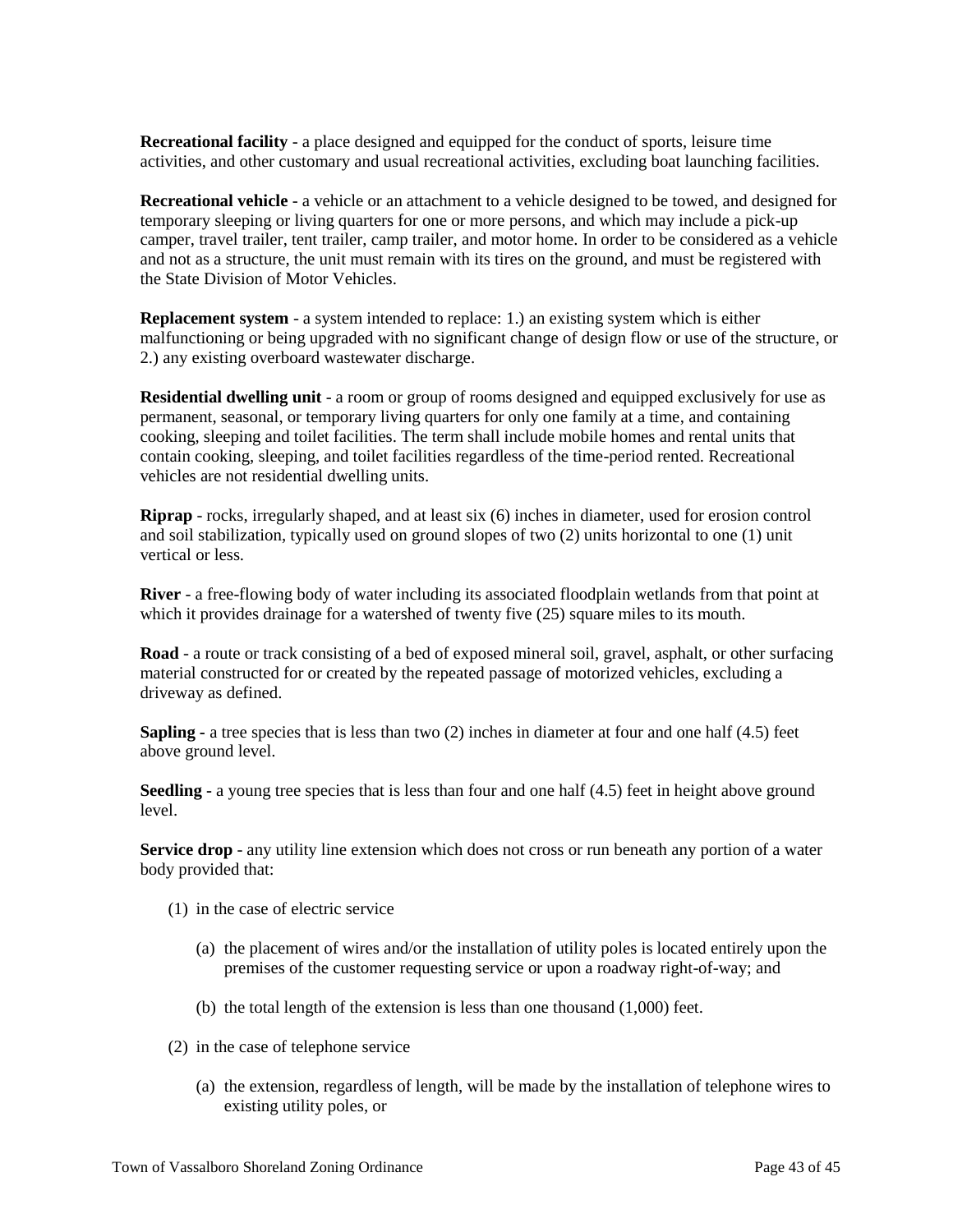**Recreational facility** - a place designed and equipped for the conduct of sports, leisure time activities, and other customary and usual recreational activities, excluding boat launching facilities.

**Recreational vehicle** - a vehicle or an attachment to a vehicle designed to be towed, and designed for temporary sleeping or living quarters for one or more persons, and which may include a pick-up camper, travel trailer, tent trailer, camp trailer, and motor home. In order to be considered as a vehicle and not as a structure, the unit must remain with its tires on the ground, and must be registered with the State Division of Motor Vehicles.

**Replacement system** - a system intended to replace: 1.) an existing system which is either malfunctioning or being upgraded with no significant change of design flow or use of the structure, or 2.) any existing overboard wastewater discharge.

**Residential dwelling unit** - a room or group of rooms designed and equipped exclusively for use as permanent, seasonal, or temporary living quarters for only one family at a time, and containing cooking, sleeping and toilet facilities. The term shall include mobile homes and rental units that contain cooking, sleeping, and toilet facilities regardless of the time-period rented. Recreational vehicles are not residential dwelling units.

**Riprap** - rocks, irregularly shaped, and at least six (6) inches in diameter, used for erosion control and soil stabilization, typically used on ground slopes of two (2) units horizontal to one (1) unit vertical or less.

**River** - a free-flowing body of water including its associated floodplain wetlands from that point at which it provides drainage for a watershed of twenty five (25) square miles to its mouth.

**Road** - a route or track consisting of a bed of exposed mineral soil, gravel, asphalt, or other surfacing material constructed for or created by the repeated passage of motorized vehicles, excluding a driveway as defined.

**Sapling -** a tree species that is less than two (2) inches in diameter at four and one half (4.5) feet above ground level.

**Seedling -** a young tree species that is less than four and one half (4.5) feet in height above ground level.

**Service drop** - any utility line extension which does not cross or run beneath any portion of a water body provided that:

- (1) in the case of electric service
	- (a) the placement of wires and/or the installation of utility poles is located entirely upon the premises of the customer requesting service or upon a roadway right-of-way; and
	- (b) the total length of the extension is less than one thousand (1,000) feet.
- (2) in the case of telephone service
	- (a) the extension, regardless of length, will be made by the installation of telephone wires to existing utility poles, or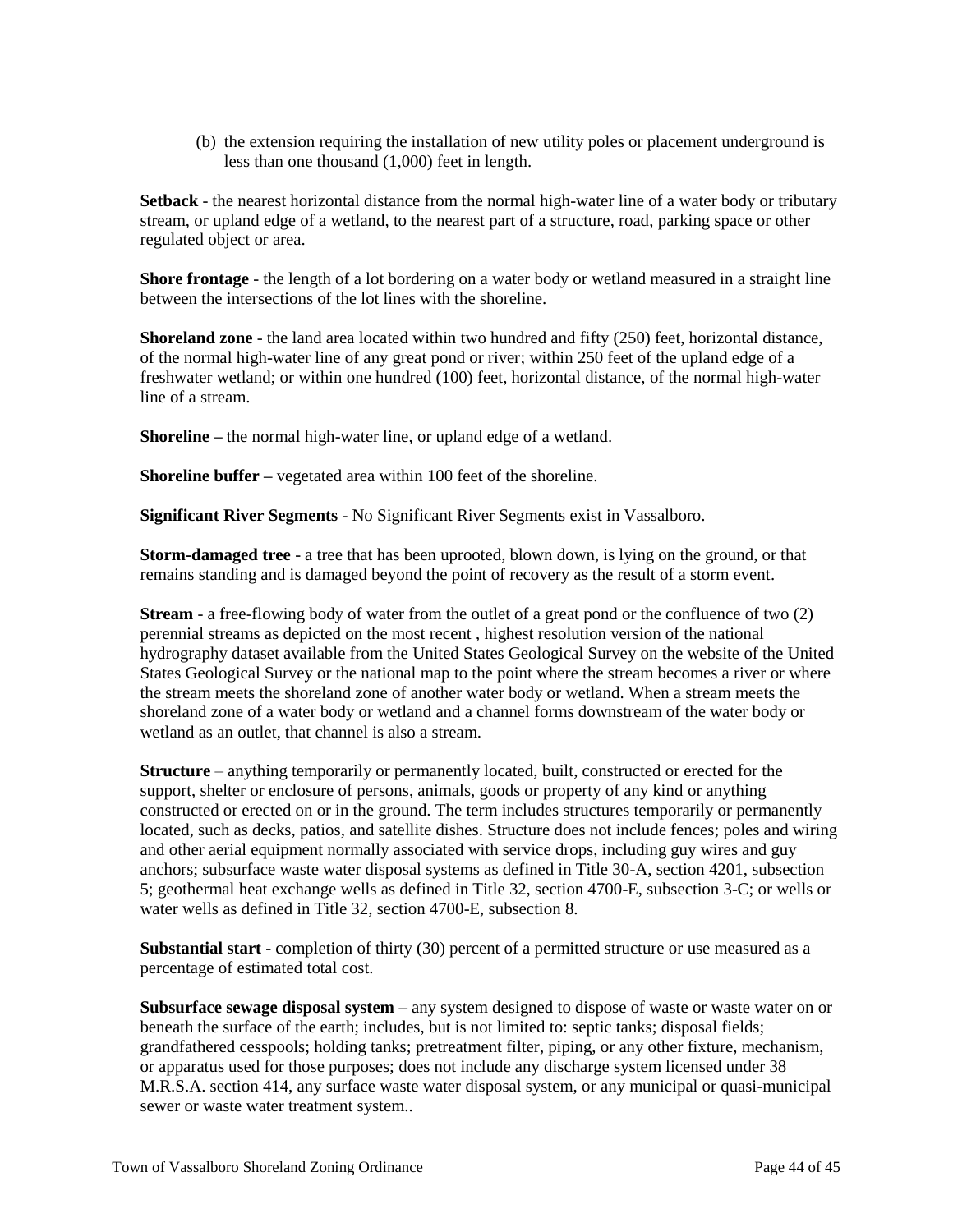(b) the extension requiring the installation of new utility poles or placement underground is less than one thousand (1,000) feet in length.

**Setback** - the nearest horizontal distance from the normal high-water line of a water body or tributary stream, or upland edge of a wetland, to the nearest part of a structure, road, parking space or other regulated object or area.

**Shore frontage** - the length of a lot bordering on a water body or wetland measured in a straight line between the intersections of the lot lines with the shoreline.

**Shoreland zone** - the land area located within two hundred and fifty (250) feet, horizontal distance, of the normal high-water line of any great pond or river; within 250 feet of the upland edge of a freshwater wetland; or within one hundred (100) feet, horizontal distance, of the normal high-water line of a stream.

**Shoreline** – the normal high-water line, or upland edge of a wetland.

**Shoreline buffer –** vegetated area within 100 feet of the shoreline.

**Significant River Segments** - No Significant River Segments exist in Vassalboro.

**Storm-damaged tree** - a tree that has been uprooted, blown down, is lying on the ground, or that remains standing and is damaged beyond the point of recovery as the result of a storm event.

**Stream** - a free-flowing body of water from the outlet of a great pond or the confluence of two  $(2)$ perennial streams as depicted on the most recent , highest resolution version of the national hydrography dataset available from the United States Geological Survey on the website of the United States Geological Survey or the national map to the point where the stream becomes a river or where the stream meets the shoreland zone of another water body or wetland. When a stream meets the shoreland zone of a water body or wetland and a channel forms downstream of the water body or wetland as an outlet, that channel is also a stream.

**Structure** – anything temporarily or permanently located, built, constructed or erected for the support, shelter or enclosure of persons, animals, goods or property of any kind or anything constructed or erected on or in the ground. The term includes structures temporarily or permanently located, such as decks, patios, and satellite dishes. Structure does not include fences; poles and wiring and other aerial equipment normally associated with service drops, including guy wires and guy anchors; subsurface waste water disposal systems as defined in Title 30-A, section 4201, subsection 5; geothermal heat exchange wells as defined in Title 32, section 4700-E, subsection 3-C; or wells or water wells as defined in Title 32, section 4700-E, subsection 8.

**Substantial start** - completion of thirty (30) percent of a permitted structure or use measured as a percentage of estimated total cost.

**Subsurface sewage disposal system** – any system designed to dispose of waste or waste water on or beneath the surface of the earth; includes, but is not limited to: septic tanks; disposal fields; grandfathered cesspools; holding tanks; pretreatment filter, piping, or any other fixture, mechanism, or apparatus used for those purposes; does not include any discharge system licensed under 38 M.R.S.A. section 414, any surface waste water disposal system, or any municipal or quasi-municipal sewer or waste water treatment system..